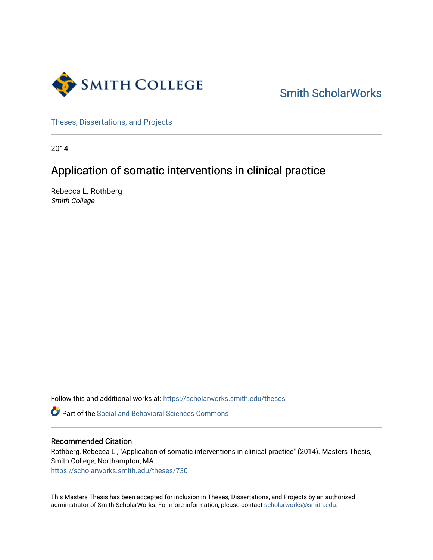

[Smith ScholarWorks](https://scholarworks.smith.edu/) 

[Theses, Dissertations, and Projects](https://scholarworks.smith.edu/theses) 

2014

# Application of somatic interventions in clinical practice

Rebecca L. Rothberg Smith College

Follow this and additional works at: [https://scholarworks.smith.edu/theses](https://scholarworks.smith.edu/theses?utm_source=scholarworks.smith.edu%2Ftheses%2F730&utm_medium=PDF&utm_campaign=PDFCoverPages) 

**C** Part of the Social and Behavioral Sciences Commons

#### Recommended Citation

Rothberg, Rebecca L., "Application of somatic interventions in clinical practice" (2014). Masters Thesis, Smith College, Northampton, MA.

[https://scholarworks.smith.edu/theses/730](https://scholarworks.smith.edu/theses/730?utm_source=scholarworks.smith.edu%2Ftheses%2F730&utm_medium=PDF&utm_campaign=PDFCoverPages) 

This Masters Thesis has been accepted for inclusion in Theses, Dissertations, and Projects by an authorized administrator of Smith ScholarWorks. For more information, please contact [scholarworks@smith.edu](mailto:scholarworks@smith.edu).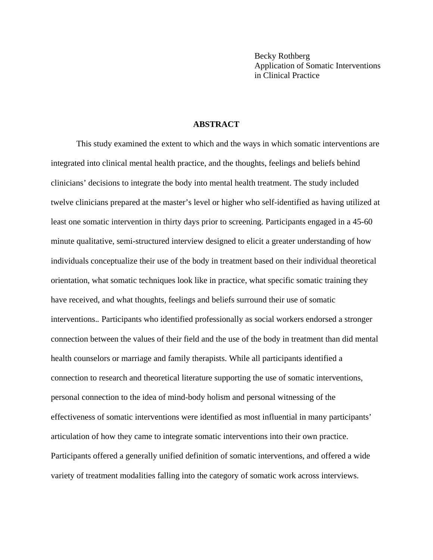Becky Rothberg Application of Somatic Interventions in Clinical Practice

#### **ABSTRACT**

This study examined the extent to which and the ways in which somatic interventions are integrated into clinical mental health practice, and the thoughts, feelings and beliefs behind clinicians' decisions to integrate the body into mental health treatment. The study included twelve clinicians prepared at the master's level or higher who self-identified as having utilized at least one somatic intervention in thirty days prior to screening. Participants engaged in a 45-60 minute qualitative, semi-structured interview designed to elicit a greater understanding of how individuals conceptualize their use of the body in treatment based on their individual theoretical orientation, what somatic techniques look like in practice, what specific somatic training they have received, and what thoughts, feelings and beliefs surround their use of somatic interventions.*.* Participants who identified professionally as social workers endorsed a stronger connection between the values of their field and the use of the body in treatment than did mental health counselors or marriage and family therapists. While all participants identified a connection to research and theoretical literature supporting the use of somatic interventions, personal connection to the idea of mind-body holism and personal witnessing of the effectiveness of somatic interventions were identified as most influential in many participants' articulation of how they came to integrate somatic interventions into their own practice. Participants offered a generally unified definition of somatic interventions, and offered a wide variety of treatment modalities falling into the category of somatic work across interviews.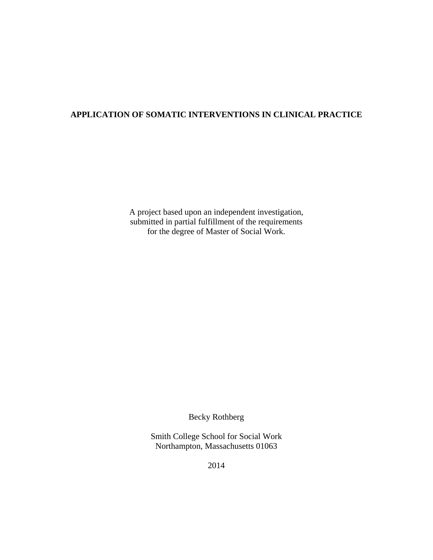### **APPLICATION OF SOMATIC INTERVENTIONS IN CLINICAL PRACTICE**

A project based upon an independent investigation, submitted in partial fulfillment of the requirements for the degree of Master of Social Work.

Becky Rothberg

Smith College School for Social Work Northampton, Massachusetts 01063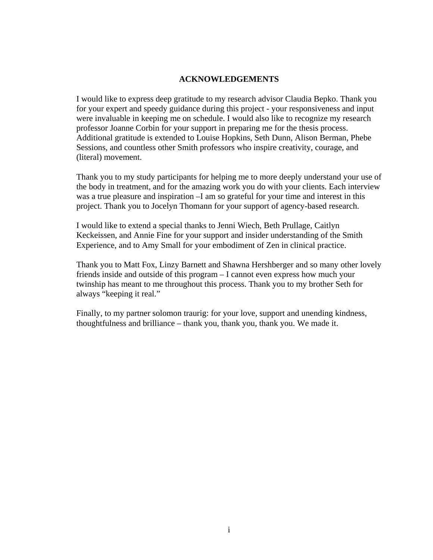#### **ACKNOWLEDGEMENTS**

I would like to express deep gratitude to my research advisor Claudia Bepko. Thank you for your expert and speedy guidance during this project - your responsiveness and input were invaluable in keeping me on schedule. I would also like to recognize my research professor Joanne Corbin for your support in preparing me for the thesis process. Additional gratitude is extended to Louise Hopkins, Seth Dunn, Alison Berman, Phebe Sessions, and countless other Smith professors who inspire creativity, courage, and (literal) movement.

Thank you to my study participants for helping me to more deeply understand your use of the body in treatment, and for the amazing work you do with your clients. Each interview was a true pleasure and inspiration –I am so grateful for your time and interest in this project. Thank you to Jocelyn Thomann for your support of agency-based research.

I would like to extend a special thanks to Jenni Wiech, Beth Prullage, Caitlyn Keckeissen, and Annie Fine for your support and insider understanding of the Smith Experience, and to Amy Small for your embodiment of Zen in clinical practice.

Thank you to Matt Fox, Linzy Barnett and Shawna Hershberger and so many other lovely friends inside and outside of this program – I cannot even express how much your twinship has meant to me throughout this process. Thank you to my brother Seth for always "keeping it real."

Finally, to my partner solomon traurig: for your love, support and unending kindness, thoughtfulness and brilliance – thank you, thank you, thank you. We made it.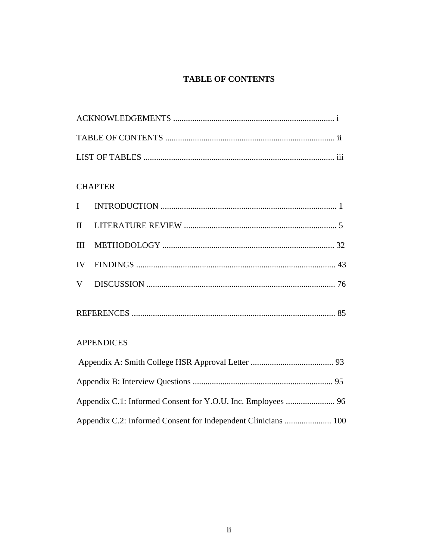### **TABLE OF CONTENTS**

## **CHAPTER**

|--|--|--|

### **APPENDICES**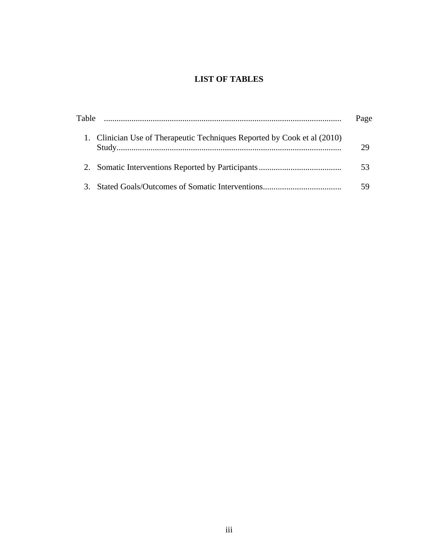### **LIST OF TABLES**

| Table                                                                    | Page |
|--------------------------------------------------------------------------|------|
| 1. Clinician Use of Therapeutic Techniques Reported by Cook et al (2010) |      |
|                                                                          | 53   |
|                                                                          |      |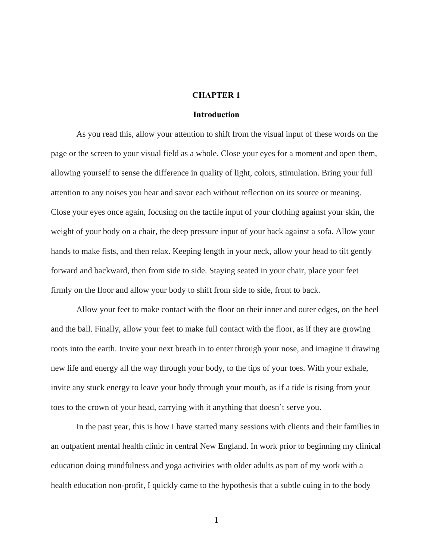#### **CHAPTER 1**

#### **Introduction**

As you read this, allow your attention to shift from the visual input of these words on the page or the screen to your visual field as a whole. Close your eyes for a moment and open them, allowing yourself to sense the difference in quality of light, colors, stimulation. Bring your full attention to any noises you hear and savor each without reflection on its source or meaning. Close your eyes once again, focusing on the tactile input of your clothing against your skin, the weight of your body on a chair, the deep pressure input of your back against a sofa. Allow your hands to make fists, and then relax. Keeping length in your neck, allow your head to tilt gently forward and backward, then from side to side. Staying seated in your chair, place your feet firmly on the floor and allow your body to shift from side to side, front to back.

Allow your feet to make contact with the floor on their inner and outer edges, on the heel and the ball. Finally, allow your feet to make full contact with the floor, as if they are growing roots into the earth. Invite your next breath in to enter through your nose, and imagine it drawing new life and energy all the way through your body, to the tips of your toes. With your exhale, invite any stuck energy to leave your body through your mouth, as if a tide is rising from your toes to the crown of your head, carrying with it anything that doesn't serve you.

In the past year, this is how I have started many sessions with clients and their families in an outpatient mental health clinic in central New England. In work prior to beginning my clinical education doing mindfulness and yoga activities with older adults as part of my work with a health education non-profit, I quickly came to the hypothesis that a subtle cuing in to the body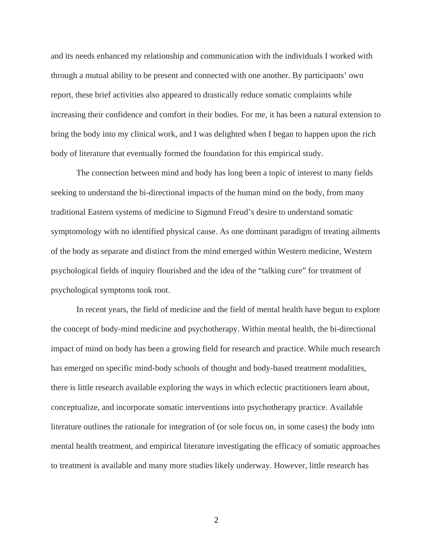and its needs enhanced my relationship and communication with the individuals I worked with through a mutual ability to be present and connected with one another. By participants' own report, these brief activities also appeared to drastically reduce somatic complaints while increasing their confidence and comfort in their bodies. For me, it has been a natural extension to bring the body into my clinical work, and I was delighted when I began to happen upon the rich body of literature that eventually formed the foundation for this empirical study.

The connection between mind and body has long been a topic of interest to many fields seeking to understand the bi-directional impacts of the human mind on the body, from many traditional Eastern systems of medicine to Sigmund Freud's desire to understand somatic symptomology with no identified physical cause. As one dominant paradigm of treating ailments of the body as separate and distinct from the mind emerged within Western medicine, Western psychological fields of inquiry flourished and the idea of the "talking cure" for treatment of psychological symptoms took root.

 In recent years, the field of medicine and the field of mental health have begun to explore the concept of body-mind medicine and psychotherapy. Within mental health, the bi-directional impact of mind on body has been a growing field for research and practice. While much research has emerged on specific mind-body schools of thought and body-based treatment modalities, there is little research available exploring the ways in which eclectic practitioners learn about, conceptualize, and incorporate somatic interventions into psychotherapy practice. Available literature outlines the rationale for integration of (or sole focus on, in some cases) the body into mental health treatment, and empirical literature investigating the efficacy of somatic approaches to treatment is available and many more studies likely underway. However, little research has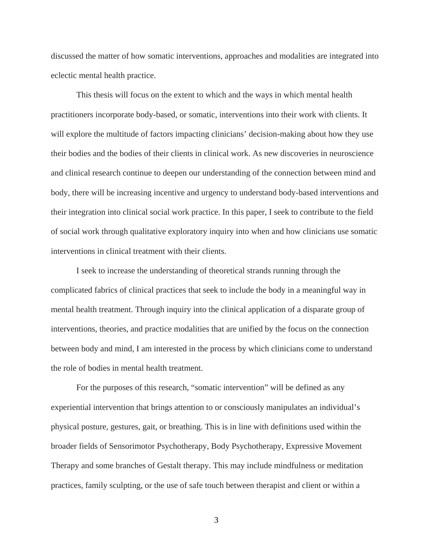discussed the matter of how somatic interventions, approaches and modalities are integrated into eclectic mental health practice.

This thesis will focus on the extent to which and the ways in which mental health practitioners incorporate body-based, or somatic, interventions into their work with clients. It will explore the multitude of factors impacting clinicians' decision-making about how they use their bodies and the bodies of their clients in clinical work. As new discoveries in neuroscience and clinical research continue to deepen our understanding of the connection between mind and body, there will be increasing incentive and urgency to understand body-based interventions and their integration into clinical social work practice. In this paper, I seek to contribute to the field of social work through qualitative exploratory inquiry into when and how clinicians use somatic interventions in clinical treatment with their clients.

I seek to increase the understanding of theoretical strands running through the complicated fabrics of clinical practices that seek to include the body in a meaningful way in mental health treatment. Through inquiry into the clinical application of a disparate group of interventions, theories, and practice modalities that are unified by the focus on the connection between body and mind, I am interested in the process by which clinicians come to understand the role of bodies in mental health treatment.

For the purposes of this research, "somatic intervention" will be defined as any experiential intervention that brings attention to or consciously manipulates an individual's physical posture, gestures, gait, or breathing. This is in line with definitions used within the broader fields of Sensorimotor Psychotherapy, Body Psychotherapy, Expressive Movement Therapy and some branches of Gestalt therapy. This may include mindfulness or meditation practices, family sculpting, or the use of safe touch between therapist and client or within a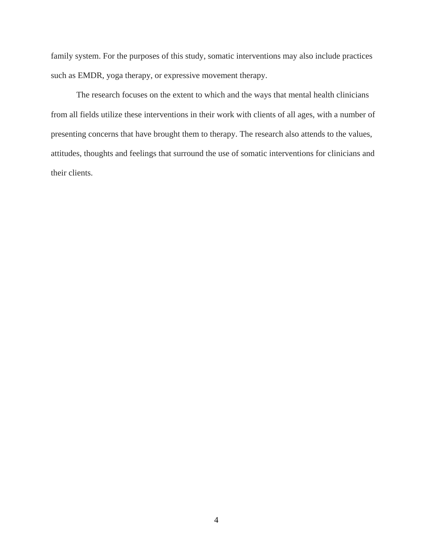family system. For the purposes of this study, somatic interventions may also include practices such as EMDR, yoga therapy, or expressive movement therapy.

The research focuses on the extent to which and the ways that mental health clinicians from all fields utilize these interventions in their work with clients of all ages, with a number of presenting concerns that have brought them to therapy. The research also attends to the values, attitudes, thoughts and feelings that surround the use of somatic interventions for clinicians and their clients.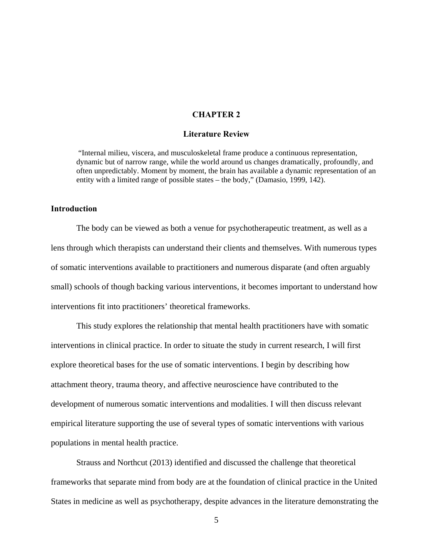#### **CHAPTER 2**

#### **Literature Review**

 "Internal milieu, viscera, and musculoskeletal frame produce a continuous representation, dynamic but of narrow range, while the world around us changes dramatically, profoundly, and often unpredictably. Moment by moment, the brain has available a dynamic representation of an entity with a limited range of possible states – the body," (Damasio, 1999, 142).

#### **Introduction**

 The body can be viewed as both a venue for psychotherapeutic treatment, as well as a lens through which therapists can understand their clients and themselves. With numerous types of somatic interventions available to practitioners and numerous disparate (and often arguably small) schools of though backing various interventions, it becomes important to understand how interventions fit into practitioners' theoretical frameworks.

This study explores the relationship that mental health practitioners have with somatic interventions in clinical practice. In order to situate the study in current research, I will first explore theoretical bases for the use of somatic interventions. I begin by describing how attachment theory, trauma theory, and affective neuroscience have contributed to the development of numerous somatic interventions and modalities. I will then discuss relevant empirical literature supporting the use of several types of somatic interventions with various populations in mental health practice.

Strauss and Northcut (2013) identified and discussed the challenge that theoretical frameworks that separate mind from body are at the foundation of clinical practice in the United States in medicine as well as psychotherapy, despite advances in the literature demonstrating the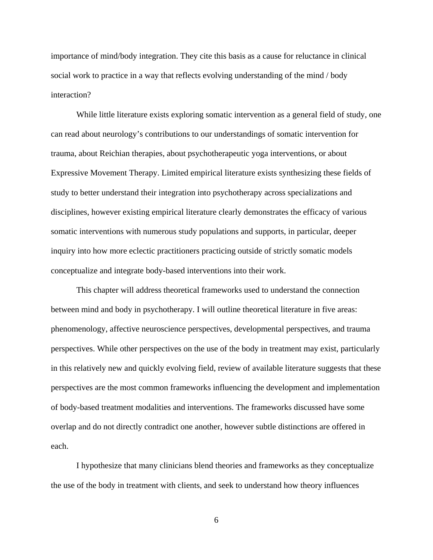importance of mind/body integration. They cite this basis as a cause for reluctance in clinical social work to practice in a way that reflects evolving understanding of the mind / body interaction?

While little literature exists exploring somatic intervention as a general field of study, one can read about neurology's contributions to our understandings of somatic intervention for trauma, about Reichian therapies, about psychotherapeutic yoga interventions, or about Expressive Movement Therapy. Limited empirical literature exists synthesizing these fields of study to better understand their integration into psychotherapy across specializations and disciplines, however existing empirical literature clearly demonstrates the efficacy of various somatic interventions with numerous study populations and supports, in particular, deeper inquiry into how more eclectic practitioners practicing outside of strictly somatic models conceptualize and integrate body-based interventions into their work.

This chapter will address theoretical frameworks used to understand the connection between mind and body in psychotherapy. I will outline theoretical literature in five areas: phenomenology, affective neuroscience perspectives, developmental perspectives, and trauma perspectives. While other perspectives on the use of the body in treatment may exist, particularly in this relatively new and quickly evolving field, review of available literature suggests that these perspectives are the most common frameworks influencing the development and implementation of body-based treatment modalities and interventions. The frameworks discussed have some overlap and do not directly contradict one another, however subtle distinctions are offered in each.

I hypothesize that many clinicians blend theories and frameworks as they conceptualize the use of the body in treatment with clients, and seek to understand how theory influences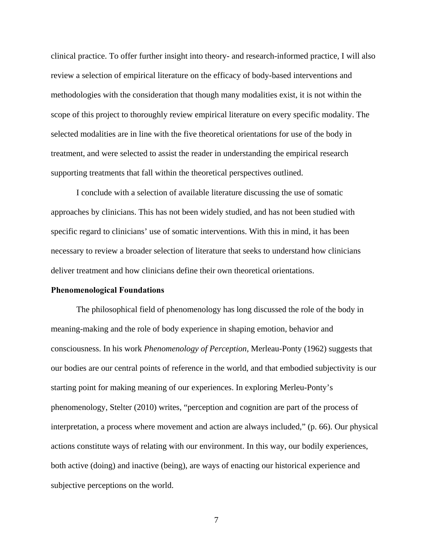clinical practice. To offer further insight into theory- and research-informed practice, I will also review a selection of empirical literature on the efficacy of body-based interventions and methodologies with the consideration that though many modalities exist, it is not within the scope of this project to thoroughly review empirical literature on every specific modality. The selected modalities are in line with the five theoretical orientations for use of the body in treatment, and were selected to assist the reader in understanding the empirical research supporting treatments that fall within the theoretical perspectives outlined.

I conclude with a selection of available literature discussing the use of somatic approaches by clinicians. This has not been widely studied, and has not been studied with specific regard to clinicians' use of somatic interventions. With this in mind, it has been necessary to review a broader selection of literature that seeks to understand how clinicians deliver treatment and how clinicians define their own theoretical orientations.

#### **Phenomenological Foundations**

The philosophical field of phenomenology has long discussed the role of the body in meaning-making and the role of body experience in shaping emotion, behavior and consciousness. In his work *Phenomenology of Perception,* Merleau-Ponty (1962) suggests that our bodies are our central points of reference in the world, and that embodied subjectivity is our starting point for making meaning of our experiences. In exploring Merleu-Ponty's phenomenology, Stelter (2010) writes, "perception and cognition are part of the process of interpretation, a process where movement and action are always included," (p. 66). Our physical actions constitute ways of relating with our environment. In this way, our bodily experiences, both active (doing) and inactive (being), are ways of enacting our historical experience and subjective perceptions on the world.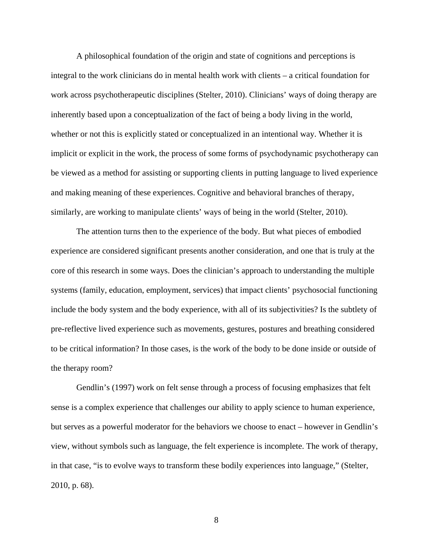A philosophical foundation of the origin and state of cognitions and perceptions is integral to the work clinicians do in mental health work with clients – a critical foundation for work across psychotherapeutic disciplines (Stelter, 2010). Clinicians' ways of doing therapy are inherently based upon a conceptualization of the fact of being a body living in the world, whether or not this is explicitly stated or conceptualized in an intentional way. Whether it is implicit or explicit in the work, the process of some forms of psychodynamic psychotherapy can be viewed as a method for assisting or supporting clients in putting language to lived experience and making meaning of these experiences. Cognitive and behavioral branches of therapy, similarly, are working to manipulate clients' ways of being in the world (Stelter, 2010).

The attention turns then to the experience of the body. But what pieces of embodied experience are considered significant presents another consideration, and one that is truly at the core of this research in some ways. Does the clinician's approach to understanding the multiple systems (family, education, employment, services) that impact clients' psychosocial functioning include the body system and the body experience, with all of its subjectivities? Is the subtlety of pre-reflective lived experience such as movements, gestures, postures and breathing considered to be critical information? In those cases, is the work of the body to be done inside or outside of the therapy room?

Gendlin's (1997) work on felt sense through a process of focusing emphasizes that felt sense is a complex experience that challenges our ability to apply science to human experience, but serves as a powerful moderator for the behaviors we choose to enact – however in Gendlin's view, without symbols such as language, the felt experience is incomplete. The work of therapy, in that case, "is to evolve ways to transform these bodily experiences into language," (Stelter, 2010, p. 68).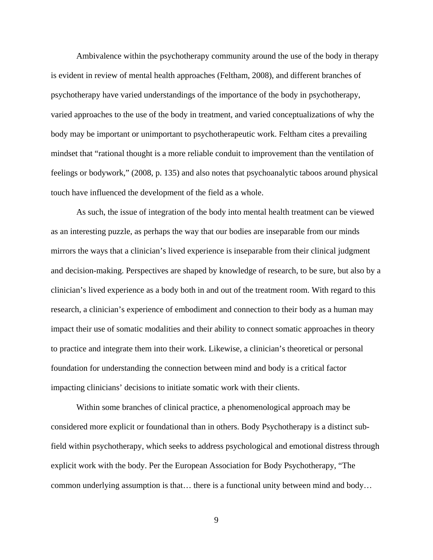Ambivalence within the psychotherapy community around the use of the body in therapy is evident in review of mental health approaches (Feltham, 2008), and different branches of psychotherapy have varied understandings of the importance of the body in psychotherapy, varied approaches to the use of the body in treatment, and varied conceptualizations of why the body may be important or unimportant to psychotherapeutic work. Feltham cites a prevailing mindset that "rational thought is a more reliable conduit to improvement than the ventilation of feelings or bodywork," (2008, p. 135) and also notes that psychoanalytic taboos around physical touch have influenced the development of the field as a whole.

As such, the issue of integration of the body into mental health treatment can be viewed as an interesting puzzle, as perhaps the way that our bodies are inseparable from our minds mirrors the ways that a clinician's lived experience is inseparable from their clinical judgment and decision-making. Perspectives are shaped by knowledge of research, to be sure, but also by a clinician's lived experience as a body both in and out of the treatment room. With regard to this research, a clinician's experience of embodiment and connection to their body as a human may impact their use of somatic modalities and their ability to connect somatic approaches in theory to practice and integrate them into their work. Likewise, a clinician's theoretical or personal foundation for understanding the connection between mind and body is a critical factor impacting clinicians' decisions to initiate somatic work with their clients.

Within some branches of clinical practice, a phenomenological approach may be considered more explicit or foundational than in others. Body Psychotherapy is a distinct subfield within psychotherapy, which seeks to address psychological and emotional distress through explicit work with the body. Per the European Association for Body Psychotherapy, "The common underlying assumption is that… there is a functional unity between mind and body…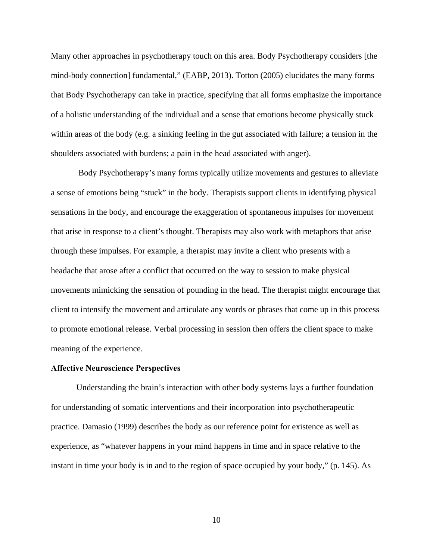Many other approaches in psychotherapy touch on this area. Body Psychotherapy considers [the mind-body connection] fundamental," (EABP, 2013). Totton (2005) elucidates the many forms that Body Psychotherapy can take in practice, specifying that all forms emphasize the importance of a holistic understanding of the individual and a sense that emotions become physically stuck within areas of the body (e.g. a sinking feeling in the gut associated with failure; a tension in the shoulders associated with burdens; a pain in the head associated with anger).

 Body Psychotherapy's many forms typically utilize movements and gestures to alleviate a sense of emotions being "stuck" in the body. Therapists support clients in identifying physical sensations in the body, and encourage the exaggeration of spontaneous impulses for movement that arise in response to a client's thought. Therapists may also work with metaphors that arise through these impulses. For example, a therapist may invite a client who presents with a headache that arose after a conflict that occurred on the way to session to make physical movements mimicking the sensation of pounding in the head. The therapist might encourage that client to intensify the movement and articulate any words or phrases that come up in this process to promote emotional release. Verbal processing in session then offers the client space to make meaning of the experience.

#### **Affective Neuroscience Perspectives**

Understanding the brain's interaction with other body systems lays a further foundation for understanding of somatic interventions and their incorporation into psychotherapeutic practice. Damasio (1999) describes the body as our reference point for existence as well as experience, as "whatever happens in your mind happens in time and in space relative to the instant in time your body is in and to the region of space occupied by your body," (p. 145). As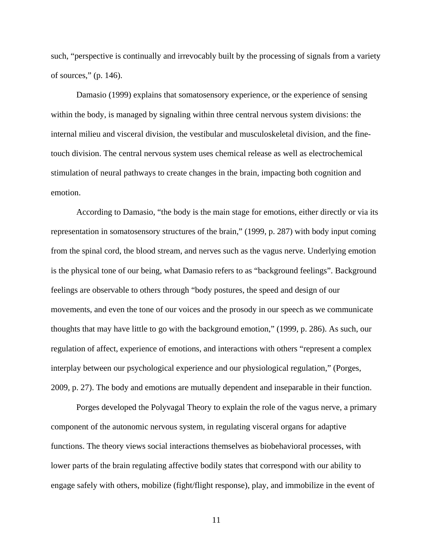such, "perspective is continually and irrevocably built by the processing of signals from a variety of sources," (p. 146).

Damasio (1999) explains that somatosensory experience, or the experience of sensing within the body, is managed by signaling within three central nervous system divisions: the internal milieu and visceral division, the vestibular and musculoskeletal division, and the finetouch division. The central nervous system uses chemical release as well as electrochemical stimulation of neural pathways to create changes in the brain, impacting both cognition and emotion.

According to Damasio, "the body is the main stage for emotions, either directly or via its representation in somatosensory structures of the brain," (1999, p. 287) with body input coming from the spinal cord, the blood stream, and nerves such as the vagus nerve. Underlying emotion is the physical tone of our being, what Damasio refers to as "background feelings". Background feelings are observable to others through "body postures, the speed and design of our movements, and even the tone of our voices and the prosody in our speech as we communicate thoughts that may have little to go with the background emotion," (1999, p. 286). As such, our regulation of affect, experience of emotions, and interactions with others "represent a complex interplay between our psychological experience and our physiological regulation," (Porges, 2009, p. 27). The body and emotions are mutually dependent and inseparable in their function.

Porges developed the Polyvagal Theory to explain the role of the vagus nerve, a primary component of the autonomic nervous system, in regulating visceral organs for adaptive functions. The theory views social interactions themselves as biobehavioral processes, with lower parts of the brain regulating affective bodily states that correspond with our ability to engage safely with others, mobilize (fight/flight response), play, and immobilize in the event of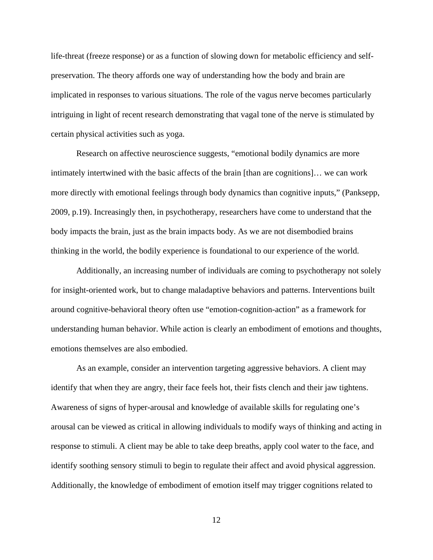life-threat (freeze response) or as a function of slowing down for metabolic efficiency and selfpreservation. The theory affords one way of understanding how the body and brain are implicated in responses to various situations. The role of the vagus nerve becomes particularly intriguing in light of recent research demonstrating that vagal tone of the nerve is stimulated by certain physical activities such as yoga.

Research on affective neuroscience suggests, "emotional bodily dynamics are more intimately intertwined with the basic affects of the brain [than are cognitions]… we can work more directly with emotional feelings through body dynamics than cognitive inputs," (Panksepp, 2009, p.19). Increasingly then, in psychotherapy, researchers have come to understand that the body impacts the brain, just as the brain impacts body. As we are not disembodied brains thinking in the world, the bodily experience is foundational to our experience of the world.

Additionally, an increasing number of individuals are coming to psychotherapy not solely for insight-oriented work, but to change maladaptive behaviors and patterns. Interventions built around cognitive-behavioral theory often use "emotion-cognition-action" as a framework for understanding human behavior. While action is clearly an embodiment of emotions and thoughts, emotions themselves are also embodied.

As an example, consider an intervention targeting aggressive behaviors. A client may identify that when they are angry, their face feels hot, their fists clench and their jaw tightens. Awareness of signs of hyper-arousal and knowledge of available skills for regulating one's arousal can be viewed as critical in allowing individuals to modify ways of thinking and acting in response to stimuli. A client may be able to take deep breaths, apply cool water to the face, and identify soothing sensory stimuli to begin to regulate their affect and avoid physical aggression. Additionally, the knowledge of embodiment of emotion itself may trigger cognitions related to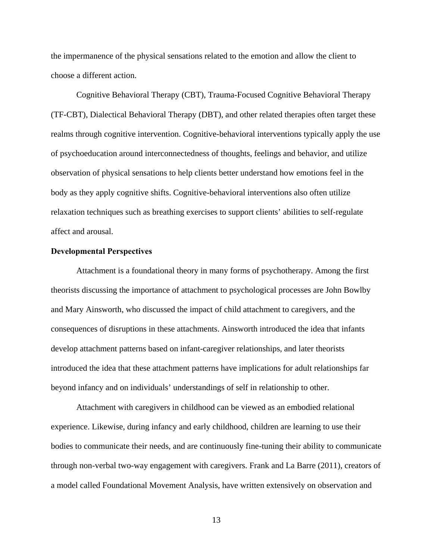the impermanence of the physical sensations related to the emotion and allow the client to choose a different action.

Cognitive Behavioral Therapy (CBT), Trauma-Focused Cognitive Behavioral Therapy (TF-CBT), Dialectical Behavioral Therapy (DBT), and other related therapies often target these realms through cognitive intervention. Cognitive-behavioral interventions typically apply the use of psychoeducation around interconnectedness of thoughts, feelings and behavior, and utilize observation of physical sensations to help clients better understand how emotions feel in the body as they apply cognitive shifts. Cognitive-behavioral interventions also often utilize relaxation techniques such as breathing exercises to support clients' abilities to self-regulate affect and arousal.

#### **Developmental Perspectives**

Attachment is a foundational theory in many forms of psychotherapy. Among the first theorists discussing the importance of attachment to psychological processes are John Bowlby and Mary Ainsworth, who discussed the impact of child attachment to caregivers, and the consequences of disruptions in these attachments. Ainsworth introduced the idea that infants develop attachment patterns based on infant-caregiver relationships, and later theorists introduced the idea that these attachment patterns have implications for adult relationships far beyond infancy and on individuals' understandings of self in relationship to other.

Attachment with caregivers in childhood can be viewed as an embodied relational experience. Likewise, during infancy and early childhood, children are learning to use their bodies to communicate their needs, and are continuously fine-tuning their ability to communicate through non-verbal two-way engagement with caregivers. Frank and La Barre (2011), creators of a model called Foundational Movement Analysis, have written extensively on observation and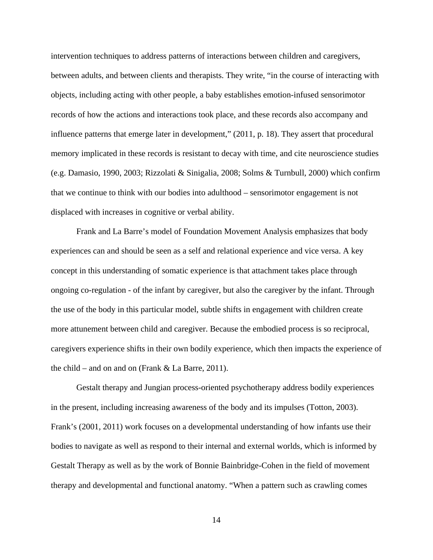intervention techniques to address patterns of interactions between children and caregivers, between adults, and between clients and therapists. They write, "in the course of interacting with objects, including acting with other people, a baby establishes emotion-infused sensorimotor records of how the actions and interactions took place, and these records also accompany and influence patterns that emerge later in development," (2011, p. 18). They assert that procedural memory implicated in these records is resistant to decay with time, and cite neuroscience studies (e.g. Damasio, 1990, 2003; Rizzolati & Sinigalia, 2008; Solms & Turnbull, 2000) which confirm that we continue to think with our bodies into adulthood – sensorimotor engagement is not displaced with increases in cognitive or verbal ability.

Frank and La Barre's model of Foundation Movement Analysis emphasizes that body experiences can and should be seen as a self and relational experience and vice versa. A key concept in this understanding of somatic experience is that attachment takes place through ongoing co-regulation - of the infant by caregiver, but also the caregiver by the infant. Through the use of the body in this particular model, subtle shifts in engagement with children create more attunement between child and caregiver. Because the embodied process is so reciprocal, caregivers experience shifts in their own bodily experience, which then impacts the experience of the child – and on and on (Frank  $& La Barre, 2011$ ).

 Gestalt therapy and Jungian process-oriented psychotherapy address bodily experiences in the present, including increasing awareness of the body and its impulses (Totton, 2003). Frank's (2001, 2011) work focuses on a developmental understanding of how infants use their bodies to navigate as well as respond to their internal and external worlds, which is informed by Gestalt Therapy as well as by the work of Bonnie Bainbridge-Cohen in the field of movement therapy and developmental and functional anatomy. "When a pattern such as crawling comes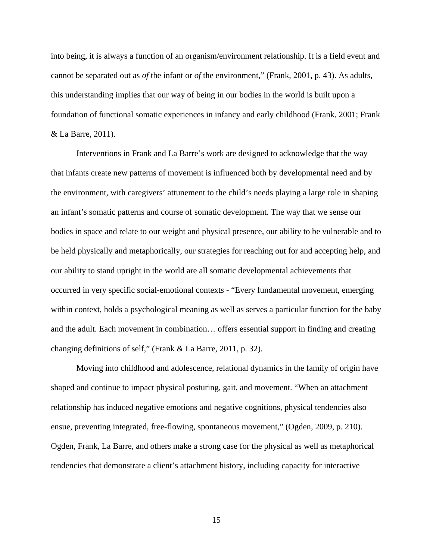into being, it is always a function of an organism/environment relationship. It is a field event and cannot be separated out as *of* the infant or *of* the environment," (Frank, 2001, p. 43). As adults, this understanding implies that our way of being in our bodies in the world is built upon a foundation of functional somatic experiences in infancy and early childhood (Frank, 2001; Frank & La Barre, 2011).

Interventions in Frank and La Barre's work are designed to acknowledge that the way that infants create new patterns of movement is influenced both by developmental need and by the environment, with caregivers' attunement to the child's needs playing a large role in shaping an infant's somatic patterns and course of somatic development. The way that we sense our bodies in space and relate to our weight and physical presence, our ability to be vulnerable and to be held physically and metaphorically, our strategies for reaching out for and accepting help, and our ability to stand upright in the world are all somatic developmental achievements that occurred in very specific social-emotional contexts - "Every fundamental movement, emerging within context, holds a psychological meaning as well as serves a particular function for the baby and the adult. Each movement in combination… offers essential support in finding and creating changing definitions of self," (Frank & La Barre, 2011, p. 32).

Moving into childhood and adolescence, relational dynamics in the family of origin have shaped and continue to impact physical posturing, gait, and movement. "When an attachment relationship has induced negative emotions and negative cognitions, physical tendencies also ensue, preventing integrated, free-flowing, spontaneous movement," (Ogden, 2009, p. 210). Ogden, Frank, La Barre, and others make a strong case for the physical as well as metaphorical tendencies that demonstrate a client's attachment history, including capacity for interactive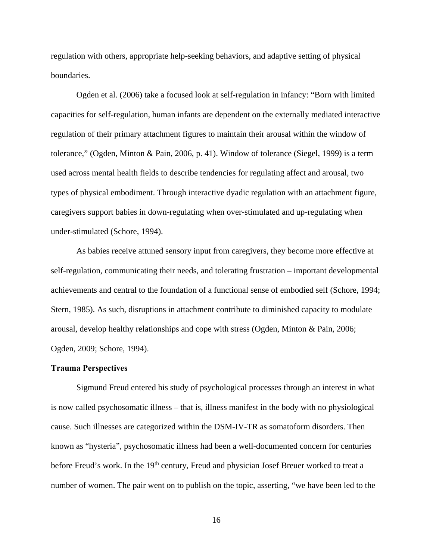regulation with others, appropriate help-seeking behaviors, and adaptive setting of physical boundaries.

Ogden et al. (2006) take a focused look at self-regulation in infancy: "Born with limited capacities for self-regulation, human infants are dependent on the externally mediated interactive regulation of their primary attachment figures to maintain their arousal within the window of tolerance," (Ogden, Minton & Pain, 2006, p. 41). Window of tolerance (Siegel, 1999) is a term used across mental health fields to describe tendencies for regulating affect and arousal, two types of physical embodiment. Through interactive dyadic regulation with an attachment figure, caregivers support babies in down-regulating when over-stimulated and up-regulating when under-stimulated (Schore, 1994).

As babies receive attuned sensory input from caregivers, they become more effective at self-regulation, communicating their needs, and tolerating frustration – important developmental achievements and central to the foundation of a functional sense of embodied self (Schore, 1994; Stern, 1985). As such, disruptions in attachment contribute to diminished capacity to modulate arousal, develop healthy relationships and cope with stress (Ogden, Minton & Pain, 2006; Ogden, 2009; Schore, 1994).

#### **Trauma Perspectives**

Sigmund Freud entered his study of psychological processes through an interest in what is now called psychosomatic illness – that is, illness manifest in the body with no physiological cause. Such illnesses are categorized within the DSM-IV-TR as somatoform disorders. Then known as "hysteria", psychosomatic illness had been a well-documented concern for centuries before Freud's work. In the 19<sup>th</sup> century, Freud and physician Josef Breuer worked to treat a number of women. The pair went on to publish on the topic, asserting, "we have been led to the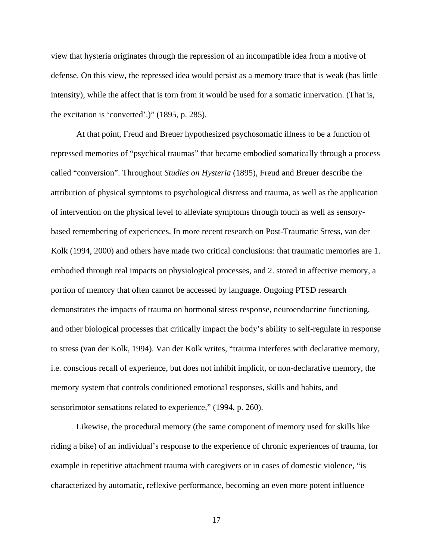view that hysteria originates through the repression of an incompatible idea from a motive of defense. On this view, the repressed idea would persist as a memory trace that is weak (has little intensity), while the affect that is torn from it would be used for a somatic innervation. (That is, the excitation is 'converted'.)" (1895, p. 285).

At that point, Freud and Breuer hypothesized psychosomatic illness to be a function of repressed memories of "psychical traumas" that became embodied somatically through a process called "conversion". Throughout *Studies on Hysteria* (1895), Freud and Breuer describe the attribution of physical symptoms to psychological distress and trauma, as well as the application of intervention on the physical level to alleviate symptoms through touch as well as sensorybased remembering of experiences. In more recent research on Post-Traumatic Stress, van der Kolk (1994, 2000) and others have made two critical conclusions: that traumatic memories are 1. embodied through real impacts on physiological processes, and 2. stored in affective memory, a portion of memory that often cannot be accessed by language. Ongoing PTSD research demonstrates the impacts of trauma on hormonal stress response, neuroendocrine functioning, and other biological processes that critically impact the body's ability to self-regulate in response to stress (van der Kolk, 1994). Van der Kolk writes, "trauma interferes with declarative memory, i.e. conscious recall of experience, but does not inhibit implicit, or non-declarative memory, the memory system that controls conditioned emotional responses, skills and habits, and sensorimotor sensations related to experience," (1994, p. 260).

Likewise, the procedural memory (the same component of memory used for skills like riding a bike) of an individual's response to the experience of chronic experiences of trauma, for example in repetitive attachment trauma with caregivers or in cases of domestic violence, "is characterized by automatic, reflexive performance, becoming an even more potent influence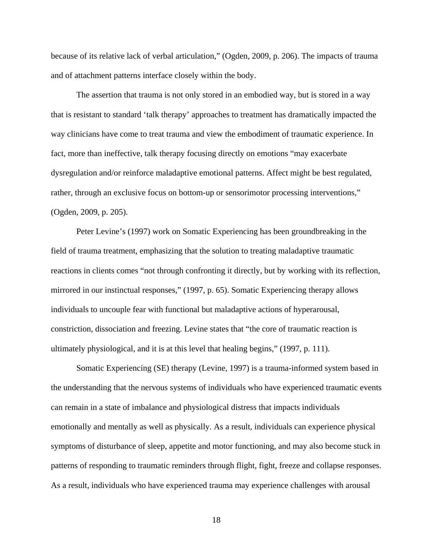because of its relative lack of verbal articulation," (Ogden, 2009, p. 206). The impacts of trauma and of attachment patterns interface closely within the body.

The assertion that trauma is not only stored in an embodied way, but is stored in a way that is resistant to standard 'talk therapy' approaches to treatment has dramatically impacted the way clinicians have come to treat trauma and view the embodiment of traumatic experience. In fact, more than ineffective, talk therapy focusing directly on emotions "may exacerbate dysregulation and/or reinforce maladaptive emotional patterns. Affect might be best regulated, rather, through an exclusive focus on bottom-up or sensorimotor processing interventions," (Ogden, 2009, p. 205).

Peter Levine's (1997) work on Somatic Experiencing has been groundbreaking in the field of trauma treatment, emphasizing that the solution to treating maladaptive traumatic reactions in clients comes "not through confronting it directly, but by working with its reflection, mirrored in our instinctual responses," (1997, p. 65). Somatic Experiencing therapy allows individuals to uncouple fear with functional but maladaptive actions of hyperarousal, constriction, dissociation and freezing. Levine states that "the core of traumatic reaction is ultimately physiological, and it is at this level that healing begins," (1997, p. 111).

Somatic Experiencing (SE) therapy (Levine, 1997) is a trauma-informed system based in the understanding that the nervous systems of individuals who have experienced traumatic events can remain in a state of imbalance and physiological distress that impacts individuals emotionally and mentally as well as physically. As a result, individuals can experience physical symptoms of disturbance of sleep, appetite and motor functioning, and may also become stuck in patterns of responding to traumatic reminders through flight, fight, freeze and collapse responses. As a result, individuals who have experienced trauma may experience challenges with arousal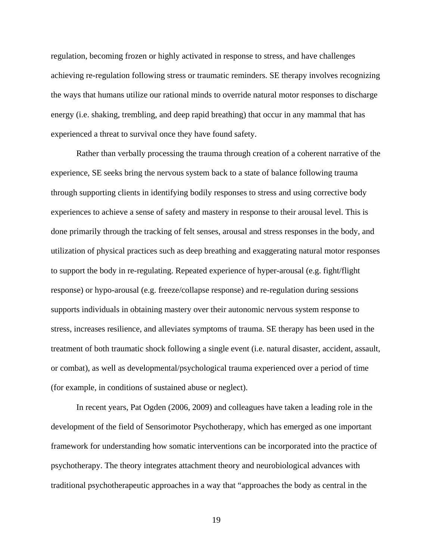regulation, becoming frozen or highly activated in response to stress, and have challenges achieving re-regulation following stress or traumatic reminders. SE therapy involves recognizing the ways that humans utilize our rational minds to override natural motor responses to discharge energy (i.e. shaking, trembling, and deep rapid breathing) that occur in any mammal that has experienced a threat to survival once they have found safety.

Rather than verbally processing the trauma through creation of a coherent narrative of the experience, SE seeks bring the nervous system back to a state of balance following trauma through supporting clients in identifying bodily responses to stress and using corrective body experiences to achieve a sense of safety and mastery in response to their arousal level. This is done primarily through the tracking of felt senses, arousal and stress responses in the body, and utilization of physical practices such as deep breathing and exaggerating natural motor responses to support the body in re-regulating. Repeated experience of hyper-arousal (e.g. fight/flight response) or hypo-arousal (e.g. freeze/collapse response) and re-regulation during sessions supports individuals in obtaining mastery over their autonomic nervous system response to stress, increases resilience, and alleviates symptoms of trauma. SE therapy has been used in the treatment of both traumatic shock following a single event (i.e. natural disaster, accident, assault, or combat), as well as developmental/psychological trauma experienced over a period of time (for example, in conditions of sustained abuse or neglect).

In recent years, Pat Ogden (2006, 2009) and colleagues have taken a leading role in the development of the field of Sensorimotor Psychotherapy, which has emerged as one important framework for understanding how somatic interventions can be incorporated into the practice of psychotherapy. The theory integrates attachment theory and neurobiological advances with traditional psychotherapeutic approaches in a way that "approaches the body as central in the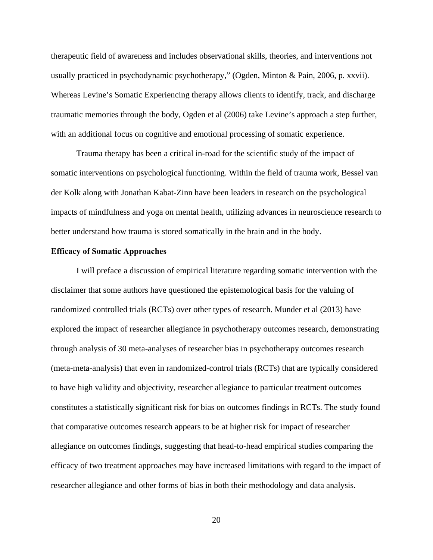therapeutic field of awareness and includes observational skills, theories, and interventions not usually practiced in psychodynamic psychotherapy," (Ogden, Minton & Pain, 2006, p. xxvii). Whereas Levine's Somatic Experiencing therapy allows clients to identify, track, and discharge traumatic memories through the body, Ogden et al (2006) take Levine's approach a step further, with an additional focus on cognitive and emotional processing of somatic experience.

Trauma therapy has been a critical in-road for the scientific study of the impact of somatic interventions on psychological functioning. Within the field of trauma work, Bessel van der Kolk along with Jonathan Kabat-Zinn have been leaders in research on the psychological impacts of mindfulness and yoga on mental health, utilizing advances in neuroscience research to better understand how trauma is stored somatically in the brain and in the body.

#### **Efficacy of Somatic Approaches**

I will preface a discussion of empirical literature regarding somatic intervention with the disclaimer that some authors have questioned the epistemological basis for the valuing of randomized controlled trials (RCTs) over other types of research. Munder et al (2013) have explored the impact of researcher allegiance in psychotherapy outcomes research, demonstrating through analysis of 30 meta-analyses of researcher bias in psychotherapy outcomes research (meta-meta-analysis) that even in randomized-control trials (RCTs) that are typically considered to have high validity and objectivity, researcher allegiance to particular treatment outcomes constitutes a statistically significant risk for bias on outcomes findings in RCTs. The study found that comparative outcomes research appears to be at higher risk for impact of researcher allegiance on outcomes findings, suggesting that head-to-head empirical studies comparing the efficacy of two treatment approaches may have increased limitations with regard to the impact of researcher allegiance and other forms of bias in both their methodology and data analysis.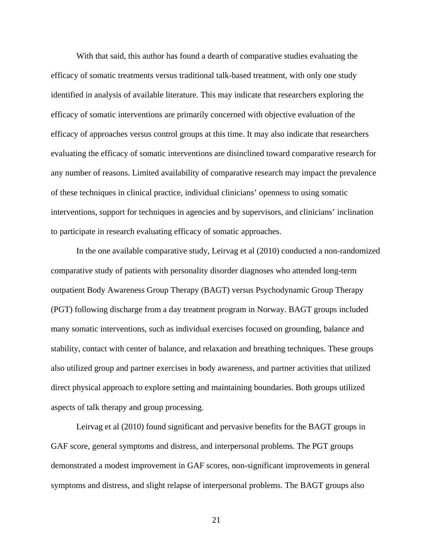With that said, this author has found a dearth of comparative studies evaluating the efficacy of somatic treatments versus traditional talk-based treatment, with only one study identified in analysis of available literature. This may indicate that researchers exploring the efficacy of somatic interventions are primarily concerned with objective evaluation of the efficacy of approaches versus control groups at this time. It may also indicate that researchers evaluating the efficacy of somatic interventions are disinclined toward comparative research for any number of reasons. Limited availability of comparative research may impact the prevalence of these techniques in clinical practice, individual clinicians' openness to using somatic interventions, support for techniques in agencies and by supervisors, and clinicians' inclination to participate in research evaluating efficacy of somatic approaches.

In the one available comparative study, Leirvag et al (2010) conducted a non-randomized comparative study of patients with personality disorder diagnoses who attended long-term outpatient Body Awareness Group Therapy (BAGT) versus Psychodynamic Group Therapy (PGT) following discharge from a day treatment program in Norway. BAGT groups included many somatic interventions, such as individual exercises focused on grounding, balance and stability, contact with center of balance, and relaxation and breathing techniques. These groups also utilized group and partner exercises in body awareness, and partner activities that utilized direct physical approach to explore setting and maintaining boundaries. Both groups utilized aspects of talk therapy and group processing.

Leirvag et al (2010) found significant and pervasive benefits for the BAGT groups in GAF score, general symptoms and distress, and interpersonal problems. The PGT groups demonstrated a modest improvement in GAF scores, non-significant improvements in general symptoms and distress, and slight relapse of interpersonal problems. The BAGT groups also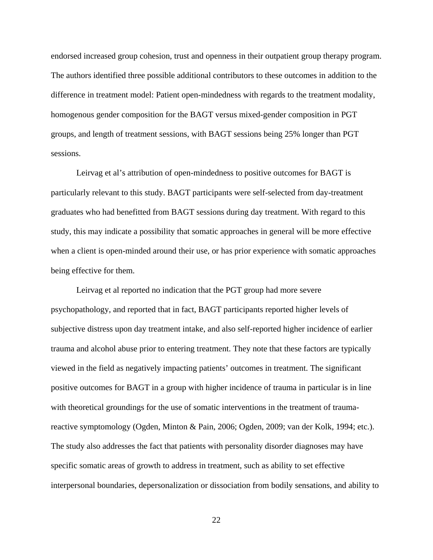endorsed increased group cohesion, trust and openness in their outpatient group therapy program. The authors identified three possible additional contributors to these outcomes in addition to the difference in treatment model: Patient open-mindedness with regards to the treatment modality, homogenous gender composition for the BAGT versus mixed-gender composition in PGT groups, and length of treatment sessions, with BAGT sessions being 25% longer than PGT sessions.

Leirvag et al's attribution of open-mindedness to positive outcomes for BAGT is particularly relevant to this study. BAGT participants were self-selected from day-treatment graduates who had benefitted from BAGT sessions during day treatment. With regard to this study, this may indicate a possibility that somatic approaches in general will be more effective when a client is open-minded around their use, or has prior experience with somatic approaches being effective for them.

Leirvag et al reported no indication that the PGT group had more severe psychopathology, and reported that in fact, BAGT participants reported higher levels of subjective distress upon day treatment intake, and also self-reported higher incidence of earlier trauma and alcohol abuse prior to entering treatment. They note that these factors are typically viewed in the field as negatively impacting patients' outcomes in treatment. The significant positive outcomes for BAGT in a group with higher incidence of trauma in particular is in line with theoretical groundings for the use of somatic interventions in the treatment of traumareactive symptomology (Ogden, Minton & Pain, 2006; Ogden, 2009; van der Kolk, 1994; etc.). The study also addresses the fact that patients with personality disorder diagnoses may have specific somatic areas of growth to address in treatment, such as ability to set effective interpersonal boundaries, depersonalization or dissociation from bodily sensations, and ability to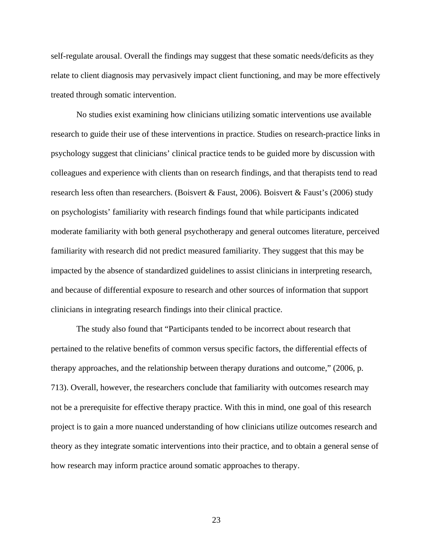self-regulate arousal. Overall the findings may suggest that these somatic needs/deficits as they relate to client diagnosis may pervasively impact client functioning, and may be more effectively treated through somatic intervention.

No studies exist examining how clinicians utilizing somatic interventions use available research to guide their use of these interventions in practice. Studies on research-practice links in psychology suggest that clinicians' clinical practice tends to be guided more by discussion with colleagues and experience with clients than on research findings, and that therapists tend to read research less often than researchers. (Boisvert & Faust, 2006). Boisvert & Faust's (2006) study on psychologists' familiarity with research findings found that while participants indicated moderate familiarity with both general psychotherapy and general outcomes literature, perceived familiarity with research did not predict measured familiarity. They suggest that this may be impacted by the absence of standardized guidelines to assist clinicians in interpreting research, and because of differential exposure to research and other sources of information that support clinicians in integrating research findings into their clinical practice.

The study also found that "Participants tended to be incorrect about research that pertained to the relative benefits of common versus specific factors, the differential effects of therapy approaches, and the relationship between therapy durations and outcome," (2006, p. 713). Overall, however, the researchers conclude that familiarity with outcomes research may not be a prerequisite for effective therapy practice. With this in mind, one goal of this research project is to gain a more nuanced understanding of how clinicians utilize outcomes research and theory as they integrate somatic interventions into their practice, and to obtain a general sense of how research may inform practice around somatic approaches to therapy.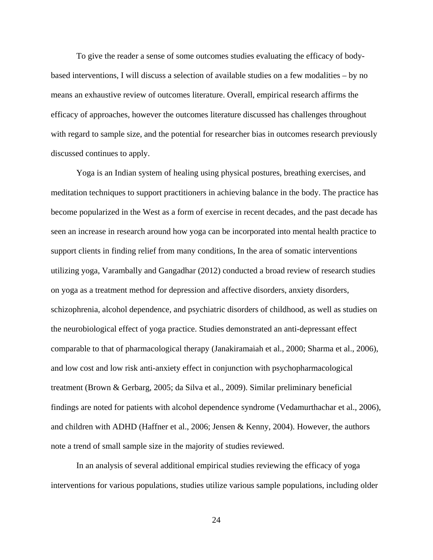To give the reader a sense of some outcomes studies evaluating the efficacy of bodybased interventions, I will discuss a selection of available studies on a few modalities – by no means an exhaustive review of outcomes literature. Overall, empirical research affirms the efficacy of approaches, however the outcomes literature discussed has challenges throughout with regard to sample size, and the potential for researcher bias in outcomes research previously discussed continues to apply.

Yoga is an Indian system of healing using physical postures, breathing exercises, and meditation techniques to support practitioners in achieving balance in the body. The practice has become popularized in the West as a form of exercise in recent decades, and the past decade has seen an increase in research around how yoga can be incorporated into mental health practice to support clients in finding relief from many conditions, In the area of somatic interventions utilizing yoga, Varambally and Gangadhar (2012) conducted a broad review of research studies on yoga as a treatment method for depression and affective disorders, anxiety disorders, schizophrenia, alcohol dependence, and psychiatric disorders of childhood, as well as studies on the neurobiological effect of yoga practice. Studies demonstrated an anti-depressant effect comparable to that of pharmacological therapy (Janakiramaiah et al., 2000; Sharma et al., 2006), and low cost and low risk anti-anxiety effect in conjunction with psychopharmacological treatment (Brown & Gerbarg, 2005; da Silva et al., 2009). Similar preliminary beneficial findings are noted for patients with alcohol dependence syndrome (Vedamurthachar et al., 2006), and children with ADHD (Haffner et al., 2006; Jensen & Kenny, 2004). However, the authors note a trend of small sample size in the majority of studies reviewed.

 In an analysis of several additional empirical studies reviewing the efficacy of yoga interventions for various populations, studies utilize various sample populations, including older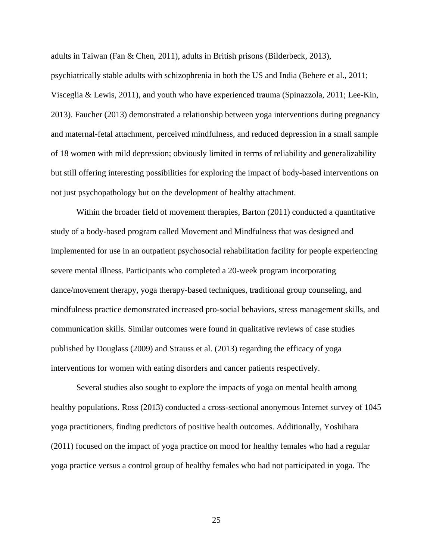adults in Taiwan (Fan & Chen, 2011), adults in British prisons (Bilderbeck, 2013),

psychiatrically stable adults with schizophrenia in both the US and India (Behere et al., 2011; Visceglia & Lewis, 2011), and youth who have experienced trauma (Spinazzola, 2011; Lee-Kin, 2013). Faucher (2013) demonstrated a relationship between yoga interventions during pregnancy and maternal-fetal attachment, perceived mindfulness, and reduced depression in a small sample of 18 women with mild depression; obviously limited in terms of reliability and generalizability but still offering interesting possibilities for exploring the impact of body-based interventions on not just psychopathology but on the development of healthy attachment.

Within the broader field of movement therapies, Barton (2011) conducted a quantitative study of a body-based program called Movement and Mindfulness that was designed and implemented for use in an outpatient psychosocial rehabilitation facility for people experiencing severe mental illness. Participants who completed a 20-week program incorporating dance/movement therapy, yoga therapy-based techniques, traditional group counseling, and mindfulness practice demonstrated increased pro-social behaviors, stress management skills, and communication skills. Similar outcomes were found in qualitative reviews of case studies published by Douglass (2009) and Strauss et al. (2013) regarding the efficacy of yoga interventions for women with eating disorders and cancer patients respectively.

 Several studies also sought to explore the impacts of yoga on mental health among healthy populations. Ross (2013) conducted a cross-sectional anonymous Internet survey of 1045 yoga practitioners, finding predictors of positive health outcomes. Additionally, Yoshihara (2011) focused on the impact of yoga practice on mood for healthy females who had a regular yoga practice versus a control group of healthy females who had not participated in yoga. The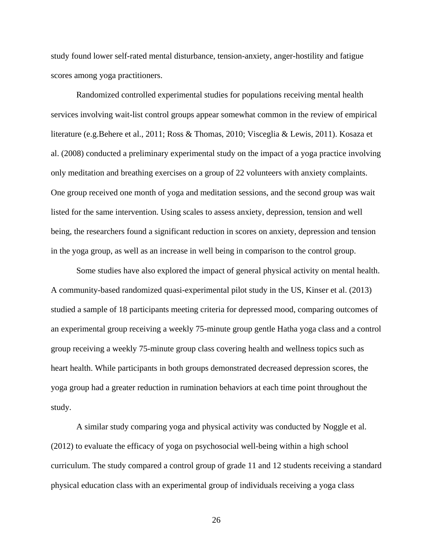study found lower self-rated mental disturbance, tension-anxiety, anger-hostility and fatigue scores among yoga practitioners.

 Randomized controlled experimental studies for populations receiving mental health services involving wait-list control groups appear somewhat common in the review of empirical literature (e.g.Behere et al., 2011; Ross & Thomas, 2010; Visceglia & Lewis, 2011). Kosaza et al. (2008) conducted a preliminary experimental study on the impact of a yoga practice involving only meditation and breathing exercises on a group of 22 volunteers with anxiety complaints. One group received one month of yoga and meditation sessions, and the second group was wait listed for the same intervention. Using scales to assess anxiety, depression, tension and well being, the researchers found a significant reduction in scores on anxiety, depression and tension in the yoga group, as well as an increase in well being in comparison to the control group.

 Some studies have also explored the impact of general physical activity on mental health. A community-based randomized quasi-experimental pilot study in the US, Kinser et al. (2013) studied a sample of 18 participants meeting criteria for depressed mood, comparing outcomes of an experimental group receiving a weekly 75-minute group gentle Hatha yoga class and a control group receiving a weekly 75-minute group class covering health and wellness topics such as heart health. While participants in both groups demonstrated decreased depression scores, the yoga group had a greater reduction in rumination behaviors at each time point throughout the study.

 A similar study comparing yoga and physical activity was conducted by Noggle et al. (2012) to evaluate the efficacy of yoga on psychosocial well-being within a high school curriculum. The study compared a control group of grade 11 and 12 students receiving a standard physical education class with an experimental group of individuals receiving a yoga class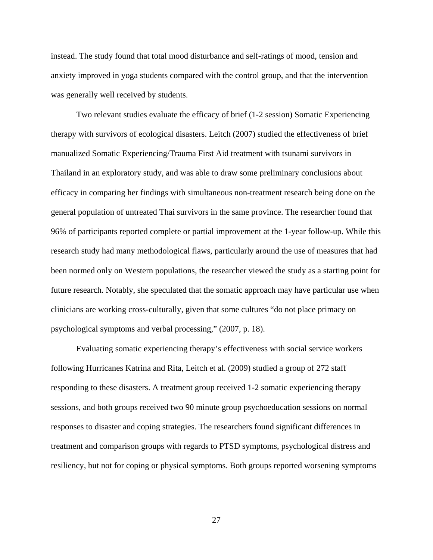instead. The study found that total mood disturbance and self-ratings of mood, tension and anxiety improved in yoga students compared with the control group, and that the intervention was generally well received by students.

Two relevant studies evaluate the efficacy of brief (1-2 session) Somatic Experiencing therapy with survivors of ecological disasters. Leitch (2007) studied the effectiveness of brief manualized Somatic Experiencing/Trauma First Aid treatment with tsunami survivors in Thailand in an exploratory study, and was able to draw some preliminary conclusions about efficacy in comparing her findings with simultaneous non-treatment research being done on the general population of untreated Thai survivors in the same province. The researcher found that 96% of participants reported complete or partial improvement at the 1-year follow-up. While this research study had many methodological flaws, particularly around the use of measures that had been normed only on Western populations, the researcher viewed the study as a starting point for future research. Notably, she speculated that the somatic approach may have particular use when clinicians are working cross-culturally, given that some cultures "do not place primacy on psychological symptoms and verbal processing," (2007, p. 18).

Evaluating somatic experiencing therapy's effectiveness with social service workers following Hurricanes Katrina and Rita, Leitch et al. (2009) studied a group of 272 staff responding to these disasters. A treatment group received 1-2 somatic experiencing therapy sessions, and both groups received two 90 minute group psychoeducation sessions on normal responses to disaster and coping strategies. The researchers found significant differences in treatment and comparison groups with regards to PTSD symptoms, psychological distress and resiliency, but not for coping or physical symptoms. Both groups reported worsening symptoms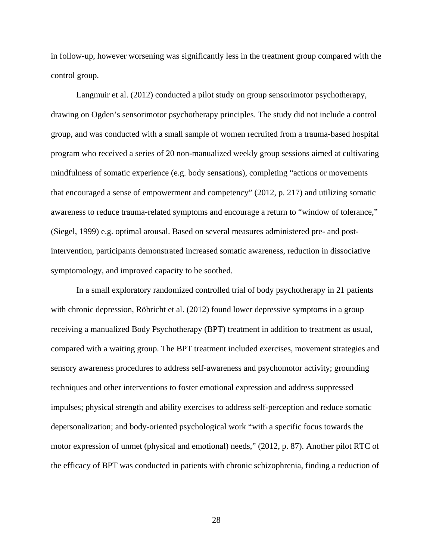in follow-up, however worsening was significantly less in the treatment group compared with the control group.

Langmuir et al. (2012) conducted a pilot study on group sensorimotor psychotherapy, drawing on Ogden's sensorimotor psychotherapy principles. The study did not include a control group, and was conducted with a small sample of women recruited from a trauma-based hospital program who received a series of 20 non-manualized weekly group sessions aimed at cultivating mindfulness of somatic experience (e.g. body sensations), completing "actions or movements that encouraged a sense of empowerment and competency" (2012, p. 217) and utilizing somatic awareness to reduce trauma-related symptoms and encourage a return to "window of tolerance," (Siegel, 1999) e.g. optimal arousal. Based on several measures administered pre- and postintervention, participants demonstrated increased somatic awareness, reduction in dissociative symptomology, and improved capacity to be soothed.

In a small exploratory randomized controlled trial of body psychotherapy in 21 patients with chronic depression, Röhricht et al. (2012) found lower depressive symptoms in a group receiving a manualized Body Psychotherapy (BPT) treatment in addition to treatment as usual, compared with a waiting group. The BPT treatment included exercises, movement strategies and sensory awareness procedures to address self-awareness and psychomotor activity; grounding techniques and other interventions to foster emotional expression and address suppressed impulses; physical strength and ability exercises to address self-perception and reduce somatic depersonalization; and body-oriented psychological work "with a specific focus towards the motor expression of unmet (physical and emotional) needs," (2012, p. 87). Another pilot RTC of the efficacy of BPT was conducted in patients with chronic schizophrenia, finding a reduction of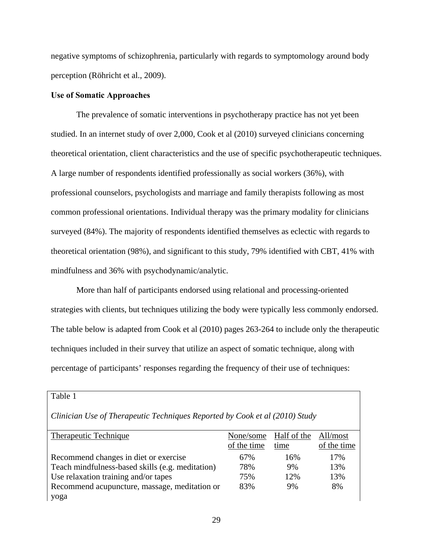negative symptoms of schizophrenia, particularly with regards to symptomology around body perception (Röhricht et al., 2009).

#### **Use of Somatic Approaches**

Table 1

 The prevalence of somatic interventions in psychotherapy practice has not yet been studied. In an internet study of over 2,000, Cook et al (2010) surveyed clinicians concerning theoretical orientation, client characteristics and the use of specific psychotherapeutic techniques. A large number of respondents identified professionally as social workers (36%), with professional counselors, psychologists and marriage and family therapists following as most common professional orientations. Individual therapy was the primary modality for clinicians surveyed (84%). The majority of respondents identified themselves as eclectic with regards to theoretical orientation (98%), and significant to this study, 79% identified with CBT, 41% with mindfulness and 36% with psychodynamic/analytic.

More than half of participants endorsed using relational and processing-oriented strategies with clients, but techniques utilizing the body were typically less commonly endorsed. The table below is adapted from Cook et al (2010) pages 263-264 to include only the therapeutic techniques included in their survey that utilize an aspect of somatic technique, along with percentage of participants' responses regarding the frequency of their use of techniques:

| Clinician Use of Therapeutic Techniques Reported by Cook et al (2010) Study |             |             |             |
|-----------------------------------------------------------------------------|-------------|-------------|-------------|
| Therapeutic Technique                                                       | None/some   | Half of the | All/most    |
|                                                                             | of the time | time        | of the time |
| Recommend changes in diet or exercise                                       | 67%         | 16%         | 17%         |
| Teach mindfulness-based skills (e.g. meditation)                            | 78%         | 9%          | 13%         |
| Use relaxation training and/or tapes                                        | 75%         | 12%         | 13%         |
| Recommend acupuncture, massage, meditation or                               | 83%         | 9%          | 8%          |
| yoga                                                                        |             |             |             |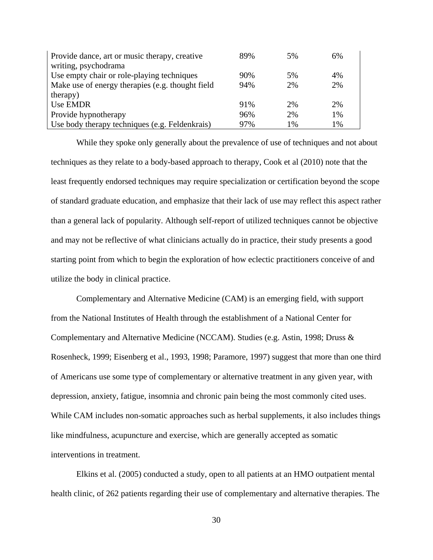| Provide dance, art or music therapy, creative    | 89% | 5% | 6% |
|--------------------------------------------------|-----|----|----|
| writing, psychodrama                             |     |    |    |
| Use empty chair or role-playing techniques       | 90% | 5% | 4% |
| Make use of energy therapies (e.g. thought field | 94% | 2% | 2% |
| therapy)                                         |     |    |    |
| Use EMDR                                         | 91% | 2% | 2% |
| Provide hypnotherapy                             | 96% | 2% | 1% |
| Use body therapy techniques (e.g. Feldenkrais)   | 97% | 1% | 1% |

While they spoke only generally about the prevalence of use of techniques and not about techniques as they relate to a body-based approach to therapy, Cook et al (2010) note that the least frequently endorsed techniques may require specialization or certification beyond the scope of standard graduate education, and emphasize that their lack of use may reflect this aspect rather than a general lack of popularity. Although self-report of utilized techniques cannot be objective and may not be reflective of what clinicians actually do in practice, their study presents a good starting point from which to begin the exploration of how eclectic practitioners conceive of and utilize the body in clinical practice.

Complementary and Alternative Medicine (CAM) is an emerging field, with support from the National Institutes of Health through the establishment of a National Center for Complementary and Alternative Medicine (NCCAM). Studies (e.g. Astin, 1998; Druss & Rosenheck, 1999; Eisenberg et al., 1993, 1998; Paramore, 1997) suggest that more than one third of Americans use some type of complementary or alternative treatment in any given year, with depression, anxiety, fatigue, insomnia and chronic pain being the most commonly cited uses. While CAM includes non-somatic approaches such as herbal supplements, it also includes things like mindfulness, acupuncture and exercise, which are generally accepted as somatic interventions in treatment.

Elkins et al. (2005) conducted a study, open to all patients at an HMO outpatient mental health clinic, of 262 patients regarding their use of complementary and alternative therapies. The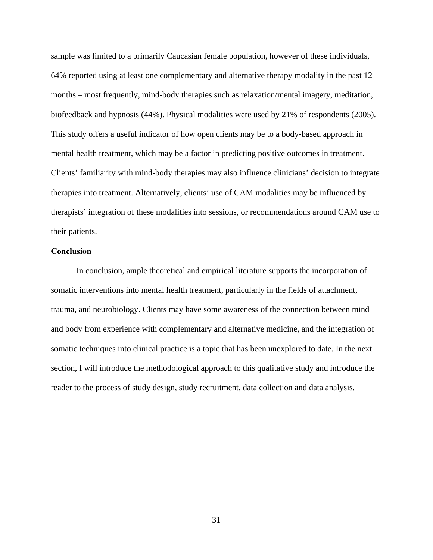sample was limited to a primarily Caucasian female population, however of these individuals, 64% reported using at least one complementary and alternative therapy modality in the past 12 months – most frequently, mind-body therapies such as relaxation/mental imagery, meditation, biofeedback and hypnosis (44%). Physical modalities were used by 21% of respondents (2005). This study offers a useful indicator of how open clients may be to a body-based approach in mental health treatment, which may be a factor in predicting positive outcomes in treatment. Clients' familiarity with mind-body therapies may also influence clinicians' decision to integrate therapies into treatment. Alternatively, clients' use of CAM modalities may be influenced by therapists' integration of these modalities into sessions, or recommendations around CAM use to their patients.

## **Conclusion**

In conclusion, ample theoretical and empirical literature supports the incorporation of somatic interventions into mental health treatment, particularly in the fields of attachment, trauma, and neurobiology. Clients may have some awareness of the connection between mind and body from experience with complementary and alternative medicine, and the integration of somatic techniques into clinical practice is a topic that has been unexplored to date. In the next section, I will introduce the methodological approach to this qualitative study and introduce the reader to the process of study design, study recruitment, data collection and data analysis.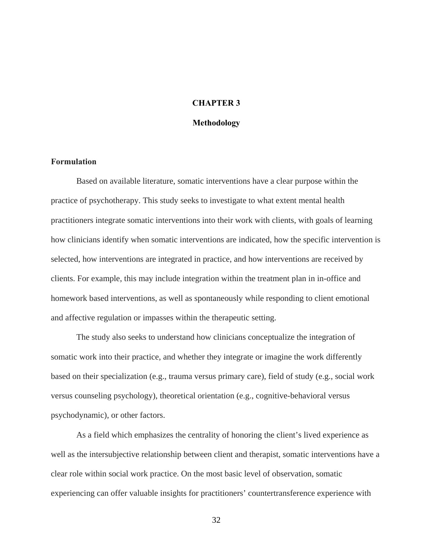## **CHAPTER 3**

#### **Methodology**

# **Formulation**

Based on available literature, somatic interventions have a clear purpose within the practice of psychotherapy. This study seeks to investigate to what extent mental health practitioners integrate somatic interventions into their work with clients, with goals of learning how clinicians identify when somatic interventions are indicated, how the specific intervention is selected, how interventions are integrated in practice, and how interventions are received by clients. For example, this may include integration within the treatment plan in in-office and homework based interventions, as well as spontaneously while responding to client emotional and affective regulation or impasses within the therapeutic setting.

The study also seeks to understand how clinicians conceptualize the integration of somatic work into their practice, and whether they integrate or imagine the work differently based on their specialization (e.g., trauma versus primary care), field of study (e.g., social work versus counseling psychology), theoretical orientation (e.g., cognitive-behavioral versus psychodynamic), or other factors.

 As a field which emphasizes the centrality of honoring the client's lived experience as well as the intersubjective relationship between client and therapist, somatic interventions have a clear role within social work practice. On the most basic level of observation, somatic experiencing can offer valuable insights for practitioners' countertransference experience with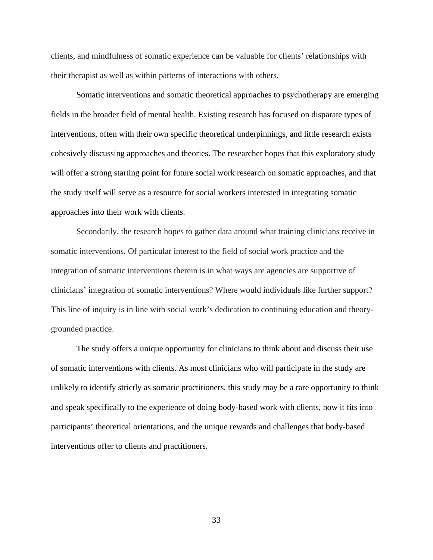clients, and mindfulness of somatic experience can be valuable for clients' relationships with their therapist as well as within patterns of interactions with others.

Somatic interventions and somatic theoretical approaches to psychotherapy are emerging fields in the broader field of mental health. Existing research has focused on disparate types of interventions, often with their own specific theoretical underpinnings, and little research exists cohesively discussing approaches and theories. The researcher hopes that this exploratory study will offer a strong starting point for future social work research on somatic approaches, and that the study itself will serve as a resource for social workers interested in integrating somatic approaches into their work with clients.

 Secondarily, the research hopes to gather data around what training clinicians receive in somatic interventions. Of particular interest to the field of social work practice and the integration of somatic interventions therein is in what ways are agencies are supportive of clinicians' integration of somatic interventions? Where would individuals like further support? This line of inquiry is in line with social work's dedication to continuing education and theorygrounded practice.

The study offers a unique opportunity for clinicians to think about and discuss their use of somatic interventions with clients. As most clinicians who will participate in the study are unlikely to identify strictly as somatic practitioners, this study may be a rare opportunity to think and speak specifically to the experience of doing body-based work with clients, how it fits into participants' theoretical orientations, and the unique rewards and challenges that body-based interventions offer to clients and practitioners.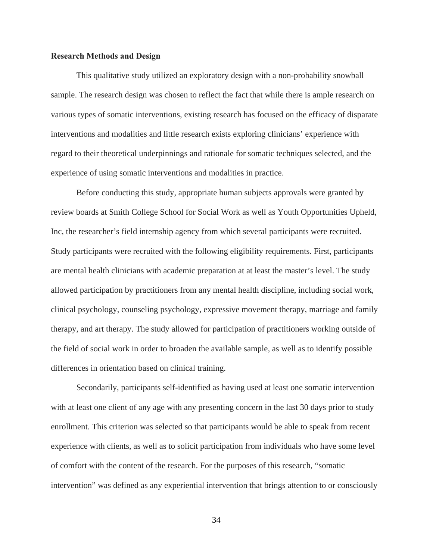### **Research Methods and Design**

 This qualitative study utilized an exploratory design with a non-probability snowball sample. The research design was chosen to reflect the fact that while there is ample research on various types of somatic interventions, existing research has focused on the efficacy of disparate interventions and modalities and little research exists exploring clinicians' experience with regard to their theoretical underpinnings and rationale for somatic techniques selected, and the experience of using somatic interventions and modalities in practice.

 Before conducting this study, appropriate human subjects approvals were granted by review boards at Smith College School for Social Work as well as Youth Opportunities Upheld, Inc, the researcher's field internship agency from which several participants were recruited. Study participants were recruited with the following eligibility requirements. First, participants are mental health clinicians with academic preparation at at least the master's level. The study allowed participation by practitioners from any mental health discipline, including social work, clinical psychology, counseling psychology, expressive movement therapy, marriage and family therapy, and art therapy. The study allowed for participation of practitioners working outside of the field of social work in order to broaden the available sample, as well as to identify possible differences in orientation based on clinical training.

Secondarily, participants self-identified as having used at least one somatic intervention with at least one client of any age with any presenting concern in the last 30 days prior to study enrollment. This criterion was selected so that participants would be able to speak from recent experience with clients, as well as to solicit participation from individuals who have some level of comfort with the content of the research. For the purposes of this research, "somatic intervention" was defined as any experiential intervention that brings attention to or consciously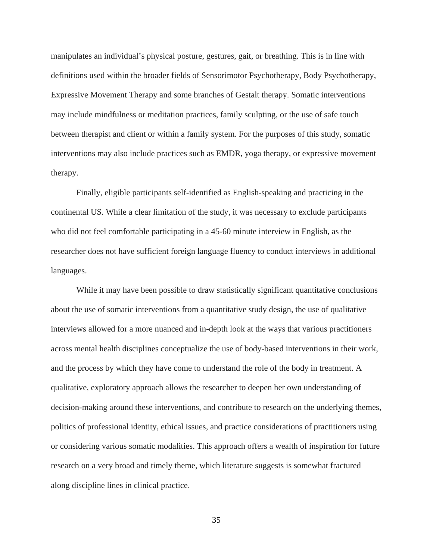manipulates an individual's physical posture, gestures, gait, or breathing. This is in line with definitions used within the broader fields of Sensorimotor Psychotherapy, Body Psychotherapy, Expressive Movement Therapy and some branches of Gestalt therapy. Somatic interventions may include mindfulness or meditation practices, family sculpting, or the use of safe touch between therapist and client or within a family system. For the purposes of this study, somatic interventions may also include practices such as EMDR, yoga therapy, or expressive movement therapy.

Finally, eligible participants self-identified as English-speaking and practicing in the continental US. While a clear limitation of the study, it was necessary to exclude participants who did not feel comfortable participating in a 45-60 minute interview in English, as the researcher does not have sufficient foreign language fluency to conduct interviews in additional languages.

 While it may have been possible to draw statistically significant quantitative conclusions about the use of somatic interventions from a quantitative study design, the use of qualitative interviews allowed for a more nuanced and in-depth look at the ways that various practitioners across mental health disciplines conceptualize the use of body-based interventions in their work, and the process by which they have come to understand the role of the body in treatment. A qualitative, exploratory approach allows the researcher to deepen her own understanding of decision-making around these interventions, and contribute to research on the underlying themes, politics of professional identity, ethical issues, and practice considerations of practitioners using or considering various somatic modalities. This approach offers a wealth of inspiration for future research on a very broad and timely theme, which literature suggests is somewhat fractured along discipline lines in clinical practice.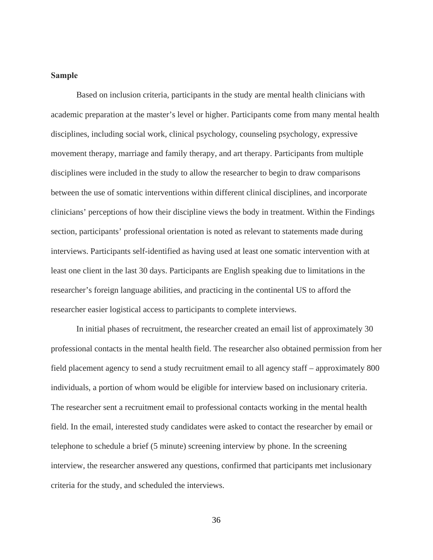# **Sample**

 Based on inclusion criteria, participants in the study are mental health clinicians with academic preparation at the master's level or higher. Participants come from many mental health disciplines, including social work, clinical psychology, counseling psychology, expressive movement therapy, marriage and family therapy, and art therapy. Participants from multiple disciplines were included in the study to allow the researcher to begin to draw comparisons between the use of somatic interventions within different clinical disciplines, and incorporate clinicians' perceptions of how their discipline views the body in treatment. Within the Findings section, participants' professional orientation is noted as relevant to statements made during interviews. Participants self-identified as having used at least one somatic intervention with at least one client in the last 30 days. Participants are English speaking due to limitations in the researcher's foreign language abilities, and practicing in the continental US to afford the researcher easier logistical access to participants to complete interviews.

 In initial phases of recruitment, the researcher created an email list of approximately 30 professional contacts in the mental health field. The researcher also obtained permission from her field placement agency to send a study recruitment email to all agency staff – approximately 800 individuals, a portion of whom would be eligible for interview based on inclusionary criteria. The researcher sent a recruitment email to professional contacts working in the mental health field. In the email, interested study candidates were asked to contact the researcher by email or telephone to schedule a brief (5 minute) screening interview by phone. In the screening interview, the researcher answered any questions, confirmed that participants met inclusionary criteria for the study, and scheduled the interviews.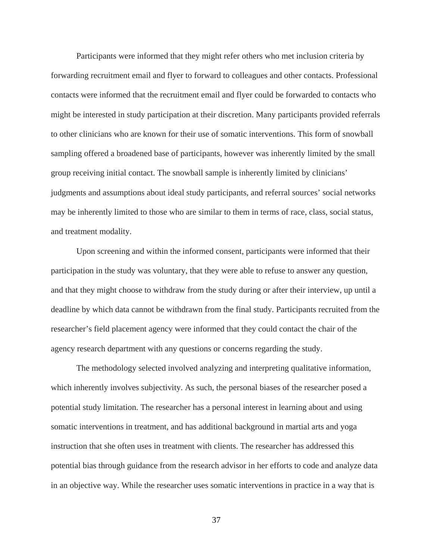Participants were informed that they might refer others who met inclusion criteria by forwarding recruitment email and flyer to forward to colleagues and other contacts. Professional contacts were informed that the recruitment email and flyer could be forwarded to contacts who might be interested in study participation at their discretion. Many participants provided referrals to other clinicians who are known for their use of somatic interventions. This form of snowball sampling offered a broadened base of participants, however was inherently limited by the small group receiving initial contact. The snowball sample is inherently limited by clinicians' judgments and assumptions about ideal study participants, and referral sources' social networks may be inherently limited to those who are similar to them in terms of race, class, social status, and treatment modality.

 Upon screening and within the informed consent, participants were informed that their participation in the study was voluntary, that they were able to refuse to answer any question, and that they might choose to withdraw from the study during or after their interview, up until a deadline by which data cannot be withdrawn from the final study. Participants recruited from the researcher's field placement agency were informed that they could contact the chair of the agency research department with any questions or concerns regarding the study.

 The methodology selected involved analyzing and interpreting qualitative information, which inherently involves subjectivity. As such, the personal biases of the researcher posed a potential study limitation. The researcher has a personal interest in learning about and using somatic interventions in treatment, and has additional background in martial arts and yoga instruction that she often uses in treatment with clients. The researcher has addressed this potential bias through guidance from the research advisor in her efforts to code and analyze data in an objective way. While the researcher uses somatic interventions in practice in a way that is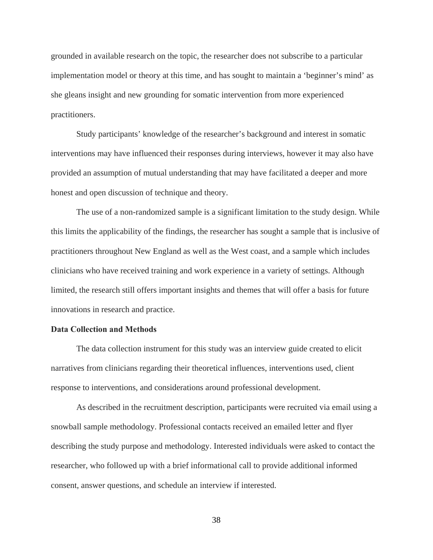grounded in available research on the topic, the researcher does not subscribe to a particular implementation model or theory at this time, and has sought to maintain a 'beginner's mind' as she gleans insight and new grounding for somatic intervention from more experienced practitioners.

Study participants' knowledge of the researcher's background and interest in somatic interventions may have influenced their responses during interviews, however it may also have provided an assumption of mutual understanding that may have facilitated a deeper and more honest and open discussion of technique and theory.

 The use of a non-randomized sample is a significant limitation to the study design. While this limits the applicability of the findings, the researcher has sought a sample that is inclusive of practitioners throughout New England as well as the West coast, and a sample which includes clinicians who have received training and work experience in a variety of settings. Although limited, the research still offers important insights and themes that will offer a basis for future innovations in research and practice.

## **Data Collection and Methods**

 The data collection instrument for this study was an interview guide created to elicit narratives from clinicians regarding their theoretical influences, interventions used, client response to interventions, and considerations around professional development.

As described in the recruitment description, participants were recruited via email using a snowball sample methodology. Professional contacts received an emailed letter and flyer describing the study purpose and methodology. Interested individuals were asked to contact the researcher, who followed up with a brief informational call to provide additional informed consent, answer questions, and schedule an interview if interested.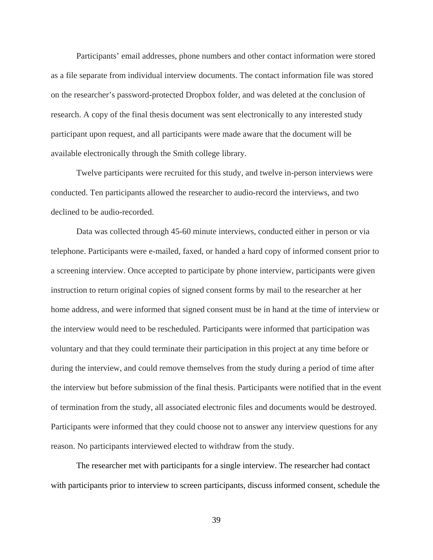Participants' email addresses, phone numbers and other contact information were stored as a file separate from individual interview documents. The contact information file was stored on the researcher's password-protected Dropbox folder, and was deleted at the conclusion of research. A copy of the final thesis document was sent electronically to any interested study participant upon request, and all participants were made aware that the document will be available electronically through the Smith college library.

Twelve participants were recruited for this study, and twelve in-person interviews were conducted. Ten participants allowed the researcher to audio-record the interviews, and two declined to be audio-recorded.

Data was collected through 45-60 minute interviews, conducted either in person or via telephone. Participants were e-mailed, faxed, or handed a hard copy of informed consent prior to a screening interview. Once accepted to participate by phone interview, participants were given instruction to return original copies of signed consent forms by mail to the researcher at her home address, and were informed that signed consent must be in hand at the time of interview or the interview would need to be rescheduled. Participants were informed that participation was voluntary and that they could terminate their participation in this project at any time before or during the interview, and could remove themselves from the study during a period of time after the interview but before submission of the final thesis. Participants were notified that in the event of termination from the study, all associated electronic files and documents would be destroyed. Participants were informed that they could choose not to answer any interview questions for any reason. No participants interviewed elected to withdraw from the study.

The researcher met with participants for a single interview. The researcher had contact with participants prior to interview to screen participants, discuss informed consent, schedule the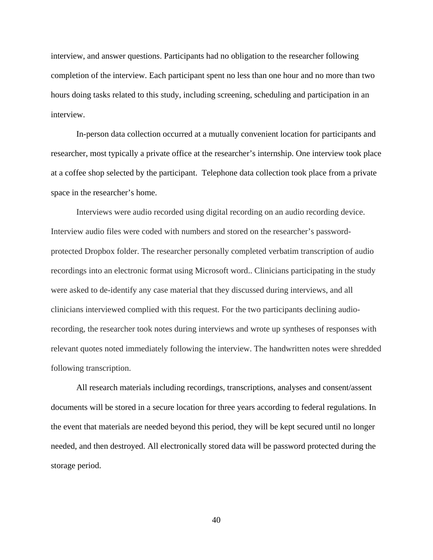interview, and answer questions. Participants had no obligation to the researcher following completion of the interview. Each participant spent no less than one hour and no more than two hours doing tasks related to this study, including screening, scheduling and participation in an interview.

In-person data collection occurred at a mutually convenient location for participants and researcher, most typically a private office at the researcher's internship. One interview took place at a coffee shop selected by the participant. Telephone data collection took place from a private space in the researcher's home.

Interviews were audio recorded using digital recording on an audio recording device. Interview audio files were coded with numbers and stored on the researcher's passwordprotected Dropbox folder. The researcher personally completed verbatim transcription of audio recordings into an electronic format using Microsoft word.. Clinicians participating in the study were asked to de-identify any case material that they discussed during interviews, and all clinicians interviewed complied with this request. For the two participants declining audiorecording, the researcher took notes during interviews and wrote up syntheses of responses with relevant quotes noted immediately following the interview. The handwritten notes were shredded following transcription.

All research materials including recordings, transcriptions, analyses and consent/assent documents will be stored in a secure location for three years according to federal regulations. In the event that materials are needed beyond this period, they will be kept secured until no longer needed, and then destroyed. All electronically stored data will be password protected during the storage period.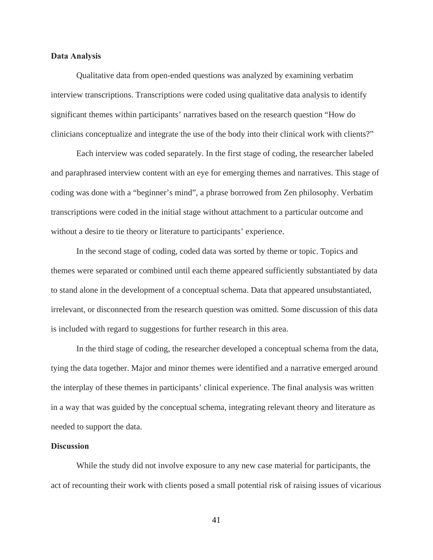## **Data Analysis**

Qualitative data from open-ended questions was analyzed by examining verbatim interview transcriptions. Transcriptions were coded using qualitative data analysis to identify significant themes within participants' narratives based on the research question "How do clinicians conceptualize and integrate the use of the body into their clinical work with clients?"

Each interview was coded separately. In the first stage of coding, the researcher labeled and paraphrased interview content with an eye for emerging themes and narratives. This stage of coding was done with a "beginner's mind", a phrase borrowed from Zen philosophy. Verbatim transcriptions were coded in the initial stage without attachment to a particular outcome and without a desire to tie theory or literature to participants' experience.

In the second stage of coding, coded data was sorted by theme or topic. Topics and themes were separated or combined until each theme appeared sufficiently substantiated by data to stand alone in the development of a conceptual schema. Data that appeared unsubstantiated, irrelevant, or disconnected from the research question was omitted. Some discussion of this data is included with regard to suggestions for further research in this area.

In the third stage of coding, the researcher developed a conceptual schema from the data, tying the data together. Major and minor themes were identified and a narrative emerged around the interplay of these themes in participants' clinical experience. The final analysis was written in a way that was guided by the conceptual schema, integrating relevant theory and literature as needed to support the data.

### **Discussion**

 While the study did not involve exposure to any new case material for participants, the act of recounting their work with clients posed a small potential risk of raising issues of vicarious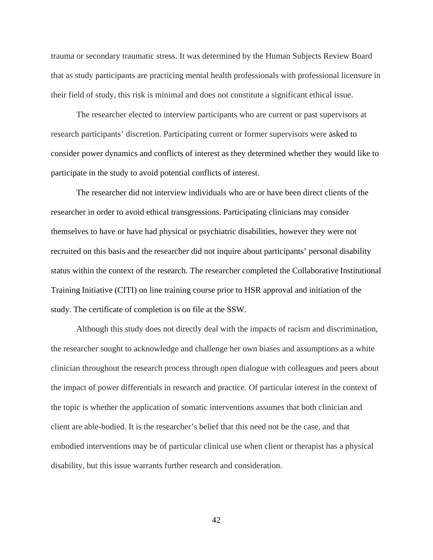trauma or secondary traumatic stress. It was determined by the Human Subjects Review Board that as study participants are practicing mental health professionals with professional licensure in their field of study, this risk is minimal and does not constitute a significant ethical issue.

 The researcher elected to interview participants who are current or past supervisors at research participants' discretion. Participating current or former supervisors were asked to consider power dynamics and conflicts of interest as they determined whether they would like to participate in the study to avoid potential conflicts of interest.

 The researcher did not interview individuals who are or have been direct clients of the researcher in order to avoid ethical transgressions. Participating clinicians may consider themselves to have or have had physical or psychiatric disabilities, however they were not recruited on this basis and the researcher did not inquire about participants' personal disability status within the context of the research. The researcher completed the Collaborative Institutional Training Initiative (CITI) on line training course prior to HSR approval and initiation of the study. The certificate of completion is on file at the SSW.

 Although this study does not directly deal with the impacts of racism and discrimination, the researcher sought to acknowledge and challenge her own biases and assumptions as a white clinician throughout the research process through open dialogue with colleagues and peers about the impact of power differentials in research and practice. Of particular interest in the context of the topic is whether the application of somatic interventions assumes that both clinician and client are able-bodied. It is the researcher's belief that this need not be the case, and that embodied interventions may be of particular clinical use when client or therapist has a physical disability, but this issue warrants further research and consideration.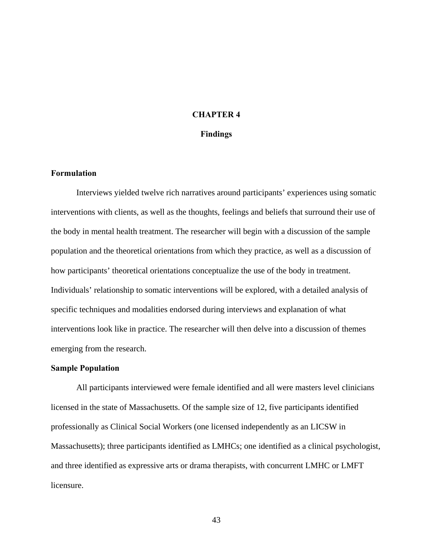# **CHAPTER 4**

## **Findings**

# **Formulation**

 Interviews yielded twelve rich narratives around participants' experiences using somatic interventions with clients, as well as the thoughts, feelings and beliefs that surround their use of the body in mental health treatment. The researcher will begin with a discussion of the sample population and the theoretical orientations from which they practice, as well as a discussion of how participants' theoretical orientations conceptualize the use of the body in treatment. Individuals' relationship to somatic interventions will be explored, with a detailed analysis of specific techniques and modalities endorsed during interviews and explanation of what interventions look like in practice. The researcher will then delve into a discussion of themes emerging from the research.

### **Sample Population**

All participants interviewed were female identified and all were masters level clinicians licensed in the state of Massachusetts. Of the sample size of 12, five participants identified professionally as Clinical Social Workers (one licensed independently as an LICSW in Massachusetts); three participants identified as LMHCs; one identified as a clinical psychologist, and three identified as expressive arts or drama therapists, with concurrent LMHC or LMFT licensure.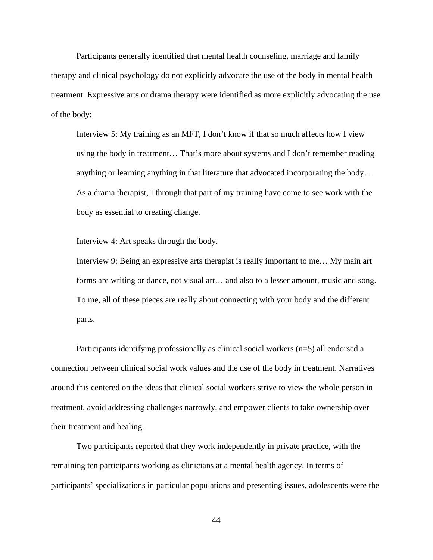Participants generally identified that mental health counseling, marriage and family therapy and clinical psychology do not explicitly advocate the use of the body in mental health treatment. Expressive arts or drama therapy were identified as more explicitly advocating the use of the body:

Interview 5: My training as an MFT, I don't know if that so much affects how I view using the body in treatment… That's more about systems and I don't remember reading anything or learning anything in that literature that advocated incorporating the body… As a drama therapist, I through that part of my training have come to see work with the body as essential to creating change.

Interview 4: Art speaks through the body.

Interview 9: Being an expressive arts therapist is really important to me… My main art forms are writing or dance, not visual art… and also to a lesser amount, music and song. To me, all of these pieces are really about connecting with your body and the different parts.

Participants identifying professionally as clinical social workers (n=5) all endorsed a connection between clinical social work values and the use of the body in treatment. Narratives around this centered on the ideas that clinical social workers strive to view the whole person in treatment, avoid addressing challenges narrowly, and empower clients to take ownership over their treatment and healing.

 Two participants reported that they work independently in private practice, with the remaining ten participants working as clinicians at a mental health agency. In terms of participants' specializations in particular populations and presenting issues, adolescents were the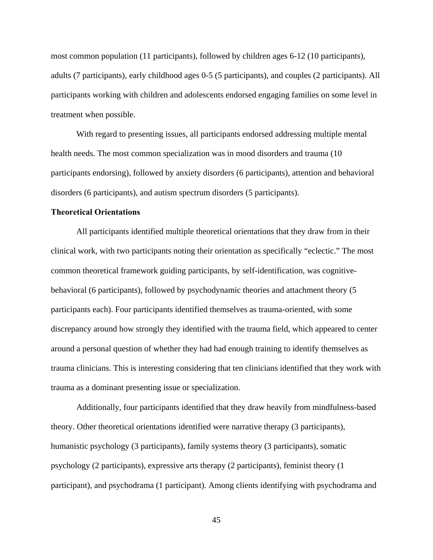most common population (11 participants), followed by children ages 6-12 (10 participants), adults (7 participants), early childhood ages 0-5 (5 participants), and couples (2 participants). All participants working with children and adolescents endorsed engaging families on some level in treatment when possible.

With regard to presenting issues, all participants endorsed addressing multiple mental health needs. The most common specialization was in mood disorders and trauma (10 participants endorsing), followed by anxiety disorders (6 participants), attention and behavioral disorders (6 participants), and autism spectrum disorders (5 participants).

### **Theoretical Orientations**

All participants identified multiple theoretical orientations that they draw from in their clinical work, with two participants noting their orientation as specifically "eclectic." The most common theoretical framework guiding participants, by self-identification, was cognitivebehavioral (6 participants), followed by psychodynamic theories and attachment theory (5 participants each). Four participants identified themselves as trauma-oriented, with some discrepancy around how strongly they identified with the trauma field, which appeared to center around a personal question of whether they had had enough training to identify themselves as trauma clinicians. This is interesting considering that ten clinicians identified that they work with trauma as a dominant presenting issue or specialization.

Additionally, four participants identified that they draw heavily from mindfulness-based theory. Other theoretical orientations identified were narrative therapy (3 participants), humanistic psychology (3 participants), family systems theory (3 participants), somatic psychology (2 participants), expressive arts therapy (2 participants), feminist theory (1 participant), and psychodrama (1 participant). Among clients identifying with psychodrama and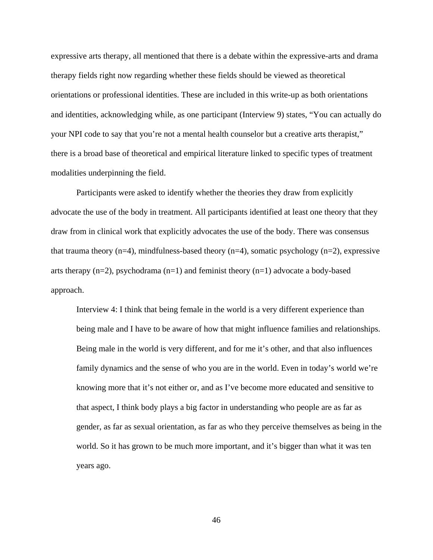expressive arts therapy, all mentioned that there is a debate within the expressive-arts and drama therapy fields right now regarding whether these fields should be viewed as theoretical orientations or professional identities. These are included in this write-up as both orientations and identities, acknowledging while, as one participant (Interview 9) states, "You can actually do your NPI code to say that you're not a mental health counselor but a creative arts therapist," there is a broad base of theoretical and empirical literature linked to specific types of treatment modalities underpinning the field.

Participants were asked to identify whether the theories they draw from explicitly advocate the use of the body in treatment. All participants identified at least one theory that they draw from in clinical work that explicitly advocates the use of the body. There was consensus that trauma theory  $(n=4)$ , mindfulness-based theory  $(n=4)$ , somatic psychology  $(n=2)$ , expressive arts therapy  $(n=2)$ , psychodrama  $(n=1)$  and feminist theory  $(n=1)$  advocate a body-based approach.

Interview 4: I think that being female in the world is a very different experience than being male and I have to be aware of how that might influence families and relationships. Being male in the world is very different, and for me it's other, and that also influences family dynamics and the sense of who you are in the world. Even in today's world we're knowing more that it's not either or, and as I've become more educated and sensitive to that aspect, I think body plays a big factor in understanding who people are as far as gender, as far as sexual orientation, as far as who they perceive themselves as being in the world. So it has grown to be much more important, and it's bigger than what it was ten years ago.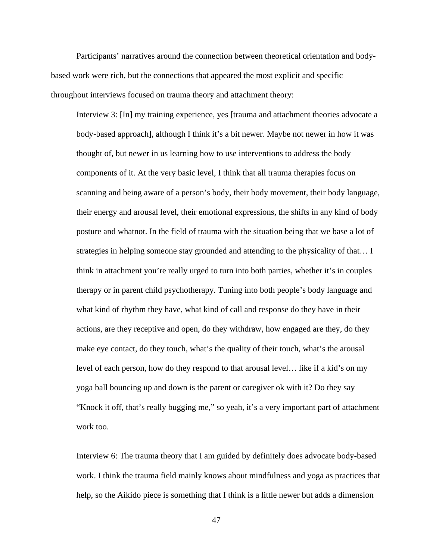Participants' narratives around the connection between theoretical orientation and bodybased work were rich, but the connections that appeared the most explicit and specific throughout interviews focused on trauma theory and attachment theory:

Interview 3: [In] my training experience, yes [trauma and attachment theories advocate a body-based approach], although I think it's a bit newer. Maybe not newer in how it was thought of, but newer in us learning how to use interventions to address the body components of it. At the very basic level, I think that all trauma therapies focus on scanning and being aware of a person's body, their body movement, their body language, their energy and arousal level, their emotional expressions, the shifts in any kind of body posture and whatnot. In the field of trauma with the situation being that we base a lot of strategies in helping someone stay grounded and attending to the physicality of that… I think in attachment you're really urged to turn into both parties, whether it's in couples therapy or in parent child psychotherapy. Tuning into both people's body language and what kind of rhythm they have, what kind of call and response do they have in their actions, are they receptive and open, do they withdraw, how engaged are they, do they make eye contact, do they touch, what's the quality of their touch, what's the arousal level of each person, how do they respond to that arousal level… like if a kid's on my yoga ball bouncing up and down is the parent or caregiver ok with it? Do they say "Knock it off, that's really bugging me," so yeah, it's a very important part of attachment work too.

Interview 6: The trauma theory that I am guided by definitely does advocate body-based work. I think the trauma field mainly knows about mindfulness and yoga as practices that help, so the Aikido piece is something that I think is a little newer but adds a dimension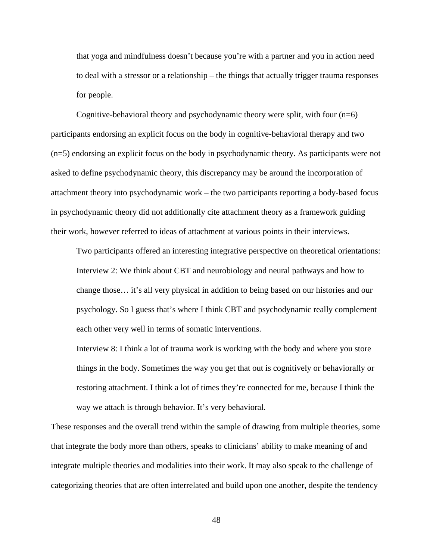that yoga and mindfulness doesn't because you're with a partner and you in action need to deal with a stressor or a relationship – the things that actually trigger trauma responses for people.

Cognitive-behavioral theory and psychodynamic theory were split, with four  $(n=6)$ participants endorsing an explicit focus on the body in cognitive-behavioral therapy and two (n=5) endorsing an explicit focus on the body in psychodynamic theory. As participants were not asked to define psychodynamic theory, this discrepancy may be around the incorporation of attachment theory into psychodynamic work – the two participants reporting a body-based focus in psychodynamic theory did not additionally cite attachment theory as a framework guiding their work, however referred to ideas of attachment at various points in their interviews.

Two participants offered an interesting integrative perspective on theoretical orientations: Interview 2: We think about CBT and neurobiology and neural pathways and how to change those… it's all very physical in addition to being based on our histories and our psychology. So I guess that's where I think CBT and psychodynamic really complement each other very well in terms of somatic interventions.

Interview 8: I think a lot of trauma work is working with the body and where you store things in the body. Sometimes the way you get that out is cognitively or behaviorally or restoring attachment. I think a lot of times they're connected for me, because I think the way we attach is through behavior. It's very behavioral.

These responses and the overall trend within the sample of drawing from multiple theories, some that integrate the body more than others, speaks to clinicians' ability to make meaning of and integrate multiple theories and modalities into their work. It may also speak to the challenge of categorizing theories that are often interrelated and build upon one another, despite the tendency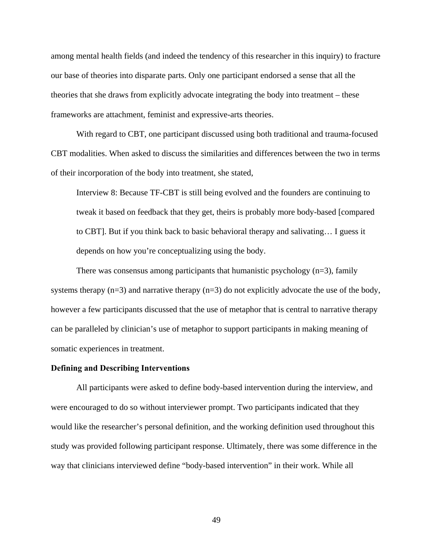among mental health fields (and indeed the tendency of this researcher in this inquiry) to fracture our base of theories into disparate parts. Only one participant endorsed a sense that all the theories that she draws from explicitly advocate integrating the body into treatment – these frameworks are attachment, feminist and expressive-arts theories.

With regard to CBT, one participant discussed using both traditional and trauma-focused CBT modalities. When asked to discuss the similarities and differences between the two in terms of their incorporation of the body into treatment, she stated,

Interview 8: Because TF-CBT is still being evolved and the founders are continuing to tweak it based on feedback that they get, theirs is probably more body-based [compared to CBT]. But if you think back to basic behavioral therapy and salivating… I guess it depends on how you're conceptualizing using the body.

There was consensus among participants that humanistic psychology  $(n=3)$ , family systems therapy  $(n=3)$  and narrative therapy  $(n=3)$  do not explicitly advocate the use of the body, however a few participants discussed that the use of metaphor that is central to narrative therapy can be paralleled by clinician's use of metaphor to support participants in making meaning of somatic experiences in treatment.

### **Defining and Describing Interventions**

All participants were asked to define body-based intervention during the interview, and were encouraged to do so without interviewer prompt. Two participants indicated that they would like the researcher's personal definition, and the working definition used throughout this study was provided following participant response. Ultimately, there was some difference in the way that clinicians interviewed define "body-based intervention" in their work. While all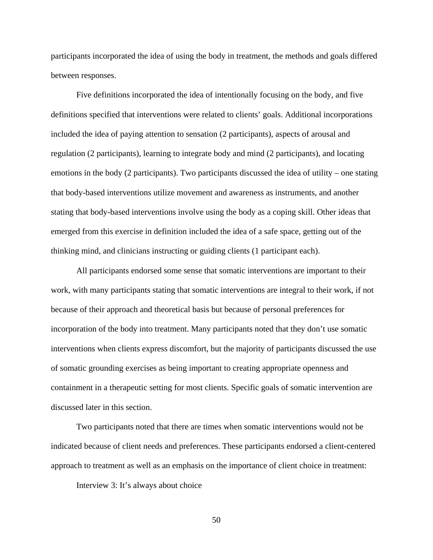participants incorporated the idea of using the body in treatment, the methods and goals differed between responses.

Five definitions incorporated the idea of intentionally focusing on the body, and five definitions specified that interventions were related to clients' goals. Additional incorporations included the idea of paying attention to sensation (2 participants), aspects of arousal and regulation (2 participants), learning to integrate body and mind (2 participants), and locating emotions in the body (2 participants). Two participants discussed the idea of utility – one stating that body-based interventions utilize movement and awareness as instruments, and another stating that body-based interventions involve using the body as a coping skill. Other ideas that emerged from this exercise in definition included the idea of a safe space, getting out of the thinking mind, and clinicians instructing or guiding clients (1 participant each).

All participants endorsed some sense that somatic interventions are important to their work, with many participants stating that somatic interventions are integral to their work, if not because of their approach and theoretical basis but because of personal preferences for incorporation of the body into treatment. Many participants noted that they don't use somatic interventions when clients express discomfort, but the majority of participants discussed the use of somatic grounding exercises as being important to creating appropriate openness and containment in a therapeutic setting for most clients. Specific goals of somatic intervention are discussed later in this section.

Two participants noted that there are times when somatic interventions would not be indicated because of client needs and preferences. These participants endorsed a client-centered approach to treatment as well as an emphasis on the importance of client choice in treatment:

Interview 3: It's always about choice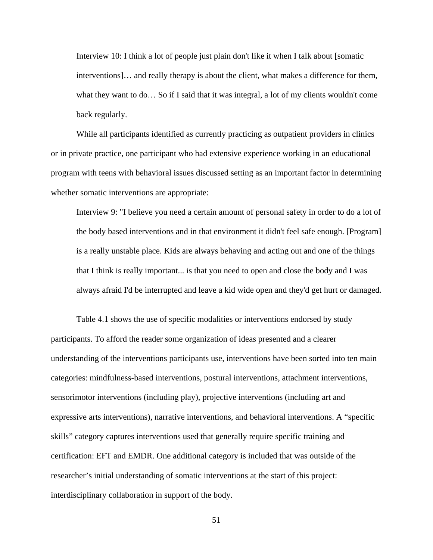Interview 10: I think a lot of people just plain don't like it when I talk about [somatic interventions]… and really therapy is about the client, what makes a difference for them, what they want to do… So if I said that it was integral, a lot of my clients wouldn't come back regularly.

 While all participants identified as currently practicing as outpatient providers in clinics or in private practice, one participant who had extensive experience working in an educational program with teens with behavioral issues discussed setting as an important factor in determining whether somatic interventions are appropriate:

Interview 9: "I believe you need a certain amount of personal safety in order to do a lot of the body based interventions and in that environment it didn't feel safe enough. [Program] is a really unstable place. Kids are always behaving and acting out and one of the things that I think is really important... is that you need to open and close the body and I was always afraid I'd be interrupted and leave a kid wide open and they'd get hurt or damaged.

Table 4.1 shows the use of specific modalities or interventions endorsed by study participants. To afford the reader some organization of ideas presented and a clearer understanding of the interventions participants use, interventions have been sorted into ten main categories: mindfulness-based interventions, postural interventions, attachment interventions, sensorimotor interventions (including play), projective interventions (including art and expressive arts interventions), narrative interventions, and behavioral interventions. A "specific skills" category captures interventions used that generally require specific training and certification: EFT and EMDR. One additional category is included that was outside of the researcher's initial understanding of somatic interventions at the start of this project: interdisciplinary collaboration in support of the body.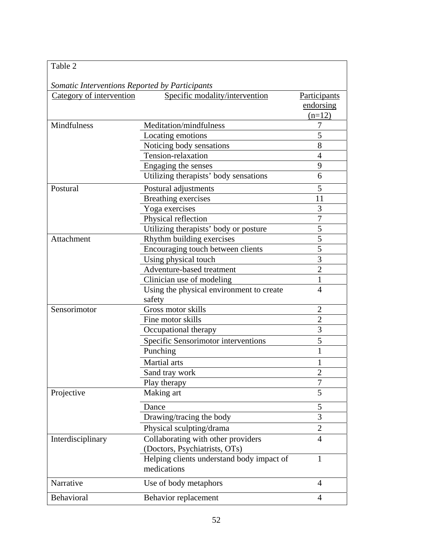| Table 2                                        |                                                          |                |
|------------------------------------------------|----------------------------------------------------------|----------------|
| Somatic Interventions Reported by Participants |                                                          |                |
| Category of intervention                       | Specific modality/intervention                           | Participants   |
|                                                |                                                          | endorsing      |
|                                                |                                                          | $(n=12)$       |
| Mindfulness                                    | Meditation/mindfulness                                   | 7              |
|                                                | Locating emotions                                        | 5              |
|                                                | Noticing body sensations                                 | 8              |
|                                                | Tension-relaxation                                       | $\overline{4}$ |
|                                                | Engaging the senses                                      | 9              |
|                                                | Utilizing therapists' body sensations                    | 6              |
| Postural                                       | Postural adjustments                                     | 5              |
|                                                | <b>Breathing exercises</b>                               | 11             |
|                                                | Yoga exercises                                           | 3              |
|                                                | Physical reflection                                      | $\overline{7}$ |
|                                                | Utilizing therapists' body or posture                    | $\overline{5}$ |
| Attachment                                     | Rhythm building exercises                                | $\overline{5}$ |
|                                                | Encouraging touch between clients                        | $\overline{5}$ |
|                                                | Using physical touch                                     | $\overline{3}$ |
|                                                | Adventure-based treatment                                | $\overline{2}$ |
|                                                | Clinician use of modeling                                | $\mathbf{1}$   |
|                                                | Using the physical environment to create<br>safety       | $\overline{4}$ |
| Sensorimotor                                   | Gross motor skills                                       | $\overline{2}$ |
|                                                | Fine motor skills                                        | $\overline{2}$ |
|                                                | Occupational therapy                                     | $\overline{3}$ |
|                                                | Specific Sensorimotor interventions                      | 5              |
|                                                |                                                          | 1              |
|                                                | Punching                                                 |                |
|                                                | Martial arts                                             | 1              |
|                                                | Sand tray work                                           | $\overline{2}$ |
|                                                | Play therapy                                             | 7              |
| Projective                                     | Making art                                               | 5              |
|                                                | Dance                                                    | 5              |
|                                                | Drawing/tracing the body                                 | $\overline{3}$ |
|                                                | Physical sculpting/drama                                 | $\overline{2}$ |
| Interdisciplinary                              | Collaborating with other providers                       | $\overline{4}$ |
|                                                | (Doctors, Psychiatrists, OTs)                            |                |
|                                                | Helping clients understand body impact of<br>medications | 1              |
| Narrative                                      | Use of body metaphors                                    | $\overline{4}$ |
| Behavioral                                     | Behavior replacement                                     | $\overline{4}$ |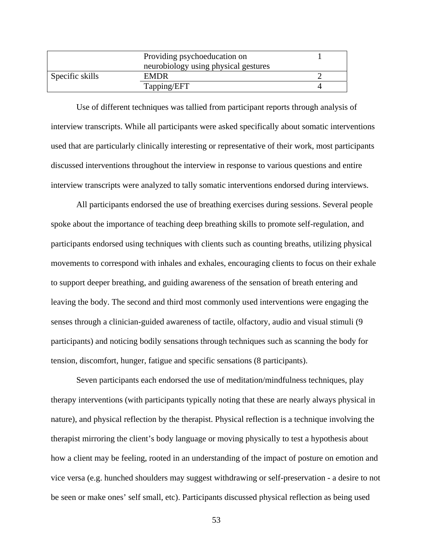|                 | Providing psychoeducation on         |  |
|-----------------|--------------------------------------|--|
|                 | neurobiology using physical gestures |  |
| Specific skills | <b>EMDR</b>                          |  |
|                 | Tapping/EFT                          |  |

 Use of different techniques was tallied from participant reports through analysis of interview transcripts. While all participants were asked specifically about somatic interventions used that are particularly clinically interesting or representative of their work, most participants discussed interventions throughout the interview in response to various questions and entire interview transcripts were analyzed to tally somatic interventions endorsed during interviews.

 All participants endorsed the use of breathing exercises during sessions. Several people spoke about the importance of teaching deep breathing skills to promote self-regulation, and participants endorsed using techniques with clients such as counting breaths, utilizing physical movements to correspond with inhales and exhales, encouraging clients to focus on their exhale to support deeper breathing, and guiding awareness of the sensation of breath entering and leaving the body. The second and third most commonly used interventions were engaging the senses through a clinician-guided awareness of tactile, olfactory, audio and visual stimuli (9 participants) and noticing bodily sensations through techniques such as scanning the body for tension, discomfort, hunger, fatigue and specific sensations (8 participants).

Seven participants each endorsed the use of meditation/mindfulness techniques, play therapy interventions (with participants typically noting that these are nearly always physical in nature), and physical reflection by the therapist. Physical reflection is a technique involving the therapist mirroring the client's body language or moving physically to test a hypothesis about how a client may be feeling, rooted in an understanding of the impact of posture on emotion and vice versa (e.g. hunched shoulders may suggest withdrawing or self-preservation - a desire to not be seen or make ones' self small, etc). Participants discussed physical reflection as being used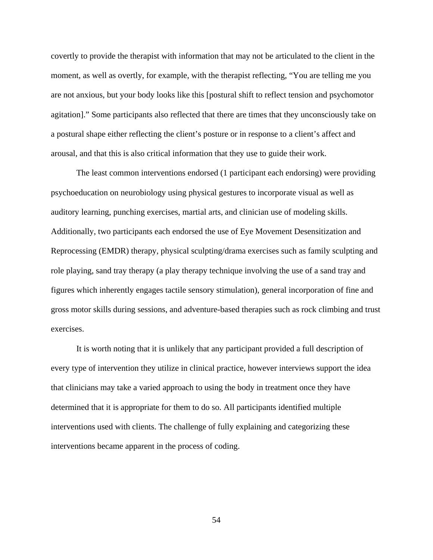covertly to provide the therapist with information that may not be articulated to the client in the moment, as well as overtly, for example, with the therapist reflecting, "You are telling me you are not anxious, but your body looks like this [postural shift to reflect tension and psychomotor agitation]." Some participants also reflected that there are times that they unconsciously take on a postural shape either reflecting the client's posture or in response to a client's affect and arousal, and that this is also critical information that they use to guide their work.

 The least common interventions endorsed (1 participant each endorsing) were providing psychoeducation on neurobiology using physical gestures to incorporate visual as well as auditory learning, punching exercises, martial arts, and clinician use of modeling skills. Additionally, two participants each endorsed the use of Eye Movement Desensitization and Reprocessing (EMDR) therapy, physical sculpting/drama exercises such as family sculpting and role playing, sand tray therapy (a play therapy technique involving the use of a sand tray and figures which inherently engages tactile sensory stimulation), general incorporation of fine and gross motor skills during sessions, and adventure-based therapies such as rock climbing and trust exercises.

It is worth noting that it is unlikely that any participant provided a full description of every type of intervention they utilize in clinical practice, however interviews support the idea that clinicians may take a varied approach to using the body in treatment once they have determined that it is appropriate for them to do so. All participants identified multiple interventions used with clients. The challenge of fully explaining and categorizing these interventions became apparent in the process of coding.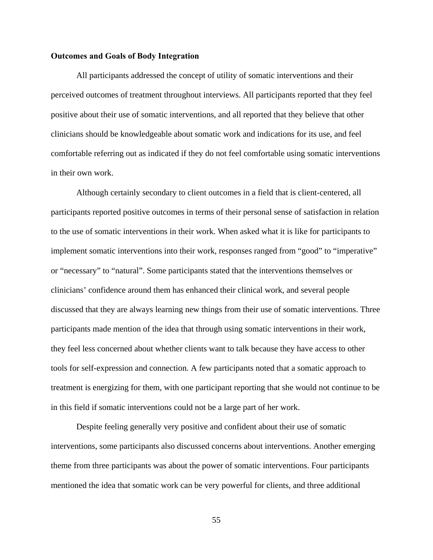### **Outcomes and Goals of Body Integration**

 All participants addressed the concept of utility of somatic interventions and their perceived outcomes of treatment throughout interviews. All participants reported that they feel positive about their use of somatic interventions, and all reported that they believe that other clinicians should be knowledgeable about somatic work and indications for its use, and feel comfortable referring out as indicated if they do not feel comfortable using somatic interventions in their own work.

Although certainly secondary to client outcomes in a field that is client-centered, all participants reported positive outcomes in terms of their personal sense of satisfaction in relation to the use of somatic interventions in their work. When asked what it is like for participants to implement somatic interventions into their work, responses ranged from "good" to "imperative" or "necessary" to "natural". Some participants stated that the interventions themselves or clinicians' confidence around them has enhanced their clinical work, and several people discussed that they are always learning new things from their use of somatic interventions. Three participants made mention of the idea that through using somatic interventions in their work, they feel less concerned about whether clients want to talk because they have access to other tools for self-expression and connection. A few participants noted that a somatic approach to treatment is energizing for them, with one participant reporting that she would not continue to be in this field if somatic interventions could not be a large part of her work.

Despite feeling generally very positive and confident about their use of somatic interventions, some participants also discussed concerns about interventions. Another emerging theme from three participants was about the power of somatic interventions. Four participants mentioned the idea that somatic work can be very powerful for clients, and three additional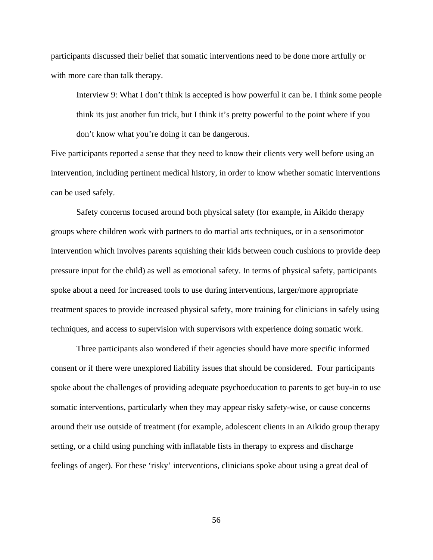participants discussed their belief that somatic interventions need to be done more artfully or with more care than talk therapy.

Interview 9: What I don't think is accepted is how powerful it can be. I think some people think its just another fun trick, but I think it's pretty powerful to the point where if you don't know what you're doing it can be dangerous.

Five participants reported a sense that they need to know their clients very well before using an intervention, including pertinent medical history, in order to know whether somatic interventions can be used safely.

Safety concerns focused around both physical safety (for example, in Aikido therapy groups where children work with partners to do martial arts techniques, or in a sensorimotor intervention which involves parents squishing their kids between couch cushions to provide deep pressure input for the child) as well as emotional safety. In terms of physical safety, participants spoke about a need for increased tools to use during interventions, larger/more appropriate treatment spaces to provide increased physical safety, more training for clinicians in safely using techniques, and access to supervision with supervisors with experience doing somatic work.

Three participants also wondered if their agencies should have more specific informed consent or if there were unexplored liability issues that should be considered. Four participants spoke about the challenges of providing adequate psychoeducation to parents to get buy-in to use somatic interventions, particularly when they may appear risky safety-wise, or cause concerns around their use outside of treatment (for example, adolescent clients in an Aikido group therapy setting, or a child using punching with inflatable fists in therapy to express and discharge feelings of anger). For these 'risky' interventions, clinicians spoke about using a great deal of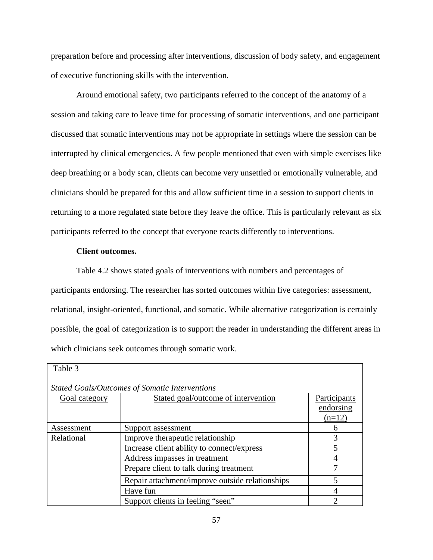preparation before and processing after interventions, discussion of body safety, and engagement of executive functioning skills with the intervention.

Around emotional safety, two participants referred to the concept of the anatomy of a session and taking care to leave time for processing of somatic interventions, and one participant discussed that somatic interventions may not be appropriate in settings where the session can be interrupted by clinical emergencies. A few people mentioned that even with simple exercises like deep breathing or a body scan, clients can become very unsettled or emotionally vulnerable, and clinicians should be prepared for this and allow sufficient time in a session to support clients in returning to a more regulated state before they leave the office. This is particularly relevant as six participants referred to the concept that everyone reacts differently to interventions.

# **Client outcomes.**

Table 4.2 shows stated goals of interventions with numbers and percentages of participants endorsing. The researcher has sorted outcomes within five categories: assessment, relational, insight-oriented, functional, and somatic. While alternative categorization is certainly possible, the goal of categorization is to support the reader in understanding the different areas in which clinicians seek outcomes through somatic work.

| Table 3                                               |                                                 |              |  |  |  |
|-------------------------------------------------------|-------------------------------------------------|--------------|--|--|--|
| <b>Stated Goals/Outcomes of Somatic Interventions</b> |                                                 |              |  |  |  |
| Goal category                                         | Stated goal/outcome of intervention             | Participants |  |  |  |
|                                                       |                                                 | endorsing    |  |  |  |
|                                                       |                                                 | $(n=12)$     |  |  |  |
| Assessment                                            | Support assessment                              |              |  |  |  |
| Relational                                            | Improve therapeutic relationship                |              |  |  |  |
|                                                       | Increase client ability to connect/express      |              |  |  |  |
|                                                       | Address impasses in treatment                   | 4            |  |  |  |
|                                                       | Prepare client to talk during treatment         | 7            |  |  |  |
|                                                       | Repair attachment/improve outside relationships | 5            |  |  |  |
|                                                       | Have fun                                        | 4            |  |  |  |
|                                                       | Support clients in feeling "seen"               | 2            |  |  |  |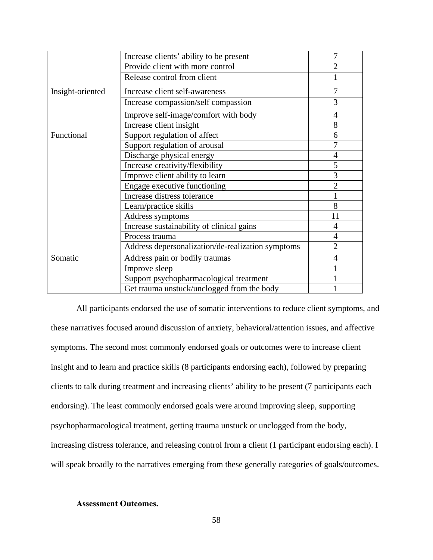|                  | Increase clients' ability to be present           | 7              |
|------------------|---------------------------------------------------|----------------|
|                  | Provide client with more control                  | $\overline{2}$ |
|                  | Release control from client                       |                |
| Insight-oriented | Increase client self-awareness                    | 7              |
|                  | Increase compassion/self compassion               | 3              |
|                  | Improve self-image/comfort with body              | 4              |
|                  | Increase client insight                           | 8              |
| Functional       | Support regulation of affect                      | 6              |
|                  | Support regulation of arousal                     | 7              |
|                  | Discharge physical energy                         | $\overline{4}$ |
|                  | Increase creativity/flexibility                   | 5              |
|                  | Improve client ability to learn                   | 3              |
|                  | Engage executive functioning                      | $\overline{2}$ |
|                  | Increase distress tolerance                       |                |
|                  | Learn/practice skills                             | 8              |
|                  | Address symptoms                                  | 11             |
|                  | Increase sustainability of clinical gains         | $\overline{4}$ |
|                  | Process trauma                                    | $\overline{4}$ |
|                  | Address depersonalization/de-realization symptoms | $\overline{2}$ |
| Somatic          | Address pain or bodily traumas                    | 4              |
|                  | Improve sleep                                     |                |
|                  | Support psychopharmacological treatment           |                |
|                  | Get trauma unstuck/unclogged from the body        |                |

 All participants endorsed the use of somatic interventions to reduce client symptoms, and these narratives focused around discussion of anxiety, behavioral/attention issues, and affective symptoms. The second most commonly endorsed goals or outcomes were to increase client insight and to learn and practice skills (8 participants endorsing each), followed by preparing clients to talk during treatment and increasing clients' ability to be present (7 participants each endorsing). The least commonly endorsed goals were around improving sleep, supporting psychopharmacological treatment, getting trauma unstuck or unclogged from the body, increasing distress tolerance, and releasing control from a client (1 participant endorsing each). I will speak broadly to the narratives emerging from these generally categories of goals/outcomes.

# **Assessment Outcomes.**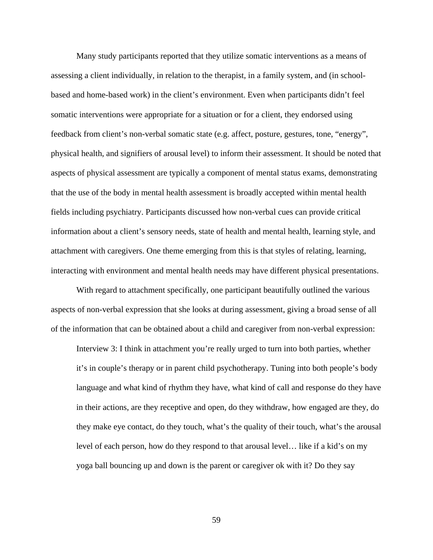Many study participants reported that they utilize somatic interventions as a means of assessing a client individually, in relation to the therapist, in a family system, and (in schoolbased and home-based work) in the client's environment. Even when participants didn't feel somatic interventions were appropriate for a situation or for a client, they endorsed using feedback from client's non-verbal somatic state (e.g. affect, posture, gestures, tone, "energy", physical health, and signifiers of arousal level) to inform their assessment. It should be noted that aspects of physical assessment are typically a component of mental status exams, demonstrating that the use of the body in mental health assessment is broadly accepted within mental health fields including psychiatry. Participants discussed how non-verbal cues can provide critical information about a client's sensory needs, state of health and mental health, learning style, and attachment with caregivers. One theme emerging from this is that styles of relating, learning, interacting with environment and mental health needs may have different physical presentations.

 With regard to attachment specifically, one participant beautifully outlined the various aspects of non-verbal expression that she looks at during assessment, giving a broad sense of all of the information that can be obtained about a child and caregiver from non-verbal expression:

Interview 3: I think in attachment you're really urged to turn into both parties, whether it's in couple's therapy or in parent child psychotherapy. Tuning into both people's body language and what kind of rhythm they have, what kind of call and response do they have in their actions, are they receptive and open, do they withdraw, how engaged are they, do they make eye contact, do they touch, what's the quality of their touch, what's the arousal level of each person, how do they respond to that arousal level… like if a kid's on my yoga ball bouncing up and down is the parent or caregiver ok with it? Do they say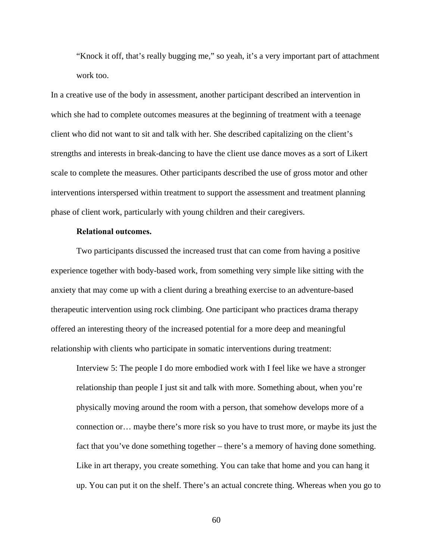"Knock it off, that's really bugging me," so yeah, it's a very important part of attachment work too.

In a creative use of the body in assessment, another participant described an intervention in which she had to complete outcomes measures at the beginning of treatment with a teenage client who did not want to sit and talk with her. She described capitalizing on the client's strengths and interests in break-dancing to have the client use dance moves as a sort of Likert scale to complete the measures. Other participants described the use of gross motor and other interventions interspersed within treatment to support the assessment and treatment planning phase of client work, particularly with young children and their caregivers.

## **Relational outcomes.**

 Two participants discussed the increased trust that can come from having a positive experience together with body-based work, from something very simple like sitting with the anxiety that may come up with a client during a breathing exercise to an adventure-based therapeutic intervention using rock climbing. One participant who practices drama therapy offered an interesting theory of the increased potential for a more deep and meaningful relationship with clients who participate in somatic interventions during treatment:

Interview 5: The people I do more embodied work with I feel like we have a stronger relationship than people I just sit and talk with more. Something about, when you're physically moving around the room with a person, that somehow develops more of a connection or… maybe there's more risk so you have to trust more, or maybe its just the fact that you've done something together – there's a memory of having done something. Like in art therapy, you create something. You can take that home and you can hang it up. You can put it on the shelf. There's an actual concrete thing. Whereas when you go to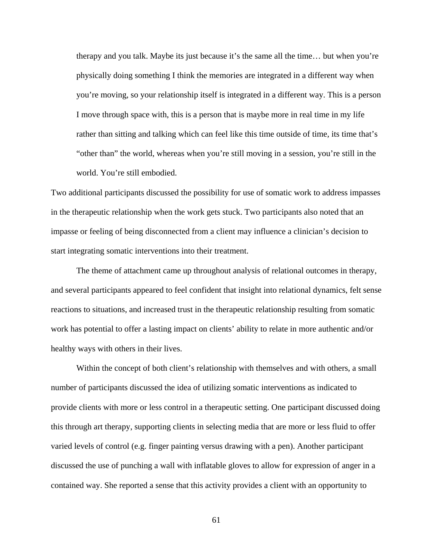therapy and you talk. Maybe its just because it's the same all the time… but when you're physically doing something I think the memories are integrated in a different way when you're moving, so your relationship itself is integrated in a different way. This is a person I move through space with, this is a person that is maybe more in real time in my life rather than sitting and talking which can feel like this time outside of time, its time that's "other than" the world, whereas when you're still moving in a session, you're still in the world. You're still embodied.

Two additional participants discussed the possibility for use of somatic work to address impasses in the therapeutic relationship when the work gets stuck. Two participants also noted that an impasse or feeling of being disconnected from a client may influence a clinician's decision to start integrating somatic interventions into their treatment.

 The theme of attachment came up throughout analysis of relational outcomes in therapy, and several participants appeared to feel confident that insight into relational dynamics, felt sense reactions to situations, and increased trust in the therapeutic relationship resulting from somatic work has potential to offer a lasting impact on clients' ability to relate in more authentic and/or healthy ways with others in their lives.

Within the concept of both client's relationship with themselves and with others, a small number of participants discussed the idea of utilizing somatic interventions as indicated to provide clients with more or less control in a therapeutic setting. One participant discussed doing this through art therapy, supporting clients in selecting media that are more or less fluid to offer varied levels of control (e.g. finger painting versus drawing with a pen). Another participant discussed the use of punching a wall with inflatable gloves to allow for expression of anger in a contained way. She reported a sense that this activity provides a client with an opportunity to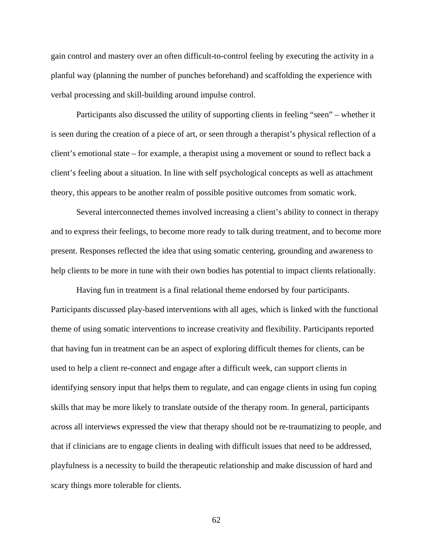gain control and mastery over an often difficult-to-control feeling by executing the activity in a planful way (planning the number of punches beforehand) and scaffolding the experience with verbal processing and skill-building around impulse control.

Participants also discussed the utility of supporting clients in feeling "seen" – whether it is seen during the creation of a piece of art, or seen through a therapist's physical reflection of a client's emotional state – for example, a therapist using a movement or sound to reflect back a client's feeling about a situation. In line with self psychological concepts as well as attachment theory, this appears to be another realm of possible positive outcomes from somatic work.

Several interconnected themes involved increasing a client's ability to connect in therapy and to express their feelings, to become more ready to talk during treatment, and to become more present. Responses reflected the idea that using somatic centering, grounding and awareness to help clients to be more in tune with their own bodies has potential to impact clients relationally.

 Having fun in treatment is a final relational theme endorsed by four participants. Participants discussed play-based interventions with all ages, which is linked with the functional theme of using somatic interventions to increase creativity and flexibility. Participants reported that having fun in treatment can be an aspect of exploring difficult themes for clients, can be used to help a client re-connect and engage after a difficult week, can support clients in identifying sensory input that helps them to regulate, and can engage clients in using fun coping skills that may be more likely to translate outside of the therapy room. In general, participants across all interviews expressed the view that therapy should not be re-traumatizing to people, and that if clinicians are to engage clients in dealing with difficult issues that need to be addressed, playfulness is a necessity to build the therapeutic relationship and make discussion of hard and scary things more tolerable for clients.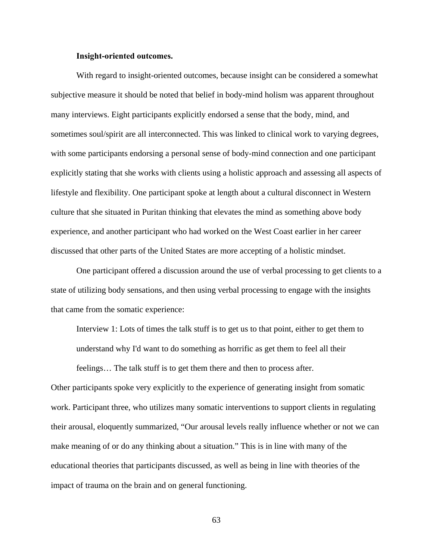### **Insight-oriented outcomes.**

 With regard to insight-oriented outcomes, because insight can be considered a somewhat subjective measure it should be noted that belief in body-mind holism was apparent throughout many interviews. Eight participants explicitly endorsed a sense that the body, mind, and sometimes soul/spirit are all interconnected. This was linked to clinical work to varying degrees, with some participants endorsing a personal sense of body-mind connection and one participant explicitly stating that she works with clients using a holistic approach and assessing all aspects of lifestyle and flexibility. One participant spoke at length about a cultural disconnect in Western culture that she situated in Puritan thinking that elevates the mind as something above body experience, and another participant who had worked on the West Coast earlier in her career discussed that other parts of the United States are more accepting of a holistic mindset.

One participant offered a discussion around the use of verbal processing to get clients to a state of utilizing body sensations, and then using verbal processing to engage with the insights that came from the somatic experience:

Interview 1: Lots of times the talk stuff is to get us to that point, either to get them to understand why I'd want to do something as horrific as get them to feel all their feelings… The talk stuff is to get them there and then to process after.

Other participants spoke very explicitly to the experience of generating insight from somatic work. Participant three, who utilizes many somatic interventions to support clients in regulating their arousal, eloquently summarized, "Our arousal levels really influence whether or not we can make meaning of or do any thinking about a situation." This is in line with many of the educational theories that participants discussed, as well as being in line with theories of the impact of trauma on the brain and on general functioning.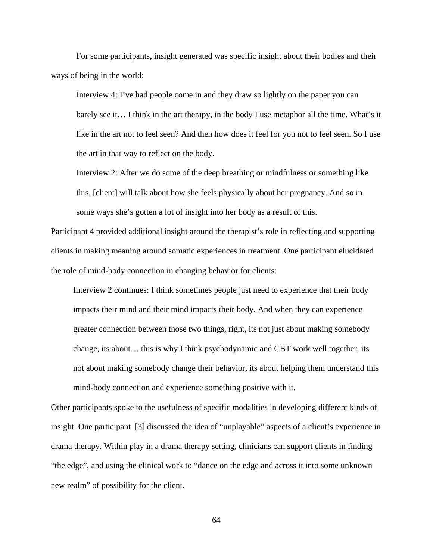For some participants, insight generated was specific insight about their bodies and their ways of being in the world:

Interview 4: I've had people come in and they draw so lightly on the paper you can barely see it… I think in the art therapy, in the body I use metaphor all the time. What's it like in the art not to feel seen? And then how does it feel for you not to feel seen. So I use the art in that way to reflect on the body.

Interview 2: After we do some of the deep breathing or mindfulness or something like this, [client] will talk about how she feels physically about her pregnancy. And so in some ways she's gotten a lot of insight into her body as a result of this.

Participant 4 provided additional insight around the therapist's role in reflecting and supporting clients in making meaning around somatic experiences in treatment. One participant elucidated the role of mind-body connection in changing behavior for clients:

Interview 2 continues: I think sometimes people just need to experience that their body impacts their mind and their mind impacts their body. And when they can experience greater connection between those two things, right, its not just about making somebody change, its about… this is why I think psychodynamic and CBT work well together, its not about making somebody change their behavior, its about helping them understand this mind-body connection and experience something positive with it.

Other participants spoke to the usefulness of specific modalities in developing different kinds of insight. One participant [3] discussed the idea of "unplayable" aspects of a client's experience in drama therapy. Within play in a drama therapy setting, clinicians can support clients in finding "the edge", and using the clinical work to "dance on the edge and across it into some unknown new realm" of possibility for the client.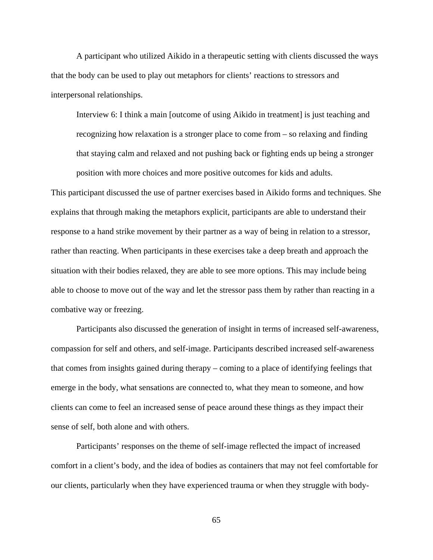A participant who utilized Aikido in a therapeutic setting with clients discussed the ways that the body can be used to play out metaphors for clients' reactions to stressors and interpersonal relationships.

Interview 6: I think a main [outcome of using Aikido in treatment] is just teaching and recognizing how relaxation is a stronger place to come from – so relaxing and finding that staying calm and relaxed and not pushing back or fighting ends up being a stronger position with more choices and more positive outcomes for kids and adults.

This participant discussed the use of partner exercises based in Aikido forms and techniques. She explains that through making the metaphors explicit, participants are able to understand their response to a hand strike movement by their partner as a way of being in relation to a stressor, rather than reacting. When participants in these exercises take a deep breath and approach the situation with their bodies relaxed, they are able to see more options. This may include being able to choose to move out of the way and let the stressor pass them by rather than reacting in a combative way or freezing.

Participants also discussed the generation of insight in terms of increased self-awareness, compassion for self and others, and self-image. Participants described increased self-awareness that comes from insights gained during therapy – coming to a place of identifying feelings that emerge in the body, what sensations are connected to, what they mean to someone, and how clients can come to feel an increased sense of peace around these things as they impact their sense of self, both alone and with others.

Participants' responses on the theme of self-image reflected the impact of increased comfort in a client's body, and the idea of bodies as containers that may not feel comfortable for our clients, particularly when they have experienced trauma or when they struggle with body-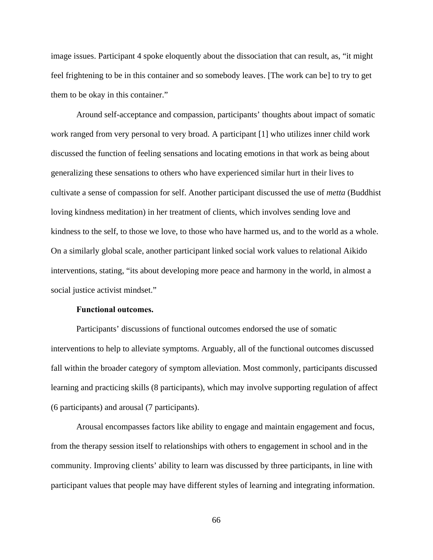image issues. Participant 4 spoke eloquently about the dissociation that can result, as, "it might feel frightening to be in this container and so somebody leaves. [The work can be] to try to get them to be okay in this container."

Around self-acceptance and compassion, participants' thoughts about impact of somatic work ranged from very personal to very broad. A participant [1] who utilizes inner child work discussed the function of feeling sensations and locating emotions in that work as being about generalizing these sensations to others who have experienced similar hurt in their lives to cultivate a sense of compassion for self. Another participant discussed the use of *metta* (Buddhist loving kindness meditation) in her treatment of clients, which involves sending love and kindness to the self, to those we love, to those who have harmed us, and to the world as a whole. On a similarly global scale, another participant linked social work values to relational Aikido interventions, stating, "its about developing more peace and harmony in the world, in almost a social justice activist mindset."

### **Functional outcomes.**

 Participants' discussions of functional outcomes endorsed the use of somatic interventions to help to alleviate symptoms. Arguably, all of the functional outcomes discussed fall within the broader category of symptom alleviation. Most commonly, participants discussed learning and practicing skills (8 participants), which may involve supporting regulation of affect (6 participants) and arousal (7 participants).

Arousal encompasses factors like ability to engage and maintain engagement and focus, from the therapy session itself to relationships with others to engagement in school and in the community. Improving clients' ability to learn was discussed by three participants, in line with participant values that people may have different styles of learning and integrating information.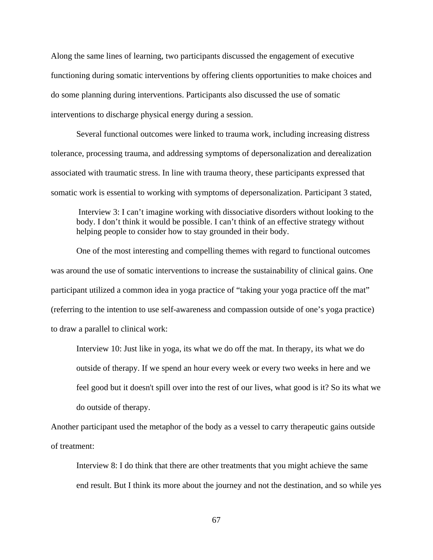Along the same lines of learning, two participants discussed the engagement of executive functioning during somatic interventions by offering clients opportunities to make choices and do some planning during interventions. Participants also discussed the use of somatic interventions to discharge physical energy during a session.

Several functional outcomes were linked to trauma work, including increasing distress tolerance, processing trauma, and addressing symptoms of depersonalization and derealization associated with traumatic stress. In line with trauma theory, these participants expressed that somatic work is essential to working with symptoms of depersonalization. Participant 3 stated,

 Interview 3: I can't imagine working with dissociative disorders without looking to the body. I don't think it would be possible. I can't think of an effective strategy without helping people to consider how to stay grounded in their body.

 One of the most interesting and compelling themes with regard to functional outcomes was around the use of somatic interventions to increase the sustainability of clinical gains. One participant utilized a common idea in yoga practice of "taking your yoga practice off the mat" (referring to the intention to use self-awareness and compassion outside of one's yoga practice) to draw a parallel to clinical work:

Interview 10: Just like in yoga, its what we do off the mat. In therapy, its what we do outside of therapy. If we spend an hour every week or every two weeks in here and we feel good but it doesn't spill over into the rest of our lives, what good is it? So its what we do outside of therapy.

Another participant used the metaphor of the body as a vessel to carry therapeutic gains outside of treatment:

Interview 8: I do think that there are other treatments that you might achieve the same end result. But I think its more about the journey and not the destination, and so while yes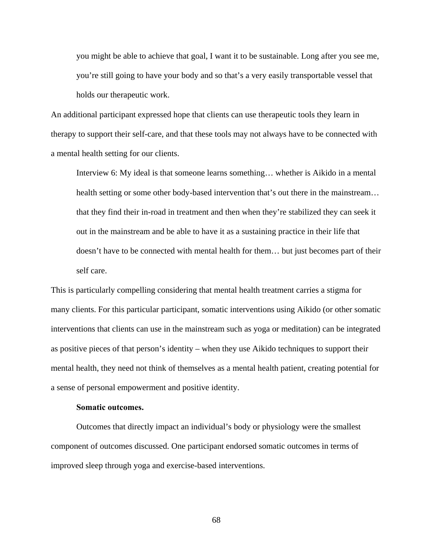you might be able to achieve that goal, I want it to be sustainable. Long after you see me, you're still going to have your body and so that's a very easily transportable vessel that holds our therapeutic work.

An additional participant expressed hope that clients can use therapeutic tools they learn in therapy to support their self-care, and that these tools may not always have to be connected with a mental health setting for our clients.

Interview 6: My ideal is that someone learns something… whether is Aikido in a mental health setting or some other body-based intervention that's out there in the mainstream… that they find their in-road in treatment and then when they're stabilized they can seek it out in the mainstream and be able to have it as a sustaining practice in their life that doesn't have to be connected with mental health for them… but just becomes part of their self care.

This is particularly compelling considering that mental health treatment carries a stigma for many clients. For this particular participant, somatic interventions using Aikido (or other somatic interventions that clients can use in the mainstream such as yoga or meditation) can be integrated as positive pieces of that person's identity – when they use Aikido techniques to support their mental health, they need not think of themselves as a mental health patient, creating potential for a sense of personal empowerment and positive identity.

#### **Somatic outcomes.**

 Outcomes that directly impact an individual's body or physiology were the smallest component of outcomes discussed. One participant endorsed somatic outcomes in terms of improved sleep through yoga and exercise-based interventions.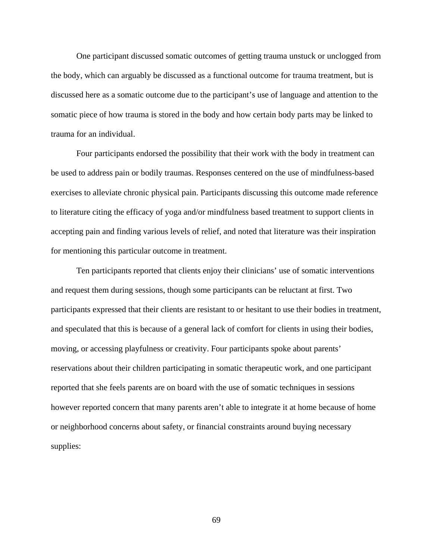One participant discussed somatic outcomes of getting trauma unstuck or unclogged from the body, which can arguably be discussed as a functional outcome for trauma treatment, but is discussed here as a somatic outcome due to the participant's use of language and attention to the somatic piece of how trauma is stored in the body and how certain body parts may be linked to trauma for an individual.

 Four participants endorsed the possibility that their work with the body in treatment can be used to address pain or bodily traumas. Responses centered on the use of mindfulness-based exercises to alleviate chronic physical pain. Participants discussing this outcome made reference to literature citing the efficacy of yoga and/or mindfulness based treatment to support clients in accepting pain and finding various levels of relief, and noted that literature was their inspiration for mentioning this particular outcome in treatment.

Ten participants reported that clients enjoy their clinicians' use of somatic interventions and request them during sessions, though some participants can be reluctant at first. Two participants expressed that their clients are resistant to or hesitant to use their bodies in treatment, and speculated that this is because of a general lack of comfort for clients in using their bodies, moving, or accessing playfulness or creativity. Four participants spoke about parents' reservations about their children participating in somatic therapeutic work, and one participant reported that she feels parents are on board with the use of somatic techniques in sessions however reported concern that many parents aren't able to integrate it at home because of home or neighborhood concerns about safety, or financial constraints around buying necessary supplies: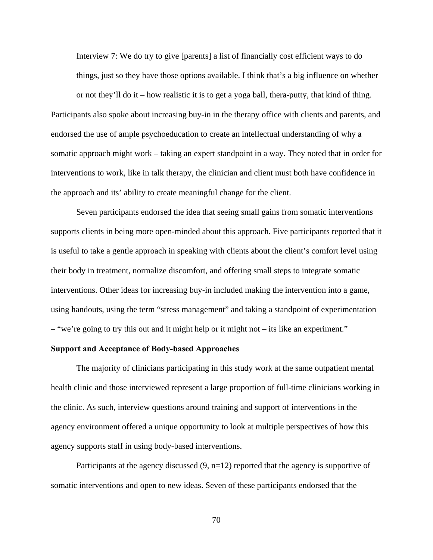Interview 7: We do try to give [parents] a list of financially cost efficient ways to do things, just so they have those options available. I think that's a big influence on whether

or not they'll do it – how realistic it is to get a yoga ball, thera-putty, that kind of thing. Participants also spoke about increasing buy-in in the therapy office with clients and parents, and endorsed the use of ample psychoeducation to create an intellectual understanding of why a somatic approach might work – taking an expert standpoint in a way. They noted that in order for interventions to work, like in talk therapy, the clinician and client must both have confidence in the approach and its' ability to create meaningful change for the client.

Seven participants endorsed the idea that seeing small gains from somatic interventions supports clients in being more open-minded about this approach. Five participants reported that it is useful to take a gentle approach in speaking with clients about the client's comfort level using their body in treatment, normalize discomfort, and offering small steps to integrate somatic interventions. Other ideas for increasing buy-in included making the intervention into a game, using handouts, using the term "stress management" and taking a standpoint of experimentation – "we're going to try this out and it might help or it might not – its like an experiment."

#### **Support and Acceptance of Body-based Approaches**

The majority of clinicians participating in this study work at the same outpatient mental health clinic and those interviewed represent a large proportion of full-time clinicians working in the clinic. As such, interview questions around training and support of interventions in the agency environment offered a unique opportunity to look at multiple perspectives of how this agency supports staff in using body-based interventions.

Participants at the agency discussed  $(9, n=12)$  reported that the agency is supportive of somatic interventions and open to new ideas. Seven of these participants endorsed that the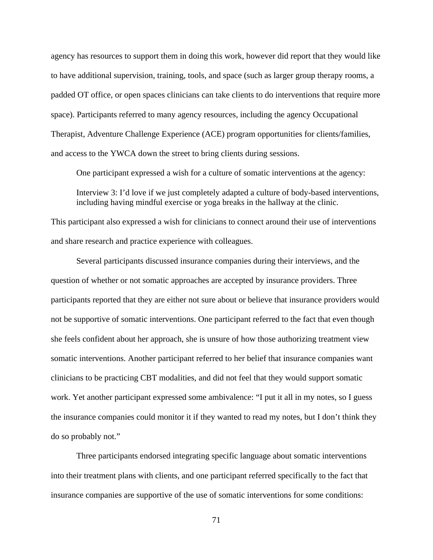agency has resources to support them in doing this work, however did report that they would like to have additional supervision, training, tools, and space (such as larger group therapy rooms, a padded OT office, or open spaces clinicians can take clients to do interventions that require more space). Participants referred to many agency resources, including the agency Occupational Therapist, Adventure Challenge Experience (ACE) program opportunities for clients/families, and access to the YWCA down the street to bring clients during sessions.

One participant expressed a wish for a culture of somatic interventions at the agency: Interview 3: I'd love if we just completely adapted a culture of body-based interventions, including having mindful exercise or yoga breaks in the hallway at the clinic.

This participant also expressed a wish for clinicians to connect around their use of interventions and share research and practice experience with colleagues.

Several participants discussed insurance companies during their interviews, and the question of whether or not somatic approaches are accepted by insurance providers. Three participants reported that they are either not sure about or believe that insurance providers would not be supportive of somatic interventions. One participant referred to the fact that even though she feels confident about her approach, she is unsure of how those authorizing treatment view somatic interventions. Another participant referred to her belief that insurance companies want clinicians to be practicing CBT modalities, and did not feel that they would support somatic work. Yet another participant expressed some ambivalence: "I put it all in my notes, so I guess the insurance companies could monitor it if they wanted to read my notes, but I don't think they do so probably not."

Three participants endorsed integrating specific language about somatic interventions into their treatment plans with clients, and one participant referred specifically to the fact that insurance companies are supportive of the use of somatic interventions for some conditions: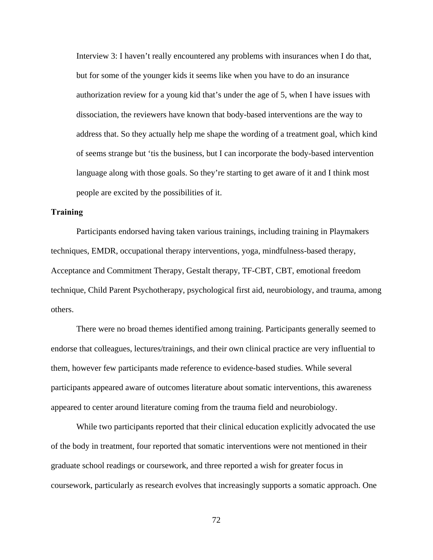Interview 3: I haven't really encountered any problems with insurances when I do that, but for some of the younger kids it seems like when you have to do an insurance authorization review for a young kid that's under the age of 5, when I have issues with dissociation, the reviewers have known that body-based interventions are the way to address that. So they actually help me shape the wording of a treatment goal, which kind of seems strange but 'tis the business, but I can incorporate the body-based intervention language along with those goals. So they're starting to get aware of it and I think most people are excited by the possibilities of it.

#### **Training**

Participants endorsed having taken various trainings, including training in Playmakers techniques, EMDR, occupational therapy interventions, yoga, mindfulness-based therapy, Acceptance and Commitment Therapy, Gestalt therapy, TF-CBT, CBT, emotional freedom technique, Child Parent Psychotherapy, psychological first aid, neurobiology, and trauma, among others.

There were no broad themes identified among training. Participants generally seemed to endorse that colleagues, lectures/trainings, and their own clinical practice are very influential to them, however few participants made reference to evidence-based studies. While several participants appeared aware of outcomes literature about somatic interventions, this awareness appeared to center around literature coming from the trauma field and neurobiology.

While two participants reported that their clinical education explicitly advocated the use of the body in treatment, four reported that somatic interventions were not mentioned in their graduate school readings or coursework, and three reported a wish for greater focus in coursework, particularly as research evolves that increasingly supports a somatic approach. One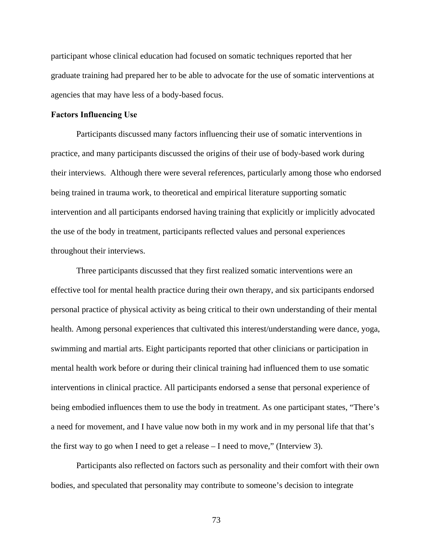participant whose clinical education had focused on somatic techniques reported that her graduate training had prepared her to be able to advocate for the use of somatic interventions at agencies that may have less of a body-based focus.

#### **Factors Influencing Use**

 Participants discussed many factors influencing their use of somatic interventions in practice, and many participants discussed the origins of their use of body-based work during their interviews. Although there were several references, particularly among those who endorsed being trained in trauma work, to theoretical and empirical literature supporting somatic intervention and all participants endorsed having training that explicitly or implicitly advocated the use of the body in treatment, participants reflected values and personal experiences throughout their interviews.

Three participants discussed that they first realized somatic interventions were an effective tool for mental health practice during their own therapy, and six participants endorsed personal practice of physical activity as being critical to their own understanding of their mental health. Among personal experiences that cultivated this interest/understanding were dance, yoga, swimming and martial arts. Eight participants reported that other clinicians or participation in mental health work before or during their clinical training had influenced them to use somatic interventions in clinical practice. All participants endorsed a sense that personal experience of being embodied influences them to use the body in treatment. As one participant states, "There's a need for movement, and I have value now both in my work and in my personal life that that's the first way to go when I need to get a release  $-$  I need to move," (Interview 3).

Participants also reflected on factors such as personality and their comfort with their own bodies, and speculated that personality may contribute to someone's decision to integrate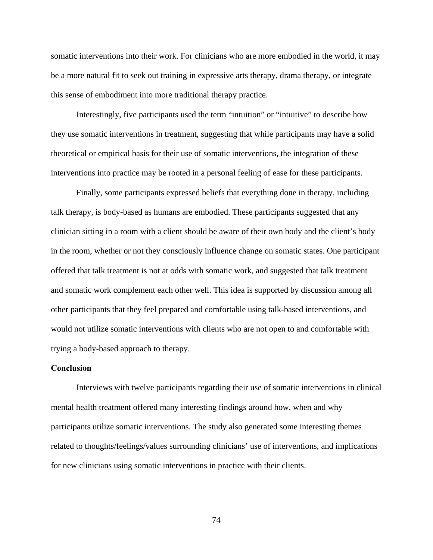somatic interventions into their work. For clinicians who are more embodied in the world, it may be a more natural fit to seek out training in expressive arts therapy, drama therapy, or integrate this sense of embodiment into more traditional therapy practice.

Interestingly, five participants used the term "intuition" or "intuitive" to describe how they use somatic interventions in treatment, suggesting that while participants may have a solid theoretical or empirical basis for their use of somatic interventions, the integration of these interventions into practice may be rooted in a personal feeling of ease for these participants.

Finally, some participants expressed beliefs that everything done in therapy, including talk therapy, is body-based as humans are embodied. These participants suggested that any clinician sitting in a room with a client should be aware of their own body and the client's body in the room, whether or not they consciously influence change on somatic states. One participant offered that talk treatment is not at odds with somatic work, and suggested that talk treatment and somatic work complement each other well. This idea is supported by discussion among all other participants that they feel prepared and comfortable using talk-based interventions, and would not utilize somatic interventions with clients who are not open to and comfortable with trying a body-based approach to therapy.

#### **Conclusion**

 Interviews with twelve participants regarding their use of somatic interventions in clinical mental health treatment offered many interesting findings around how, when and why participants utilize somatic interventions. The study also generated some interesting themes related to thoughts/feelings/values surrounding clinicians' use of interventions, and implications for new clinicians using somatic interventions in practice with their clients.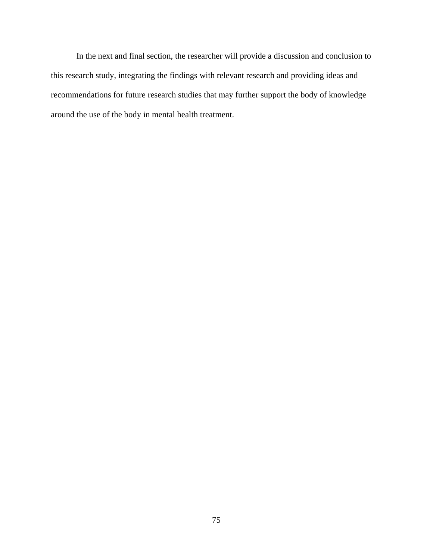In the next and final section, the researcher will provide a discussion and conclusion to this research study, integrating the findings with relevant research and providing ideas and recommendations for future research studies that may further support the body of knowledge around the use of the body in mental health treatment.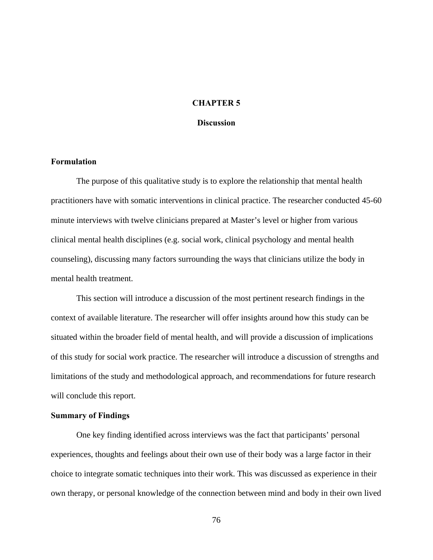#### **CHAPTER 5**

#### **Discussion**

#### **Formulation**

The purpose of this qualitative study is to explore the relationship that mental health practitioners have with somatic interventions in clinical practice. The researcher conducted 45-60 minute interviews with twelve clinicians prepared at Master's level or higher from various clinical mental health disciplines (e.g. social work, clinical psychology and mental health counseling), discussing many factors surrounding the ways that clinicians utilize the body in mental health treatment.

This section will introduce a discussion of the most pertinent research findings in the context of available literature. The researcher will offer insights around how this study can be situated within the broader field of mental health, and will provide a discussion of implications of this study for social work practice. The researcher will introduce a discussion of strengths and limitations of the study and methodological approach, and recommendations for future research will conclude this report.

#### **Summary of Findings**

 One key finding identified across interviews was the fact that participants' personal experiences, thoughts and feelings about their own use of their body was a large factor in their choice to integrate somatic techniques into their work. This was discussed as experience in their own therapy, or personal knowledge of the connection between mind and body in their own lived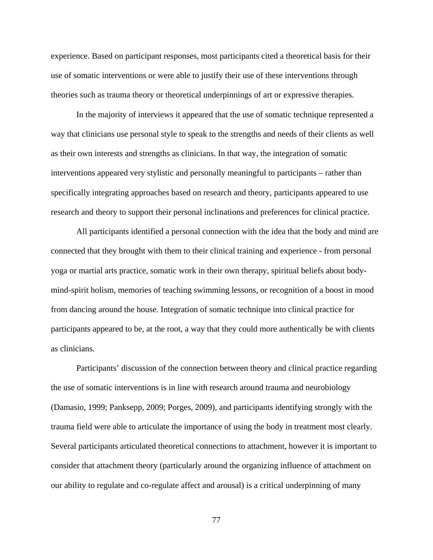experience. Based on participant responses, most participants cited a theoretical basis for their use of somatic interventions or were able to justify their use of these interventions through theories such as trauma theory or theoretical underpinnings of art or expressive therapies.

In the majority of interviews it appeared that the use of somatic technique represented a way that clinicians use personal style to speak to the strengths and needs of their clients as well as their own interests and strengths as clinicians. In that way, the integration of somatic interventions appeared very stylistic and personally meaningful to participants – rather than specifically integrating approaches based on research and theory, participants appeared to use research and theory to support their personal inclinations and preferences for clinical practice.

All participants identified a personal connection with the idea that the body and mind are connected that they brought with them to their clinical training and experience - from personal yoga or martial arts practice, somatic work in their own therapy, spiritual beliefs about bodymind-spirit holism, memories of teaching swimming lessons, or recognition of a boost in mood from dancing around the house. Integration of somatic technique into clinical practice for participants appeared to be, at the root, a way that they could more authentically be with clients as clinicians.

Participants' discussion of the connection between theory and clinical practice regarding the use of somatic interventions is in line with research around trauma and neurobiology (Damasio, 1999; Panksepp, 2009; Porges, 2009), and participants identifying strongly with the trauma field were able to articulate the importance of using the body in treatment most clearly. Several participants articulated theoretical connections to attachment, however it is important to consider that attachment theory (particularly around the organizing influence of attachment on our ability to regulate and co-regulate affect and arousal) is a critical underpinning of many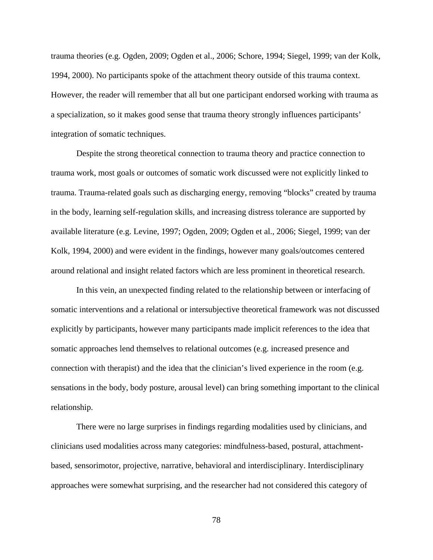trauma theories (e.g. Ogden, 2009; Ogden et al., 2006; Schore, 1994; Siegel, 1999; van der Kolk, 1994, 2000). No participants spoke of the attachment theory outside of this trauma context. However, the reader will remember that all but one participant endorsed working with trauma as a specialization, so it makes good sense that trauma theory strongly influences participants' integration of somatic techniques.

Despite the strong theoretical connection to trauma theory and practice connection to trauma work, most goals or outcomes of somatic work discussed were not explicitly linked to trauma. Trauma-related goals such as discharging energy, removing "blocks" created by trauma in the body, learning self-regulation skills, and increasing distress tolerance are supported by available literature (e.g. Levine, 1997; Ogden, 2009; Ogden et al., 2006; Siegel, 1999; van der Kolk, 1994, 2000) and were evident in the findings, however many goals/outcomes centered around relational and insight related factors which are less prominent in theoretical research.

In this vein, an unexpected finding related to the relationship between or interfacing of somatic interventions and a relational or intersubjective theoretical framework was not discussed explicitly by participants, however many participants made implicit references to the idea that somatic approaches lend themselves to relational outcomes (e.g. increased presence and connection with therapist) and the idea that the clinician's lived experience in the room (e.g. sensations in the body, body posture, arousal level) can bring something important to the clinical relationship.

There were no large surprises in findings regarding modalities used by clinicians, and clinicians used modalities across many categories: mindfulness-based, postural, attachmentbased, sensorimotor, projective, narrative, behavioral and interdisciplinary. Interdisciplinary approaches were somewhat surprising, and the researcher had not considered this category of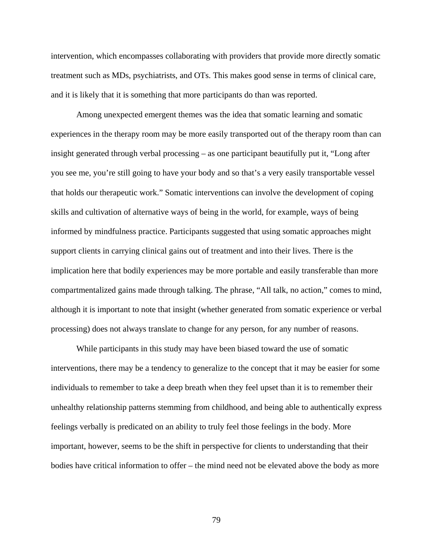intervention, which encompasses collaborating with providers that provide more directly somatic treatment such as MDs, psychiatrists, and OTs. This makes good sense in terms of clinical care, and it is likely that it is something that more participants do than was reported.

Among unexpected emergent themes was the idea that somatic learning and somatic experiences in the therapy room may be more easily transported out of the therapy room than can insight generated through verbal processing – as one participant beautifully put it, "Long after you see me, you're still going to have your body and so that's a very easily transportable vessel that holds our therapeutic work." Somatic interventions can involve the development of coping skills and cultivation of alternative ways of being in the world, for example, ways of being informed by mindfulness practice. Participants suggested that using somatic approaches might support clients in carrying clinical gains out of treatment and into their lives. There is the implication here that bodily experiences may be more portable and easily transferable than more compartmentalized gains made through talking. The phrase, "All talk, no action," comes to mind, although it is important to note that insight (whether generated from somatic experience or verbal processing) does not always translate to change for any person, for any number of reasons.

While participants in this study may have been biased toward the use of somatic interventions, there may be a tendency to generalize to the concept that it may be easier for some individuals to remember to take a deep breath when they feel upset than it is to remember their unhealthy relationship patterns stemming from childhood, and being able to authentically express feelings verbally is predicated on an ability to truly feel those feelings in the body. More important, however, seems to be the shift in perspective for clients to understanding that their bodies have critical information to offer – the mind need not be elevated above the body as more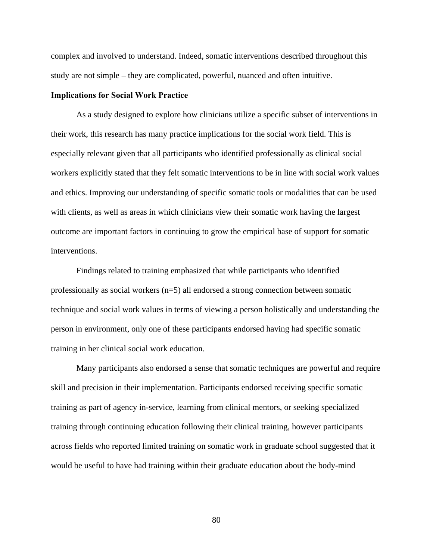complex and involved to understand. Indeed, somatic interventions described throughout this study are not simple – they are complicated, powerful, nuanced and often intuitive.

#### **Implications for Social Work Practice**

 As a study designed to explore how clinicians utilize a specific subset of interventions in their work, this research has many practice implications for the social work field. This is especially relevant given that all participants who identified professionally as clinical social workers explicitly stated that they felt somatic interventions to be in line with social work values and ethics. Improving our understanding of specific somatic tools or modalities that can be used with clients, as well as areas in which clinicians view their somatic work having the largest outcome are important factors in continuing to grow the empirical base of support for somatic interventions.

 Findings related to training emphasized that while participants who identified professionally as social workers (n=5) all endorsed a strong connection between somatic technique and social work values in terms of viewing a person holistically and understanding the person in environment, only one of these participants endorsed having had specific somatic training in her clinical social work education.

Many participants also endorsed a sense that somatic techniques are powerful and require skill and precision in their implementation. Participants endorsed receiving specific somatic training as part of agency in-service, learning from clinical mentors, or seeking specialized training through continuing education following their clinical training, however participants across fields who reported limited training on somatic work in graduate school suggested that it would be useful to have had training within their graduate education about the body-mind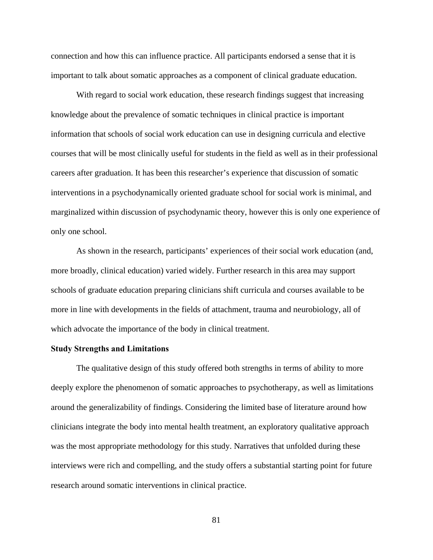connection and how this can influence practice. All participants endorsed a sense that it is important to talk about somatic approaches as a component of clinical graduate education.

With regard to social work education, these research findings suggest that increasing knowledge about the prevalence of somatic techniques in clinical practice is important information that schools of social work education can use in designing curricula and elective courses that will be most clinically useful for students in the field as well as in their professional careers after graduation. It has been this researcher's experience that discussion of somatic interventions in a psychodynamically oriented graduate school for social work is minimal, and marginalized within discussion of psychodynamic theory, however this is only one experience of only one school.

As shown in the research, participants' experiences of their social work education (and, more broadly, clinical education) varied widely. Further research in this area may support schools of graduate education preparing clinicians shift curricula and courses available to be more in line with developments in the fields of attachment, trauma and neurobiology, all of which advocate the importance of the body in clinical treatment.

## **Study Strengths and Limitations**

 The qualitative design of this study offered both strengths in terms of ability to more deeply explore the phenomenon of somatic approaches to psychotherapy, as well as limitations around the generalizability of findings. Considering the limited base of literature around how clinicians integrate the body into mental health treatment, an exploratory qualitative approach was the most appropriate methodology for this study. Narratives that unfolded during these interviews were rich and compelling, and the study offers a substantial starting point for future research around somatic interventions in clinical practice.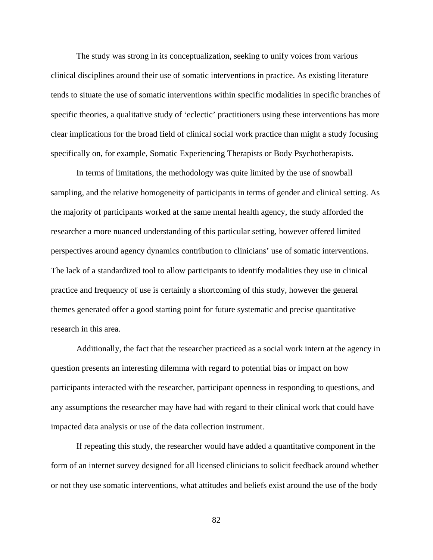The study was strong in its conceptualization, seeking to unify voices from various clinical disciplines around their use of somatic interventions in practice. As existing literature tends to situate the use of somatic interventions within specific modalities in specific branches of specific theories, a qualitative study of 'eclectic' practitioners using these interventions has more clear implications for the broad field of clinical social work practice than might a study focusing specifically on, for example, Somatic Experiencing Therapists or Body Psychotherapists.

In terms of limitations, the methodology was quite limited by the use of snowball sampling, and the relative homogeneity of participants in terms of gender and clinical setting. As the majority of participants worked at the same mental health agency, the study afforded the researcher a more nuanced understanding of this particular setting, however offered limited perspectives around agency dynamics contribution to clinicians' use of somatic interventions. The lack of a standardized tool to allow participants to identify modalities they use in clinical practice and frequency of use is certainly a shortcoming of this study, however the general themes generated offer a good starting point for future systematic and precise quantitative research in this area.

 Additionally, the fact that the researcher practiced as a social work intern at the agency in question presents an interesting dilemma with regard to potential bias or impact on how participants interacted with the researcher, participant openness in responding to questions, and any assumptions the researcher may have had with regard to their clinical work that could have impacted data analysis or use of the data collection instrument.

 If repeating this study, the researcher would have added a quantitative component in the form of an internet survey designed for all licensed clinicians to solicit feedback around whether or not they use somatic interventions, what attitudes and beliefs exist around the use of the body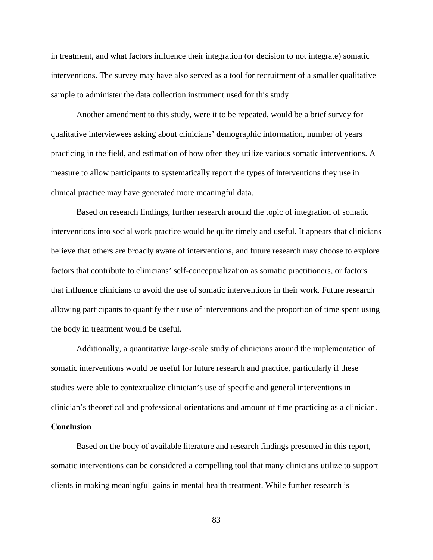in treatment, and what factors influence their integration (or decision to not integrate) somatic interventions. The survey may have also served as a tool for recruitment of a smaller qualitative sample to administer the data collection instrument used for this study.

Another amendment to this study, were it to be repeated, would be a brief survey for qualitative interviewees asking about clinicians' demographic information, number of years practicing in the field, and estimation of how often they utilize various somatic interventions. A measure to allow participants to systematically report the types of interventions they use in clinical practice may have generated more meaningful data.

 Based on research findings, further research around the topic of integration of somatic interventions into social work practice would be quite timely and useful. It appears that clinicians believe that others are broadly aware of interventions, and future research may choose to explore factors that contribute to clinicians' self-conceptualization as somatic practitioners, or factors that influence clinicians to avoid the use of somatic interventions in their work. Future research allowing participants to quantify their use of interventions and the proportion of time spent using the body in treatment would be useful.

Additionally, a quantitative large-scale study of clinicians around the implementation of somatic interventions would be useful for future research and practice, particularly if these studies were able to contextualize clinician's use of specific and general interventions in clinician's theoretical and professional orientations and amount of time practicing as a clinician.

#### **Conclusion**

 Based on the body of available literature and research findings presented in this report, somatic interventions can be considered a compelling tool that many clinicians utilize to support clients in making meaningful gains in mental health treatment. While further research is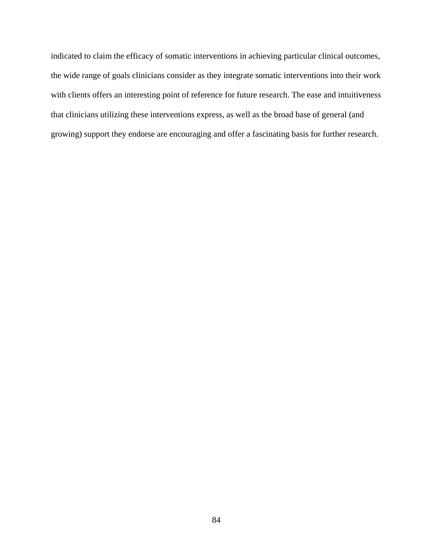indicated to claim the efficacy of somatic interventions in achieving particular clinical outcomes, the wide range of goals clinicians consider as they integrate somatic interventions into their work with clients offers an interesting point of reference for future research. The ease and intuitiveness that clinicians utilizing these interventions express, as well as the broad base of general (and growing) support they endorse are encouraging and offer a fascinating basis for further research.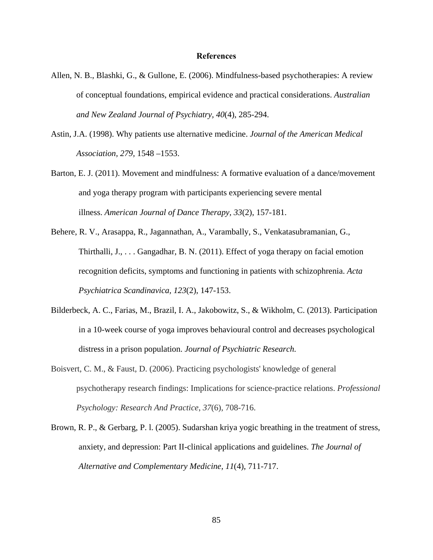#### **References**

- Allen, N. B., Blashki, G., & Gullone, E. (2006). Mindfulness-based psychotherapies: A review of conceptual foundations, empirical evidence and practical considerations. *Australian and New Zealand Journal of Psychiatry, 40*(4), 285-294.
- Astin, J.A. (1998). Why patients use alternative medicine. *Journal of the American Medical Association, 279,* 1548 –1553.
- Barton, E. J. (2011). Movement and mindfulness: A formative evaluation of a dance/movement and yoga therapy program with participants experiencing severe mental illness. *American Journal of Dance Therapy, 33*(2), 157-181.
- Behere, R. V., Arasappa, R., Jagannathan, A., Varambally, S., Venkatasubramanian, G., Thirthalli, J., . . . Gangadhar, B. N. (2011). Effect of yoga therapy on facial emotion recognition deficits, symptoms and functioning in patients with schizophrenia. *Acta Psychiatrica Scandinavica, 123*(2), 147-153.
- Bilderbeck, A. C., Farias, M., Brazil, I. A., Jakobowitz, S., & Wikholm, C. (2013). Participation in a 10-week course of yoga improves behavioural control and decreases psychological distress in a prison population. *Journal of Psychiatric Research.*
- Boisvert, C. M., & Faust, D. (2006). Practicing psychologists' knowledge of general psychotherapy research findings: Implications for science-practice relations. *Professional Psychology: Research And Practice*, *37*(6), 708-716.
- Brown, R. P., & Gerbarg, P. l. (2005). Sudarshan kriya yogic breathing in the treatment of stress, anxiety, and depression: Part II-clinical applications and guidelines. *The Journal of Alternative and Complementary Medicine, 11*(4), 711-717.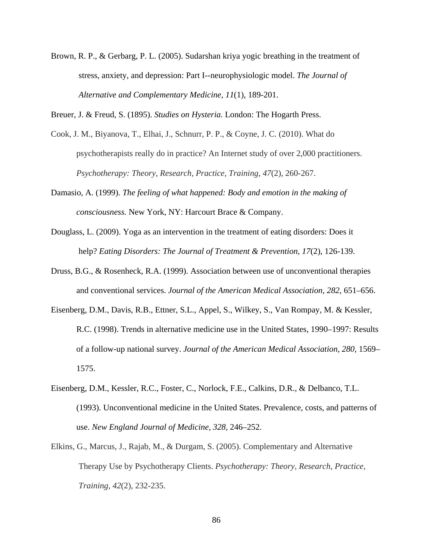Brown, R. P., & Gerbarg, P. L. (2005). Sudarshan kriya yogic breathing in the treatment of stress, anxiety, and depression: Part I--neurophysiologic model. *The Journal of Alternative and Complementary Medicine, 11*(1), 189-201.

Breuer, J. & Freud, S. (1895). *Studies on Hysteria.* London: The Hogarth Press.

- Cook, J. M., Biyanova, T., Elhai, J., Schnurr, P. P., & Coyne, J. C. (2010). What do psychotherapists really do in practice? An Internet study of over 2,000 practitioners. *Psychotherapy: Theory, Research, Practice, Training*, *47*(2), 260-267.
- Damasio, A. (1999). *The feeling of what happened: Body and emotion in the making of consciousness.* New York, NY: Harcourt Brace & Company.
- Douglass, L. (2009). Yoga as an intervention in the treatment of eating disorders: Does it help? *Eating Disorders: The Journal of Treatment & Prevention, 17*(2), 126-139.
- Druss, B.G., & Rosenheck, R.A. (1999). Association between use of unconventional therapies and conventional services. *Journal of the American Medical Association, 282,* 651–656.
- Eisenberg, D.M., Davis, R.B., Ettner, S.L., Appel, S., Wilkey, S., Van Rompay, M. & Kessler, R.C. (1998). Trends in alternative medicine use in the United States, 1990–1997: Results of a follow-up national survey. *Journal of the American Medical Association, 280,* 1569– 1575.
- Eisenberg, D.M., Kessler, R.C., Foster, C., Norlock, F.E., Calkins, D.R., & Delbanco, T.L. (1993). Unconventional medicine in the United States. Prevalence, costs, and patterns of use. *New England Journal of Medicine, 328,* 246–252.
- Elkins, G., Marcus, J., Rajab, M., & Durgam, S. (2005). Complementary and Alternative Therapy Use by Psychotherapy Clients. *Psychotherapy: Theory, Research, Practice, Training*, *42*(2), 232-235.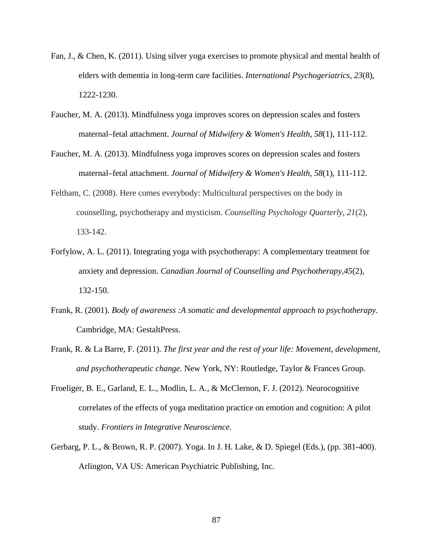- Fan, J., & Chen, K. (2011). Using silver yoga exercises to promote physical and mental health of elders with dementia in long-term care facilities. *International Psychogeriatrics, 23*(8), 1222-1230.
- Faucher, M. A. (2013). Mindfulness yoga improves scores on depression scales and fosters maternal–fetal attachment. *Journal of Midwifery & Women's Health, 58*(1), 111-112.
- Faucher, M. A. (2013). Mindfulness yoga improves scores on depression scales and fosters maternal–fetal attachment. *Journal of Midwifery & Women's Health, 58*(1), 111-112.
- Feltham, C. (2008). Here comes everybody: Multicultural perspectives on the body in counselling, psychotherapy and mysticism. *Counselling Psychology Quarterly*, *21*(2), 133-142.
- Forfylow, A. L. (2011). Integrating yoga with psychotherapy: A complementary treatment for anxiety and depression. *Canadian Journal of Counselling and Psychotherapy,45*(2), 132-150.
- Frank, R. (2001). *Body of awareness :A somatic and developmental approach to psychotherapy.*  Cambridge, MA: GestaltPress.
- Frank, R. & La Barre, F. (2011). *The first year and the rest of your life: Movement, development, and psychotherapeutic change.* New York, NY: Routledge, Taylor & Frances Group.
- Froeliger, B. E., Garland, E. L., Modlin, L. A., & McClernon, F. J. (2012). Neurocognitive correlates of the effects of yoga meditation practice on emotion and cognition: A pilot study. *Frontiers in Integrative Neuroscience.*
- Gerbarg, P. L., & Brown, R. P. (2007). Yoga. In J. H. Lake, & D. Spiegel (Eds.), (pp. 381-400). Arlington, VA US: American Psychiatric Publishing, Inc.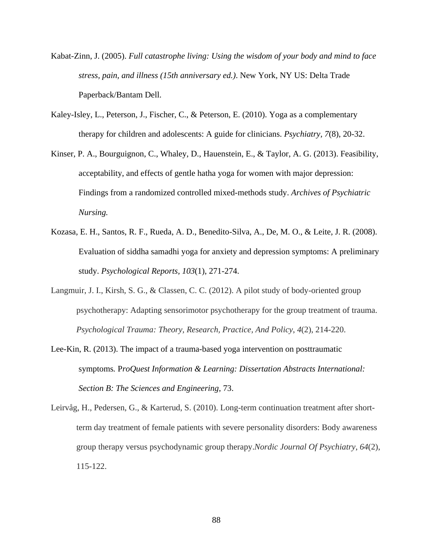- Kabat-Zinn, J. (2005). *Full catastrophe living: Using the wisdom of your body and mind to face stress, pain, and illness (15th anniversary ed.)*. New York, NY US: Delta Trade Paperback/Bantam Dell.
- Kaley-Isley, L., Peterson, J., Fischer, C., & Peterson, E. (2010). Yoga as a complementary therapy for children and adolescents: A guide for clinicians. *Psychiatry, 7*(8), 20-32.
- Kinser, P. A., Bourguignon, C., Whaley, D., Hauenstein, E., & Taylor, A. G. (2013). Feasibility, acceptability, and effects of gentle hatha yoga for women with major depression: Findings from a randomized controlled mixed-methods study. *Archives of Psychiatric Nursing.*
- Kozasa, E. H., Santos, R. F., Rueda, A. D., Benedito-Silva, A., De, M. O., & Leite, J. R. (2008). Evaluation of siddha samadhi yoga for anxiety and depression symptoms: A preliminary study. *Psychological Reports, 103*(1), 271-274.
- Langmuir, J. I., Kirsh, S. G., & Classen, C. C. (2012). A pilot study of body-oriented group psychotherapy: Adapting sensorimotor psychotherapy for the group treatment of trauma. *Psychological Trauma: Theory, Research, Practice, And Policy*, *4*(2), 214-220.
- Lee-Kin, R. (2013). The impact of a trauma-based yoga intervention on posttraumatic symptoms*.* P*roQuest Information & Learning: Dissertation Abstracts International: Section B: The Sciences and Engineering*, 73.
- Leirvåg, H., Pedersen, G., & Karterud, S. (2010). Long-term continuation treatment after shortterm day treatment of female patients with severe personality disorders: Body awareness group therapy versus psychodynamic group therapy.*Nordic Journal Of Psychiatry*, *64*(2), 115-122.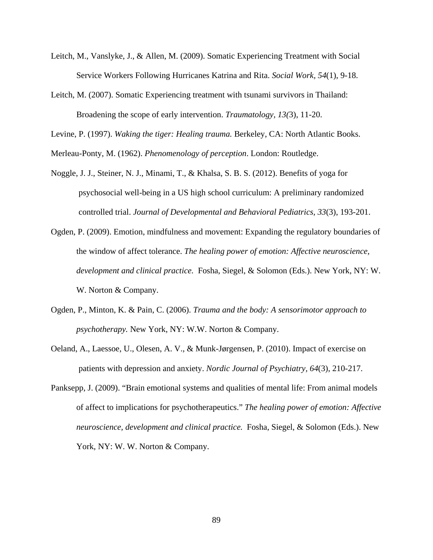- Leitch, M., Vanslyke, J., & Allen, M. (2009). Somatic Experiencing Treatment with Social Service Workers Following Hurricanes Katrina and Rita. *Social Work, 54*(1), 9-18.
- Leitch, M. (2007). Somatic Experiencing treatment with tsunami survivors in Thailand: Broadening the scope of early intervention. *Traumatology, 13(*3), 11-20.

Levine, P. (1997). *Waking the tiger: Healing trauma.* Berkeley, CA: North Atlantic Books.

Merleau-Ponty, M. (1962). *Phenomenology of perception*. London: Routledge.

- Noggle, J. J., Steiner, N. J., Minami, T., & Khalsa, S. B. S. (2012). Benefits of yoga for psychosocial well-being in a US high school curriculum: A preliminary randomized controlled trial. *Journal of Developmental and Behavioral Pediatrics, 33*(3), 193-201.
- Ogden, P. (2009). Emotion, mindfulness and movement: Expanding the regulatory boundaries of the window of affect tolerance. *The healing power of emotion: Affective neuroscience, development and clinical practice.* Fosha, Siegel, & Solomon (Eds.). New York, NY: W. W. Norton & Company.
- Ogden, P., Minton, K. & Pain, C. (2006). *Trauma and the body: A sensorimotor approach to psychotherapy.* New York, NY: W.W. Norton & Company.
- Oeland, A., Laessoe, U., Olesen, A. V., & Munk-Jørgensen, P. (2010). Impact of exercise on patients with depression and anxiety. *Nordic Journal of Psychiatry, 64*(3), 210-217.
- Panksepp, J. (2009). "Brain emotional systems and qualities of mental life: From animal models of affect to implications for psychotherapeutics." *The healing power of emotion: Affective neuroscience, development and clinical practice.* Fosha, Siegel, & Solomon (Eds.). New York, NY: W. W. Norton & Company.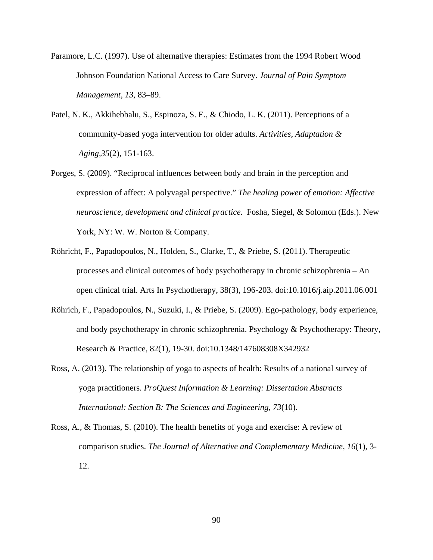- Paramore, L.C. (1997). Use of alternative therapies: Estimates from the 1994 Robert Wood Johnson Foundation National Access to Care Survey. *Journal of Pain Symptom Management, 13,* 83–89.
- Patel, N. K., Akkihebbalu, S., Espinoza, S. E., & Chiodo, L. K. (2011). Perceptions of a community-based yoga intervention for older adults. *Activities, Adaptation & Aging,35*(2), 151-163.
- Porges, S. (2009). "Reciprocal influences between body and brain in the perception and expression of affect: A polyvagal perspective." *The healing power of emotion: Affective neuroscience, development and clinical practice.* Fosha, Siegel, & Solomon (Eds.). New York, NY: W. W. Norton & Company.
- Röhricht, F., Papadopoulos, N., Holden, S., Clarke, T., & Priebe, S. (2011). Therapeutic processes and clinical outcomes of body psychotherapy in chronic schizophrenia – An open clinical trial. Arts In Psychotherapy, 38(3), 196-203. doi:10.1016/j.aip.2011.06.001
- Röhrich, F., Papadopoulos, N., Suzuki, I., & Priebe, S. (2009). Ego-pathology, body experience, and body psychotherapy in chronic schizophrenia. Psychology & Psychotherapy: Theory, Research & Practice, 82(1), 19-30. doi:10.1348/147608308X342932
- Ross, A. (2013). The relationship of yoga to aspects of health: Results of a national survey of yoga practitioners. *ProQuest Information & Learning: Dissertation Abstracts International: Section B: The Sciences and Engineering, 73*(10).
- Ross, A., & Thomas, S. (2010). The health benefits of yoga and exercise: A review of comparison studies. *The Journal of Alternative and Complementary Medicine, 16*(1), 3- 12.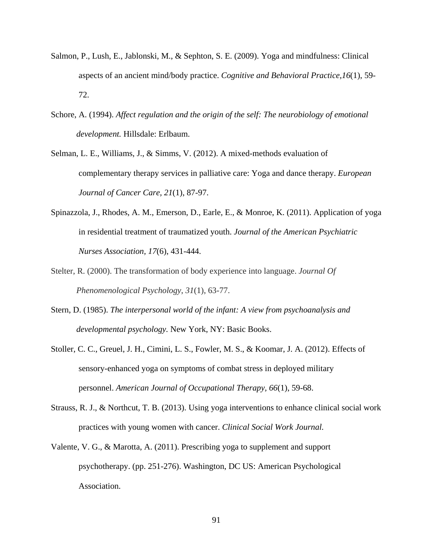- Salmon, P., Lush, E., Jablonski, M., & Sephton, S. E. (2009). Yoga and mindfulness: Clinical aspects of an ancient mind/body practice. *Cognitive and Behavioral Practice,16*(1), 59- 72.
- Schore, A. (1994). *Affect regulation and the origin of the self: The neurobiology of emotional development.* Hillsdale: Erlbaum.
- Selman, L. E., Williams, J., & Simms, V. (2012). A mixed-methods evaluation of complementary therapy services in palliative care: Yoga and dance therapy. *European Journal of Cancer Care, 21*(1), 87-97.
- Spinazzola, J., Rhodes, A. M., Emerson, D., Earle, E., & Monroe, K. (2011). Application of yoga in residential treatment of traumatized youth. *Journal of the American Psychiatric Nurses Association, 17*(6), 431-444.
- Stelter, R. (2000). The transformation of body experience into language. *Journal Of Phenomenological Psychology*, *31*(1), 63-77.
- Stern, D. (1985). *The interpersonal world of the infant: A view from psychoanalysis and developmental psychology.* New York, NY: Basic Books.
- Stoller, C. C., Greuel, J. H., Cimini, L. S., Fowler, M. S., & Koomar, J. A. (2012). Effects of sensory-enhanced yoga on symptoms of combat stress in deployed military personnel. *American Journal of Occupational Therapy, 66*(1), 59-68.
- Strauss, R. J., & Northcut, T. B. (2013). Using yoga interventions to enhance clinical social work practices with young women with cancer. *Clinical Social Work Journal.*
- Valente, V. G., & Marotta, A. (2011). Prescribing yoga to supplement and support psychotherapy. (pp. 251-276). Washington, DC US: American Psychological Association.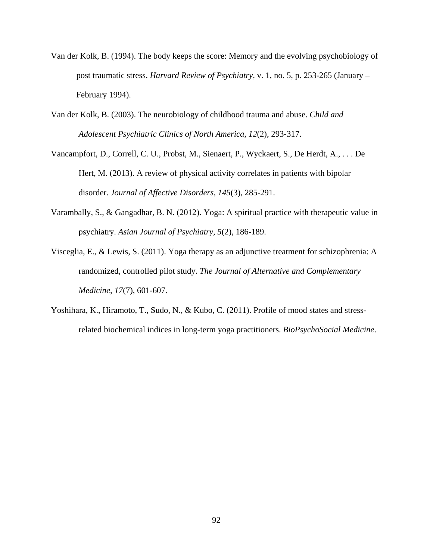- Van der Kolk, B. (1994). The body keeps the score: Memory and the evolving psychobiology of post traumatic stress. *Harvard Review of Psychiatry,* v. 1, no. 5, p. 253-265 (January – February 1994).
- Van der Kolk, B. (2003). The neurobiology of childhood trauma and abuse. *Child and Adolescent Psychiatric Clinics of North America, 12*(2), 293-317.
- Vancampfort, D., Correll, C. U., Probst, M., Sienaert, P., Wyckaert, S., De Herdt, A., . . . De Hert, M. (2013). A review of physical activity correlates in patients with bipolar disorder. *Journal of Affective Disorders, 145*(3), 285-291.
- Varambally, S., & Gangadhar, B. N. (2012). Yoga: A spiritual practice with therapeutic value in psychiatry. *Asian Journal of Psychiatry, 5*(2), 186-189.
- Visceglia, E., & Lewis, S. (2011). Yoga therapy as an adjunctive treatment for schizophrenia: A randomized, controlled pilot study. *The Journal of Alternative and Complementary Medicine, 17*(7), 601-607.
- Yoshihara, K., Hiramoto, T., Sudo, N., & Kubo, C. (2011). Profile of mood states and stressrelated biochemical indices in long-term yoga practitioners. *BioPsychoSocial Medicine*.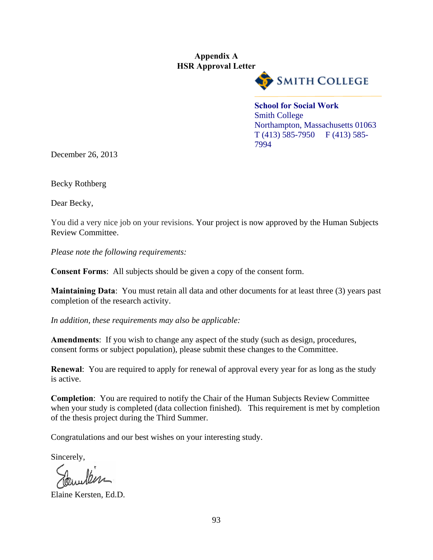# **Appendix A HSR Approval Letter**



**School for Social Work**  Smith College Northampton, Massachusetts 01063  $T(413)$  585-7950 F (413) 585-7994

December 26, 2013

Becky Rothberg

Dear Becky,

You did a very nice job on your revisions. Your project is now approved by the Human Subjects Review Committee.

*Please note the following requirements:* 

**Consent Forms**: All subjects should be given a copy of the consent form.

**Maintaining Data**: You must retain all data and other documents for at least three (3) years past completion of the research activity.

*In addition, these requirements may also be applicable:* 

**Amendments**: If you wish to change any aspect of the study (such as design, procedures, consent forms or subject population), please submit these changes to the Committee.

**Renewal:** You are required to apply for renewal of approval every year for as long as the study is active.

**Completion**: You are required to notify the Chair of the Human Subjects Review Committee when your study is completed (data collection finished). This requirement is met by completion of the thesis project during the Third Summer.

Congratulations and our best wishes on your interesting study.

Sincerely,

Elaine Kersten, Ed.D.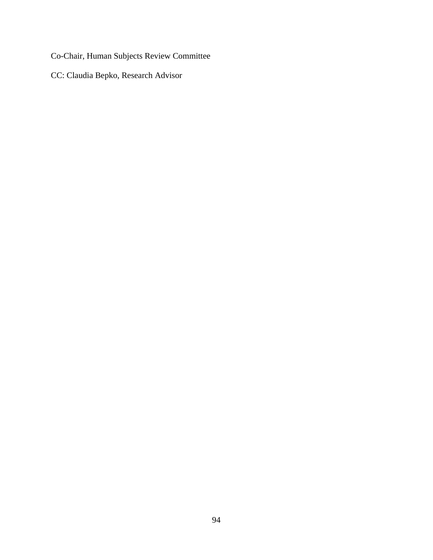Co-Chair, Human Subjects Review Committee

CC: Claudia Bepko, Research Advisor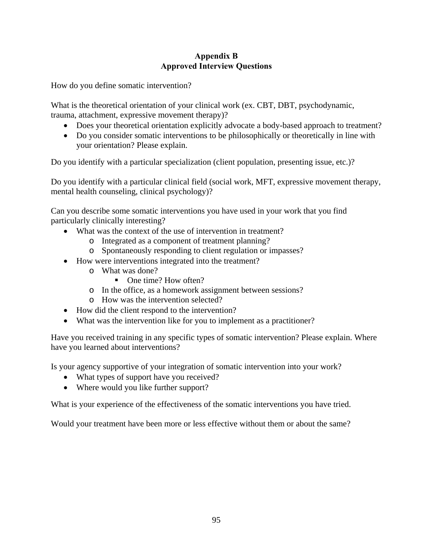# **Appendix B Approved Interview Questions**

How do you define somatic intervention?

What is the theoretical orientation of your clinical work (ex. CBT, DBT, psychodynamic, trauma, attachment, expressive movement therapy)?

- Does your theoretical orientation explicitly advocate a body-based approach to treatment?
- Do you consider somatic interventions to be philosophically or theoretically in line with your orientation? Please explain.

Do you identify with a particular specialization (client population, presenting issue, etc.)?

Do you identify with a particular clinical field (social work, MFT, expressive movement therapy, mental health counseling, clinical psychology)?

Can you describe some somatic interventions you have used in your work that you find particularly clinically interesting?

- What was the context of the use of intervention in treatment?
	- o Integrated as a component of treatment planning?
	- o Spontaneously responding to client regulation or impasses?
- How were interventions integrated into the treatment?
	- o What was done?
		- One time? How often?
	- o In the office, as a homework assignment between sessions?
	- o How was the intervention selected?
- How did the client respond to the intervention?
- What was the intervention like for you to implement as a practitioner?

Have you received training in any specific types of somatic intervention? Please explain. Where have you learned about interventions?

Is your agency supportive of your integration of somatic intervention into your work?

- What types of support have you received?
- Where would you like further support?

What is your experience of the effectiveness of the somatic interventions you have tried.

Would your treatment have been more or less effective without them or about the same?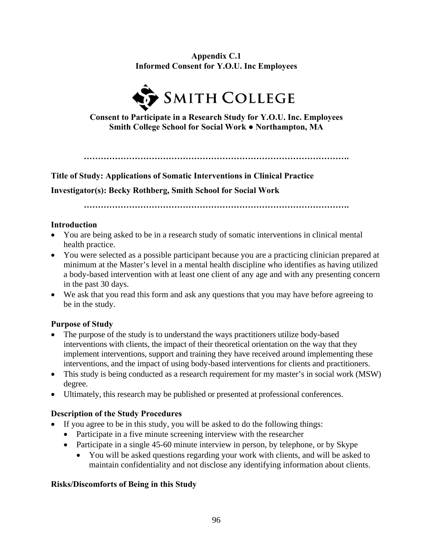**Appendix C.1 Informed Consent for Y.O.U. Inc Employees** 



**Consent to Participate in a Research Study for Y.O.U. Inc. Employees Smith College School for Social Work ● Northampton, MA** 

**………………………………………………………………………………….** 

**Title of Study: Applications of Somatic Interventions in Clinical Practice** 

**Investigator(s): Becky Rothberg, Smith School for Social Work** 

**………………………………………………………………………………….** 

# **Introduction**

- You are being asked to be in a research study of somatic interventions in clinical mental health practice.
- You were selected as a possible participant because you are a practicing clinician prepared at minimum at the Master's level in a mental health discipline who identifies as having utilized a body-based intervention with at least one client of any age and with any presenting concern in the past 30 days.
- We ask that you read this form and ask any questions that you may have before agreeing to be in the study.

# **Purpose of Study**

- The purpose of the study is to understand the ways practitioners utilize body-based interventions with clients, the impact of their theoretical orientation on the way that they implement interventions, support and training they have received around implementing these interventions, and the impact of using body-based interventions for clients and practitioners.
- This study is being conducted as a research requirement for my master's in social work (MSW) degree.
- Ultimately, this research may be published or presented at professional conferences.

# **Description of the Study Procedures**

- If you agree to be in this study, you will be asked to do the following things:
	- Participate in a five minute screening interview with the researcher
	- Participate in a single 45-60 minute interview in person, by telephone, or by Skype
		- You will be asked questions regarding your work with clients, and will be asked to maintain confidentiality and not disclose any identifying information about clients.

# **Risks/Discomforts of Being in this Study**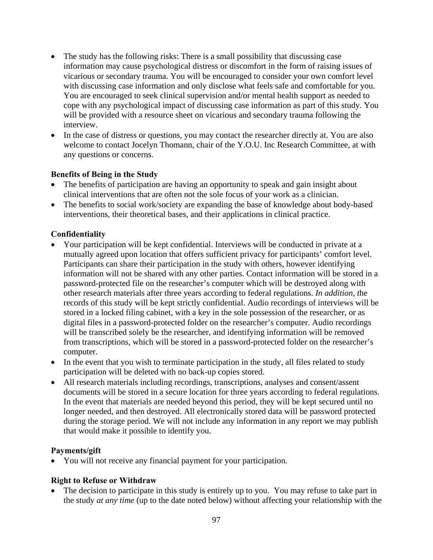- The study has the following risks: There is a small possibility that discussing case information may cause psychological distress or discomfort in the form of raising issues of vicarious or secondary trauma. You will be encouraged to consider your own comfort level with discussing case information and only disclose what feels safe and comfortable for you. You are encouraged to seek clinical supervision and/or mental health support as needed to cope with any psychological impact of discussing case information as part of this study. You will be provided with a resource sheet on vicarious and secondary trauma following the interview.
- In the case of distress or questions, you may contact the researcher directly at. You are also welcome to contact Jocelyn Thomann, chair of the Y.O.U. Inc Research Committee, at with any questions or concerns.

## **Benefits of Being in the Study**

- The benefits of participation are having an opportunity to speak and gain insight about clinical interventions that are often not the sole focus of your work as a clinician.
- The benefits to social work/society are expanding the base of knowledge about body-based interventions, their theoretical bases, and their applications in clinical practice.

## **Confidentiality**

- Your participation will be kept confidential. Interviews will be conducted in private at a mutually agreed upon location that offers sufficient privacy for participants' comfort level. Participants can share their participation in the study with others, however identifying information will not be shared with any other parties. Contact information will be stored in a password-protected file on the researcher's computer which will be destroyed along with other research materials after three years according to federal regulations. *In addition, t*he records of this study will be kept strictly confidential. Audio recordings of interviews will be stored in a locked filing cabinet, with a key in the sole possession of the researcher, or as digital files in a password-protected folder on the researcher's computer. Audio recordings will be transcribed solely be the researcher, and identifying information will be removed from transcriptions, which will be stored in a password-protected folder on the researcher's computer.
- In the event that you wish to terminate participation in the study, all files related to study participation will be deleted with no back-up copies stored.
- All research materials including recordings, transcriptions, analyses and consent/assent documents will be stored in a secure location for three years according to federal regulations. In the event that materials are needed beyond this period, they will be kept secured until no longer needed, and then destroyed. All electronically stored data will be password protected during the storage period. We will not include any information in any report we may publish that would make it possible to identify you.

## **Payments/gift**

You will not receive any financial payment for your participation.

## **Right to Refuse or Withdraw**

 The decision to participate in this study is entirely up to you.You may refuse to take part in the study *at any time* (up to the date noted below) without affecting your relationship with the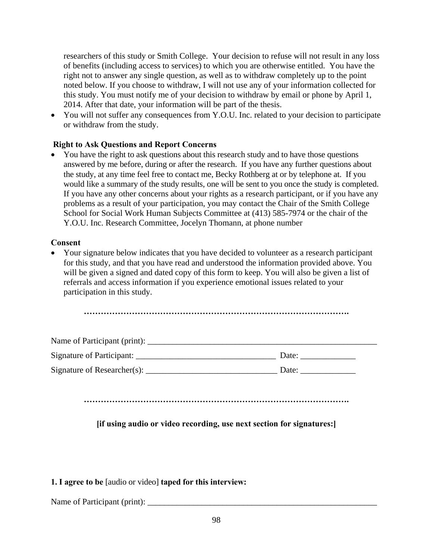researchers of this study or Smith College. Your decision to refuse will not result in any loss of benefits (including access to services) to which you are otherwise entitled. You have the right not to answer any single question, as well as to withdraw completely up to the point noted below. If you choose to withdraw, I will not use any of your information collected for this study. You must notify me of your decision to withdraw by email or phone by April 1, 2014. After that date, your information will be part of the thesis.

• You will not suffer any consequences from Y.O.U. Inc. related to your decision to participate or withdraw from the study.

# **Right to Ask Questions and Report Concerns**

• You have the right to ask questions about this research study and to have those questions answered by me before, during or after the research. If you have any further questions about the study, at any time feel free to contact me, Becky Rothberg at or by telephone at. If you would like a summary of the study results, one will be sent to you once the study is completed. If you have any other concerns about your rights as a research participant, or if you have any problems as a result of your participation, you may contact the Chair of the Smith College School for Social Work Human Subjects Committee at (413) 585-7974 or the chair of the Y.O.U. Inc. Research Committee, Jocelyn Thomann, at phone number

# **Consent**

 Your signature below indicates that you have decided to volunteer as a research participant for this study, and that you have read and understood the information provided above. You will be given a signed and dated copy of this form to keep. You will also be given a list of referrals and access information if you experience emotional issues related to your participation in this study.

| Name of Participant (print): |       |
|------------------------------|-------|
| Signature of Participant:    | Date: |
| Signature of Researcher(s):  | Date: |

**………………………………………………………………………………….** 

# **[if using audio or video recording, use next section for signatures:]**

# **1. I agree to be** [audio or video] **taped for this interview:**

Name of Participant (print):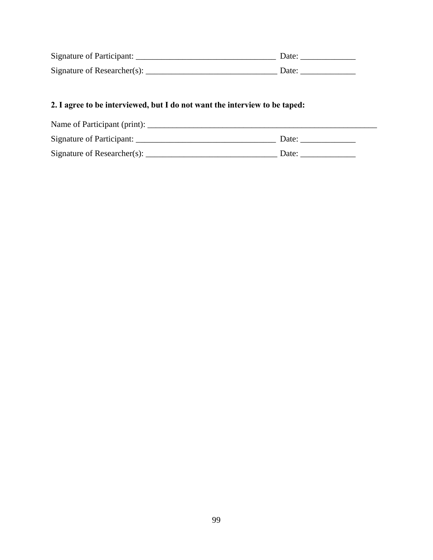| Signature of Participant:   | Date: |
|-----------------------------|-------|
| Signature of Researcher(s): | Date: |

# **2. I agree to be interviewed, but I do not want the interview to be taped:**

| Name of Participant (print): |       |
|------------------------------|-------|
| Signature of Participant:    | Date: |
| Signature of Researcher(s):  | Date: |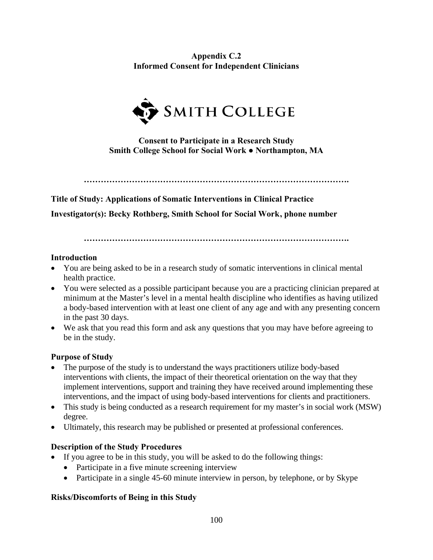**Appendix C.2 Informed Consent for Independent Clinicians** 



**Consent to Participate in a Research Study Smith College School for Social Work ● Northampton, MA** 

**………………………………………………………………………………….** 

**Title of Study: Applications of Somatic Interventions in Clinical Practice Investigator(s): Becky Rothberg, Smith School for Social Work , phone number**

**………………………………………………………………………………….** 

## **Introduction**

- You are being asked to be in a research study of somatic interventions in clinical mental health practice.
- You were selected as a possible participant because you are a practicing clinician prepared at minimum at the Master's level in a mental health discipline who identifies as having utilized a body-based intervention with at least one client of any age and with any presenting concern in the past 30 days.
- We ask that you read this form and ask any questions that you may have before agreeing to be in the study.

# **Purpose of Study**

- The purpose of the study is to understand the ways practitioners utilize body-based interventions with clients, the impact of their theoretical orientation on the way that they implement interventions, support and training they have received around implementing these interventions, and the impact of using body-based interventions for clients and practitioners.
- This study is being conducted as a research requirement for my master's in social work (MSW) degree.
- Ultimately, this research may be published or presented at professional conferences.

# **Description of the Study Procedures**

- If you agree to be in this study, you will be asked to do the following things:
	- Participate in a five minute screening interview
	- Participate in a single 45-60 minute interview in person, by telephone, or by Skype

# **Risks/Discomforts of Being in this Study**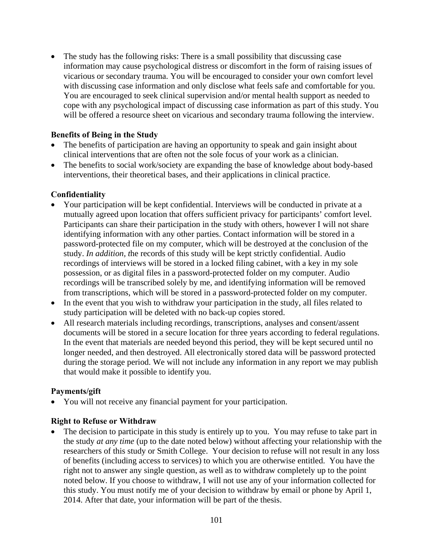The study has the following risks: There is a small possibility that discussing case information may cause psychological distress or discomfort in the form of raising issues of vicarious or secondary trauma. You will be encouraged to consider your own comfort level with discussing case information and only disclose what feels safe and comfortable for you. You are encouraged to seek clinical supervision and/or mental health support as needed to cope with any psychological impact of discussing case information as part of this study. You will be offered a resource sheet on vicarious and secondary trauma following the interview.

## **Benefits of Being in the Study**

- The benefits of participation are having an opportunity to speak and gain insight about clinical interventions that are often not the sole focus of your work as a clinician.
- The benefits to social work/society are expanding the base of knowledge about body-based interventions, their theoretical bases, and their applications in clinical practice.

## **Confidentiality**

- Your participation will be kept confidential. Interviews will be conducted in private at a mutually agreed upon location that offers sufficient privacy for participants' comfort level. Participants can share their participation in the study with others, however I will not share identifying information with any other parties. Contact information will be stored in a password-protected file on my computer, which will be destroyed at the conclusion of the study. *In addition, t*he records of this study will be kept strictly confidential. Audio recordings of interviews will be stored in a locked filing cabinet, with a key in my sole possession, or as digital files in a password-protected folder on my computer. Audio recordings will be transcribed solely by me, and identifying information will be removed from transcriptions, which will be stored in a password-protected folder on my computer.
- In the event that you wish to withdraw your participation in the study, all files related to study participation will be deleted with no back-up copies stored.
- All research materials including recordings, transcriptions, analyses and consent/assent documents will be stored in a secure location for three years according to federal regulations. In the event that materials are needed beyond this period, they will be kept secured until no longer needed, and then destroyed. All electronically stored data will be password protected during the storage period. We will not include any information in any report we may publish that would make it possible to identify you.

## **Payments/gift**

You will not receive any financial payment for your participation.

## **Right to Refuse or Withdraw**

 The decision to participate in this study is entirely up to you.You may refuse to take part in the study *at any time* (up to the date noted below) without affecting your relationship with the researchers of this study or Smith College. Your decision to refuse will not result in any loss of benefits (including access to services) to which you are otherwise entitled. You have the right not to answer any single question, as well as to withdraw completely up to the point noted below. If you choose to withdraw, I will not use any of your information collected for this study. You must notify me of your decision to withdraw by email or phone by April 1, 2014. After that date, your information will be part of the thesis.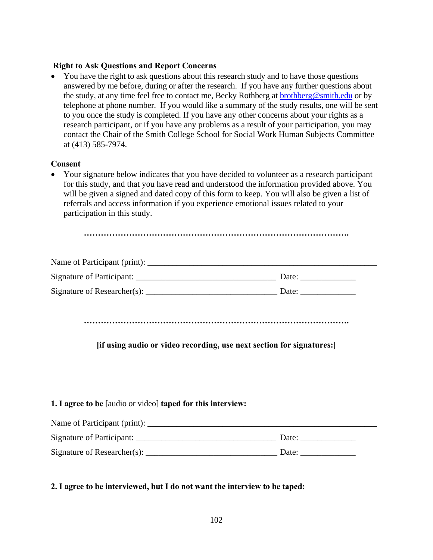## **Right to Ask Questions and Report Concerns**

• You have the right to ask questions about this research study and to have those questions answered by me before, during or after the research. If you have any further questions about the study, at any time feel free to contact me, Becky Rothberg at brothberg@smith.edu or by telephone at phone number. If you would like a summary of the study results, one will be sent to you once the study is completed. If you have any other concerns about your rights as a research participant, or if you have any problems as a result of your participation, you may contact the Chair of the Smith College School for Social Work Human Subjects Committee at (413) 585-7974.

#### **Consent**

 Your signature below indicates that you have decided to volunteer as a research participant for this study, and that you have read and understood the information provided above. You will be given a signed and dated copy of this form to keep. You will also be given a list of referrals and access information if you experience emotional issues related to your participation in this study.

| Name of Participant (print): |       |
|------------------------------|-------|
| Signature of Participant:    | Date: |
| Signature of Researcher(s):  | Date: |

**………………………………………………………………………………….** 

# **[if using audio or video recording, use next section for signatures:]**

#### **1. I agree to be** [audio or video] **taped for this interview:**

| Name of Participant (print): |       |
|------------------------------|-------|
| Signature of Participant:    | Date: |
| Signature of Researcher(s):  | Date: |

## **2. I agree to be interviewed, but I do not want the interview to be taped:**